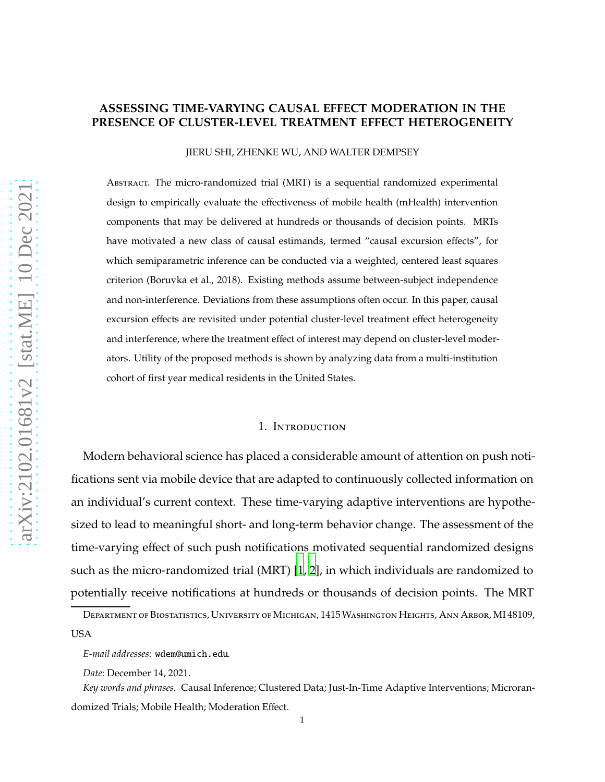# **ASSESSING TIME-VARYING CAUSAL EFFECT MODERATION IN THE PRESENCE OF CLUSTER-LEVEL TREATMENT EFFECT HETEROGENEITY**

JIERU SHI, ZHENKE WU, AND WALTER DEMPSEY

Abstract. The micro-randomized trial (MRT) is a sequential randomized experimental design to empirically evaluate the effectiveness of mobile health (mHealth) intervention components that may be delivered at hundreds or thousands of decision points. MRTs have motivated a new class of causal estimands, termed "causal excursion effects", for which semiparametric inference can be conducted via a weighted, centered least squares criterion (Boruvka et al., 2018). Existing methods assume between-subject independence and non-interference. Deviations from these assumptions often occur. In this paper, causal excursion effects are revisited under potential cluster-level treatment effect heterogeneity and interference, where the treatment effect of interest may depend on cluster-level moderators. Utility of the proposed methods is shown by analyzing data from a multi-institution cohort of first year medical residents in the United States.

#### 1. Introduction

Modern behavioral science has placed a considerable amount of attention on push notifications sent via mobile device that are adapted to continuously collected information on an individual's current context. These time-varying adaptive interventions are hypothesized to lead to meaningful short- and long-term behavior change. The assessment of the time-varying effect of such push notifications motivated sequential randomized designs such as the micro-randomized trial (MRT) [\[1](#page-19-0), [2\]](#page-19-1), in which individuals are randomized to potentially receive notifications at hundreds or thousands of decision points. The MRT

Department of Biostatistics, University of Michigan, 1415Washington Heights, Ann Arbor, MI 48109, USA

*E-mail addresses*: wdem@umich.edu.

*Date*: December 14, 2021.

*Key words and phrases.* Causal Inference; Clustered Data; Just-In-Time Adaptive Interventions; Microrandomized Trials; Mobile Health; Moderation Effect.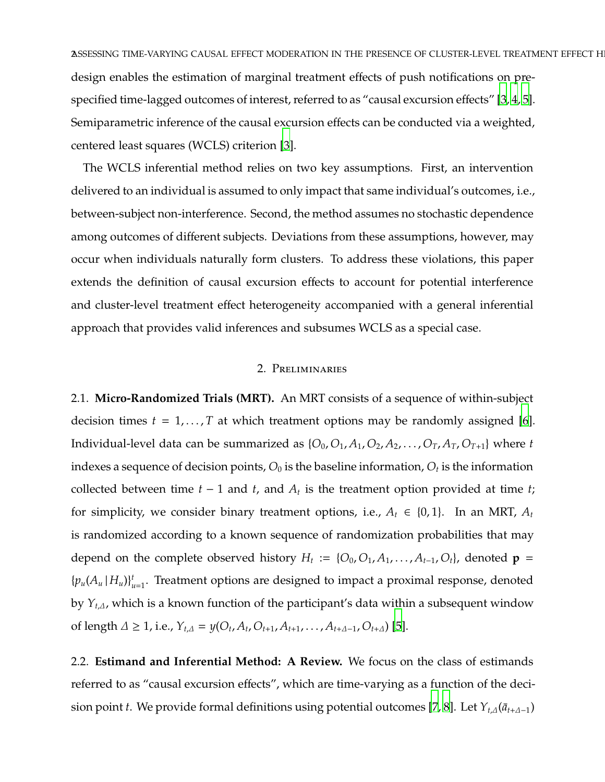ASSESSING TIME-VARYING CAUSAL EFFECT MODERATION IN THE PRESENCE OF CLUSTER-LEVEL TREATMENT EFFECT H design enables the estimation of marginal treatment effects of push notifications on prespecified time-lagged outcomes of interest, referred to as "causal excursion effects" [\[3,](#page-19-2) [4](#page-19-3), [5](#page-19-4)]. Semiparametric inference of the causal excursion effects can be conducted via a weighted, centered least squares (WCLS) criterion [\[3](#page-19-2)].

The WCLS inferential method relies on two key assumptions. First, an intervention delivered to an individual is assumed to only impact that same individual's outcomes, i.e., between-subject non-interference. Second, the method assumes no stochastic dependence among outcomes of different subjects. Deviations from these assumptions, however, may occur when individuals naturally form clusters. To address these violations, this paper extends the definition of causal excursion effects to account for potential interference and cluster-level treatment effect heterogeneity accompanied with a general inferential approach that provides valid inferences and subsumes WCLS as a special case.

## 2. Preliminaries

2.1. **Micro-Randomized Trials (MRT).** An MRT consists of a sequence of within-subject decision times  $t = 1, \ldots, T$  at which treatment options may be randomly assigned [\[6](#page-19-5)]. Individual-level data can be summarized as  $\{O_0, O_1, A_1, O_2, A_2, \ldots, O_T, A_T, O_{T+1}\}\$  where *t* indexes a sequence of decision points,  $O_0$  is the baseline information,  $O_t$  is the information collected between time *t* − 1 and *t*, and *A<sup>t</sup>* is the treatment option provided at time *t*; for simplicity, we consider binary treatment options, i.e.,  $A_t \in \{0, 1\}$ . In an MRT,  $A_t$ is randomized according to a known sequence of randomization probabilities that may depend on the complete observed history  $H_t := \{O_0, O_1, A_1, \ldots, A_{t-1}, O_t\}$ , denoted  $\mathbf{p} =$  ${p_u(A_u|H_u)}_{u=1}^t$ . Treatment options are designed to impact a proximal response, denoted by *Y<sup>t</sup>*,∆, which is a known function of the participant's data within a subsequent window of length  $\Delta \ge 1$ , i.e.,  $Y_{t,\Delta} = y(O_t, A_t, O_{t+1}, A_{t+1}, \ldots, A_{t+\Delta-1}, O_{t+\Delta})$  [\[5\]](#page-19-4).

<span id="page-1-0"></span>2.2. **Estimand and Inferential Method: A Review.** We focus on the class of estimands referred to as "causal excursion effects", which are time-varying as a function of the decision point *t*. We provide formal definitions using potential outcomes [\[7,](#page-19-6) [8](#page-19-7)]. Let *Y*<sub>*t*,∆</sub>( $\bar{a}_{t+\Delta-1}$ )</sub>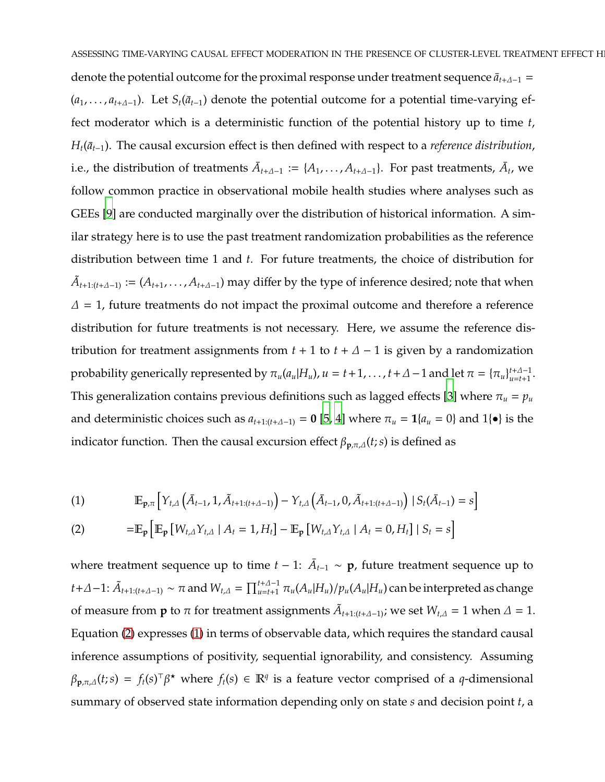denote the potential outcome for the proximal response under treatment sequence  $\bar{a}_{t+\Delta-1}$  = (*a*<sub>1</sub>, . . . , *a*<sub>t+∆−1</sub>). Let *S*<sub>*t*</sub>( $\bar{a}_{t-1}$ ) denote the potential outcome for a potential time-varying effect moderator which is a deterministic function of the potential history up to time *t*,  $H_t(\bar{a}_{t-1})$ . The causal excursion effect is then defined with respect to a *reference distribution*, i.e., the distribution of treatments  $\bar{A}_{t+A-1} := \{A_1, \ldots, A_{t+A-1}\}$ . For past treatments,  $\bar{A}_t$ , we follow common practice in observational mobile health studies where analyses such as GEEs [\[9\]](#page-20-0) are conducted marginally over the distribution of historical information. A similar strategy here is to use the past treatment randomization probabilities as the reference distribution between time 1 and *t*. For future treatments, the choice of distribution for  $\tilde{A}_{t+1:(t+A-1)} := (A_{t+1}, \ldots, A_{t+A-1})$  may differ by the type of inference desired; note that when  $\Delta$  = 1, future treatments do not impact the proximal outcome and therefore a reference distribution for future treatments is not necessary. Here, we assume the reference distribution for treatment assignments from  $t + 1$  to  $t + \Delta - 1$  is given by a randomization probability generically represented by  $\pi_u(a_u|H_u)$ ,  $u = t+1, \ldots, t+A-1$  and let  $\pi = {\pi_u}_{u=t+1}^{t+A-1}$ . This generalization contains previous definitions such as lagged effects [\[3\]](#page-19-2) where  $\pi_u = p_u$ and deterministic choices such as  $a_{t+1:(t+\Delta-1)} = 0$  [\[5,](#page-19-4) [4\]](#page-19-3) where  $\pi_u = 1$ { $a_u = 0$ } and 1{ $\bullet$ } is the indicator function. Then the causal excursion effect  $\beta_{p,\pi,\Delta}(t;s)$  is defined as

<span id="page-2-1"></span>(1) 
$$
\mathbb{E}_{\mathbf{p}, \pi} \left[ Y_{t, \Delta} \left( \bar{A}_{t-1}, 1, \tilde{A}_{t+1:(t+\Delta-1)} \right) - Y_{t, \Delta} \left( \bar{A}_{t-1}, 0, \tilde{A}_{t+1:(t+\Delta-1)} \right) \mid S_t(\bar{A}_{t-1}) = s \right]
$$

<span id="page-2-0"></span>(2) 
$$
= \mathbb{E}_{\mathbf{p}} \left[ \mathbb{E}_{\mathbf{p}} \left[ W_{t, \Delta} Y_{t, \Delta} \mid A_t = 1, H_t \right] - \mathbb{E}_{\mathbf{p}} \left[ W_{t, \Delta} Y_{t, \Delta} \mid A_t = 0, H_t \right] \mid S_t = s \right]
$$

where treatment sequence up to time  $t - 1$ :  $\bar{A}_{t-1} \sim \mathbf{p}$ , future treatment sequence up to  $t+\Delta-1$ :  $\tilde{A}_{t+1:(t+\Delta-1)}\sim \pi$  and  $W_{t,\Delta}=\prod_{u=t+1}^{t+\Delta-1}\pi_u(A_u|H_u)/p_u(A_u|H_u)$  can be interpreted as change of measure from **p** to  $\pi$  for treatment assignments  $\tilde{A}_{t+1:(t+\Delta-1)}$ ; we set  $W_{t,\Delta} = 1$  when  $\Delta = 1$ . Equation [\(2\)](#page-2-0) expresses [\(1\)](#page-2-1) in terms of observable data, which requires the standard causal inference assumptions of positivity, sequential ignorability, and consistency. Assuming  $\beta_{\mathbf{p},\pi,\Delta}(t;s) = f_t(s)^\top \beta^*$  where  $f_t(s) \in \mathbb{R}^q$  is a feature vector comprised of a *q*-dimensional summary of observed state information depending only on state *s* and decision point *t*, a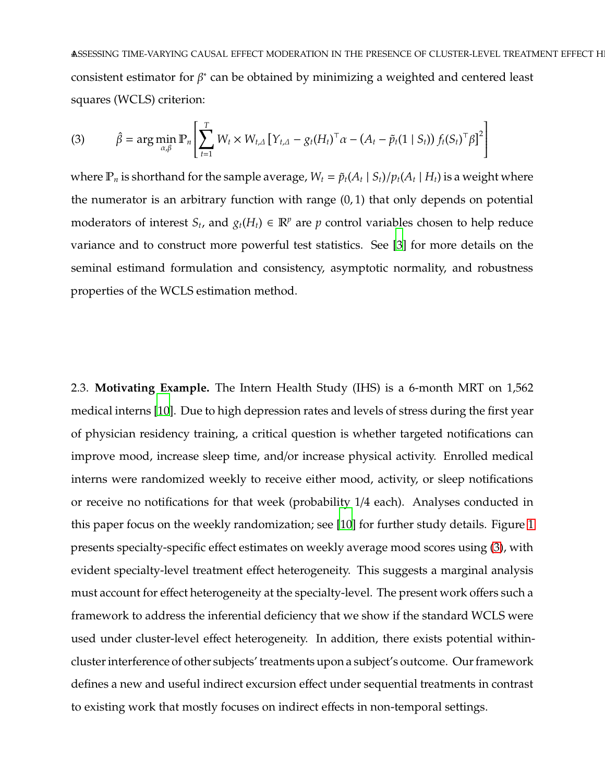**ASSESSING TIME-VARYING CAUSAL EFFECT MODERATION IN THE PRESENCE OF CLUSTER-LEVEL TREATMENT EFFECT H** consistent estimator for  $\beta^*$  can be obtained by minimizing a weighted and centered least squares (WCLS) criterion:

<span id="page-3-0"></span>(3) 
$$
\hat{\beta} = \arg\min_{\alpha,\beta} \mathbb{P}_n \left[ \sum_{t=1}^T W_t \times W_{t,\Delta} \left[ Y_{t,\Delta} - g_t (H_t)^{\top} \alpha - (A_t - \tilde{p}_t (1 \mid S_t)) f_t (S_t)^{\top} \beta \right]^2 \right]
$$

where  $\mathbb{P}_n$  is shorthand for the sample average,  $W_t = \tilde{p}_t(A_t | S_t)/p_t(A_t | H_t)$  is a weight where the numerator is an arbitrary function with range (0, 1) that only depends on potential moderators of interest  $S_t$ , and  $g_t(H_t) \in \mathbb{R}^p$  are  $p$  control variables chosen to help reduce variance and to construct more powerful test statistics. See [\[3\]](#page-19-2) for more details on the seminal estimand formulation and consistency, asymptotic normality, and robustness properties of the WCLS estimation method.

<span id="page-3-1"></span>2.3. **Motivating Example.** The Intern Health Study (IHS) is a 6-month MRT on 1,562 medical interns [\[10\]](#page-20-1). Due to high depression rates and levels of stress during the first year of physician residency training, a critical question is whether targeted notifications can improve mood, increase sleep time, and/or increase physical activity. Enrolled medical interns were randomized weekly to receive either mood, activity, or sleep notifications or receive no notifications for that week (probability 1/4 each). Analyses conducted in this paper focus on the weekly randomization; see [\[10\]](#page-20-1) for further study details. Figure [1](#page-4-0) presents specialty-specific effect estimates on weekly average mood scores using [\(3\)](#page-3-0), with evident specialty-level treatment effect heterogeneity. This suggests a marginal analysis must account for effect heterogeneity at the specialty-level. The present work offers such a framework to address the inferential deficiency that we show if the standard WCLS were used under cluster-level effect heterogeneity. In addition, there exists potential withincluster interference of other subjects' treatments upon a subject's outcome. Our framework defines a new and useful indirect excursion effect under sequential treatments in contrast to existing work that mostly focuses on indirect effects in non-temporal settings.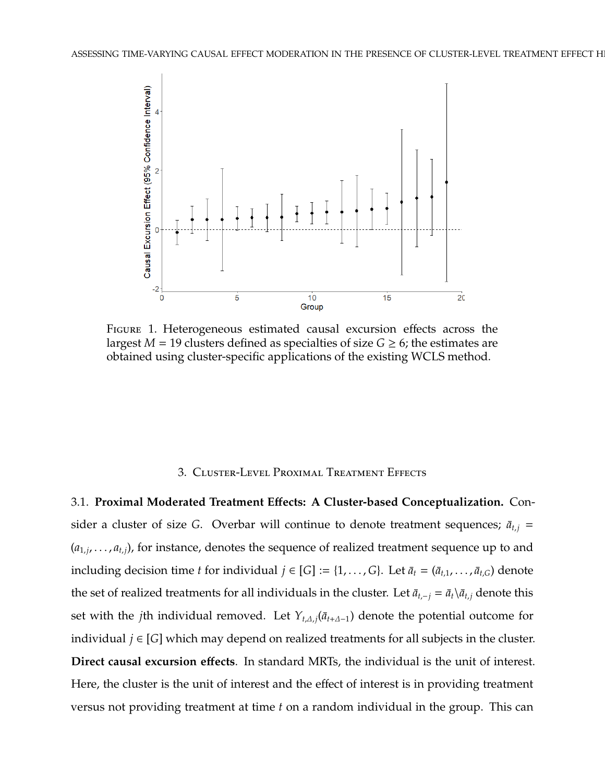<span id="page-4-0"></span>

Figure 1. Heterogeneous estimated causal excursion effects across the largest  $M = 19$  clusters defined as specialties of size  $G \ge 6$ ; the estimates are obtained using cluster-specific applications of the existing WCLS method.

### 3. Cluster-Level Proximal Treatment Effects

3.1. **Proximal Moderated Treatment E**ff**ects: A Cluster-based Conceptualization.** Consider a cluster of size *G*. Overbar will continue to denote treatment sequences;  $\bar{a}_{t,j}$  =  $(a_{1,j},\ldots,a_{t,j})$ , for instance, denotes the sequence of realized treatment sequence up to and including decision time *t* for individual  $j \in [G] := \{1, \ldots, G\}$ . Let  $\bar{a}_t = (\bar{a}_{t,1}, \ldots, \bar{a}_{t,G})$  denote the set of realized treatments for all individuals in the cluster. Let  $\bar{a}_{t,-j} = \bar{a}_t \setminus \bar{a}_{t,j}$  denote this set with the *j*th individual removed. Let  $Y_{t,\Delta,i}(\bar{a}_{t+\Delta-1})$  denote the potential outcome for individual  $j$  ∈ [G] which may depend on realized treatments for all subjects in the cluster. **Direct causal excursion e**ff**ects**. In standard MRTs, the individual is the unit of interest. Here, the cluster is the unit of interest and the effect of interest is in providing treatment versus not providing treatment at time *t* on a random individual in the group. This can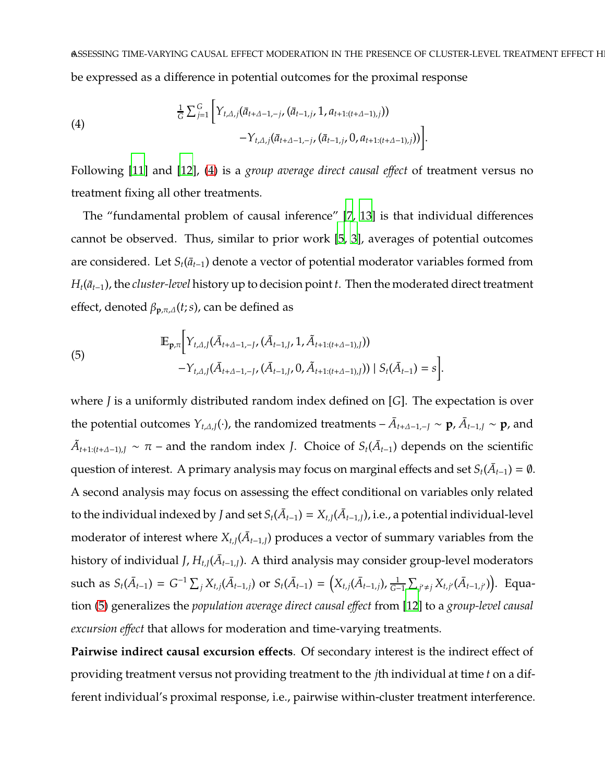<span id="page-5-0"></span>(4)  

$$
\frac{1}{G} \sum_{j=1}^{G} \left[ Y_{t,\Delta,j}(\bar{a}_{t+\Delta-1,-j},(\bar{a}_{t-1,j},1,a_{t+1:(t+\Delta-1),j})) - Y_{t,\Delta,j}(\bar{a}_{t+\Delta-1,-j},(\bar{a}_{t-1,j},0,a_{t+1:(t+\Delta-1),j})) \right].
$$

Following [\[11](#page-20-2)] and [\[12](#page-20-3)], [\(4\)](#page-5-0) is a *group average direct causal e*ff*ect* of treatment versus no treatment fixing all other treatments.

The "fundamental problem of causal inference" [\[7](#page-19-6), [13\]](#page-20-4) is that individual differences cannot be observed. Thus, similar to prior work [\[5](#page-19-4), [3\]](#page-19-2), averages of potential outcomes are considered. Let  $S_t(\bar{a}_{t-1})$  denote a vector of potential moderator variables formed from  $H_t(\bar{a}_{t-1})$ , the *cluster-level* history up to decision point *t*. Then the moderated direct treatment effect, denoted  $\beta_{\mathbf{p}, \pi, \Delta}(t; s)$ , can be defined as

<span id="page-5-1"></span>(5)  
\n
$$
\mathbb{E}_{\mathbf{p},\pi} \Big[ Y_{t,\Delta,J}(\bar{A}_{t+\Delta-1,-J}, (\bar{A}_{t-1,J}, 1, \tilde{A}_{t+1:(t+\Delta-1),J})) - Y_{t,\Delta,J}(\bar{A}_{t+\Delta-1,-J}, (\bar{A}_{t-1,J}, 0, \tilde{A}_{t+1:(t+\Delta-1),J})) \mid S_t(\bar{A}_{t-1}) = s \Big].
$$

where *J* is a uniformly distributed random index defined on [*G*]. The expectation is over the potential outcomes  $Y_{t,\Delta,J}(\cdot)$ , the randomized treatments –  $\bar{A}_{t+\Delta-1,-J} \sim \mathbf{p}$ ,  $\bar{A}_{t-1,J} \sim \mathbf{p}$ , and  $\tilde{A}_{t+1:(t+∆-1),J}$  ∼ π – and the random index *J*. Choice of  $S_t(\bar{A}_{t-1})$  depends on the scientific question of interest. A primary analysis may focus on marginal effects and set  $S_t(\bar{A}_{t-1}) = \emptyset$ . A second analysis may focus on assessing the effect conditional on variables only related to the individual indexed by *J* and set  $S_t(\bar{A}_{t-1})=X_{t,J}(\bar{A}_{t-1,J})$ , i.e., a potential individual-level moderator of interest where  $X_{t,J}(\bar{A}_{t-1,J})$  produces a vector of summary variables from the history of individual *J,*  $H_{tJ}(\bar{A}_{t-1,J})$ *.* A third analysis may consider group-level moderators such as  $S_t(\bar{A}_{t-1}) = G^{-1} \sum_j X_{t,j}(\bar{A}_{t-1,j})$  or  $S_t(\bar{A}_{t-1}) = (X_{t,j}(\bar{A}_{t-1,j}), \frac{1}{G-1})$  $\frac{1}{G-1}$  ∑<sub>*j'*≠*j*</sub> *X*<sub>*t*,*j'*</sub> (*Ā*<sub>*t*−1,*j'*</sub>)). Equation [\(5\)](#page-5-1) generalizes the *population average direct causal e*ff*ect* from [\[12\]](#page-20-3) to a *group-level causal excursion e*ff*ect* that allows for moderation and time-varying treatments.

Pairwise indirect causal excursion effects. Of secondary interest is the indirect effect of providing treatment versus not providing treatment to the *j*th individual at time *t* on a different individual's proximal response, i.e., pairwise within-cluster treatment interference.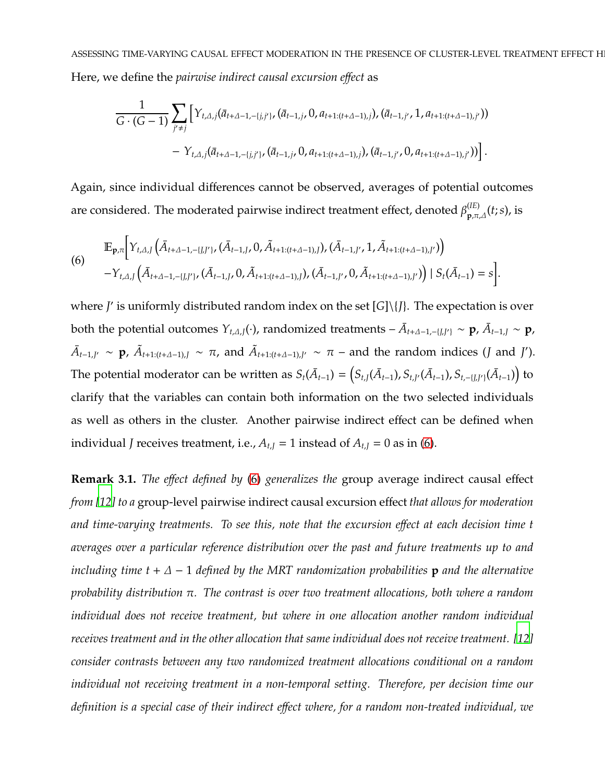$$
\frac{1}{G \cdot (G-1)} \sum_{j' \neq j} \Big[ Y_{t,\Delta,j}(\bar{a}_{t+\Delta-1,-\{j,j'\}\mathbf{,}}(\bar{a}_{t-1,j},0,a_{t+1:(t+\Delta-1),j}),(\bar{a}_{t-1,j'},1,a_{t+1:(t+\Delta-1),j'}))\\-\ Y_{t,\Delta,j}(\bar{a}_{t+\Delta-1,-\{j,j'\}\mathbf{,}}(\bar{a}_{t-1,j},0,a_{t+1:(t+\Delta-1),j}),(\bar{a}_{t-1,j'},0,a_{t+1:(t+\Delta-1),j'}))\Big].
$$

Again, since individual differences cannot be observed, averages of potential outcomes are considered. The moderated pairwise indirect treatment effect, denoted  $\beta_{\mathbf{p},\pi,\varDelta}^{(IE)}(t;s)$ , is

<span id="page-6-0"></span>(6)  
\n
$$
\mathbb{E}_{\mathbf{p},\pi} \Big[ Y_{t,\Delta,J} \Big( \bar{A}_{t+\Delta-1,-\{J,J'\}}, (\bar{A}_{t-1,J}, 0, \tilde{A}_{t+1:(t+\Delta-1),J}), (\bar{A}_{t-1,J'}, 1, \tilde{A}_{t+1:(t+\Delta-1),J'}) \Big) - Y_{t,\Delta,J} \Big( \bar{A}_{t+\Delta-1,-\{J,J'\}} \Big( \bar{A}_{t-1,J}, 0, \tilde{A}_{t+1:(t+\Delta-1),J} \Big), (\bar{A}_{t-1,J'}, 0, \tilde{A}_{t+1:(t+\Delta-1),J'}) \Big) \Big| S_t(\bar{A}_{t-1}) = s \Big].
$$

where *J* ′ is uniformly distributed random index on the set [*G*]\{*J*}. The expectation is over both the potential outcomes  $Y_{t,\Delta,J}(\cdot)$ , randomized treatments –  $\bar{A}_{t+\Delta-1,-\{J,J'\}} \sim \mathbf{p}$ ,  $\bar{A}_{t-1,J} \sim \mathbf{p}$ ,  $\bar{A}_{t-1,J'}$  ~ **p**,  $\tilde{A}_{t+1:(t+\Delta-1),J}$  ~  $\pi$ , and  $\tilde{A}_{t+1:(t+\Delta-1),J'}$  ~  $\pi$  – and the random indices (*J* and *J*'). The potential moderator can be written as  $S_t(\bar{A}_{t-1})=\left(S_{t,J}(\bar{A}_{t-1}),S_{t,J'}(\bar{A}_{t-1}),S_{t,-\{J,J'\}}(\bar{A}_{t-1})\right)$  to clarify that the variables can contain both information on the two selected individuals as well as others in the cluster. Another pairwise indirect effect can be defined when individual *J* receives treatment, i.e.,  $A_{t,J} = 1$  instead of  $A_{t,J} = 0$  as in [\(6\)](#page-6-0).

**Remark 3.1.** *The e*ff*ect defined by* [\(6\)](#page-6-0) *generalizes the* group average indirect causal effect *from [\[12\]](#page-20-3) to a* group-level pairwise indirect causal excursion effect *that allows for moderation and time-varying treatments. To see this, note that the excursion e*ff*ect at each decision time t averages over a particular reference distribution over the past and future treatments up to and including time t* + ∆ − 1 *defined by the MRT randomization probabilities* **p** *and the alternative probability distribution* π*. The contrast is over two treatment allocations, both where a random individual does not receive treatment, but where in one allocation another random individual receives treatment and in the other allocation that same individual does not receive treatment. [\[12](#page-20-3)] consider contrasts between any two randomized treatment allocations conditional on a random individual not receiving treatment in a non-temporal setting. Therefore, per decision time our definition is a special case of their indirect e*ff*ect where, for a random non-treated individual, we*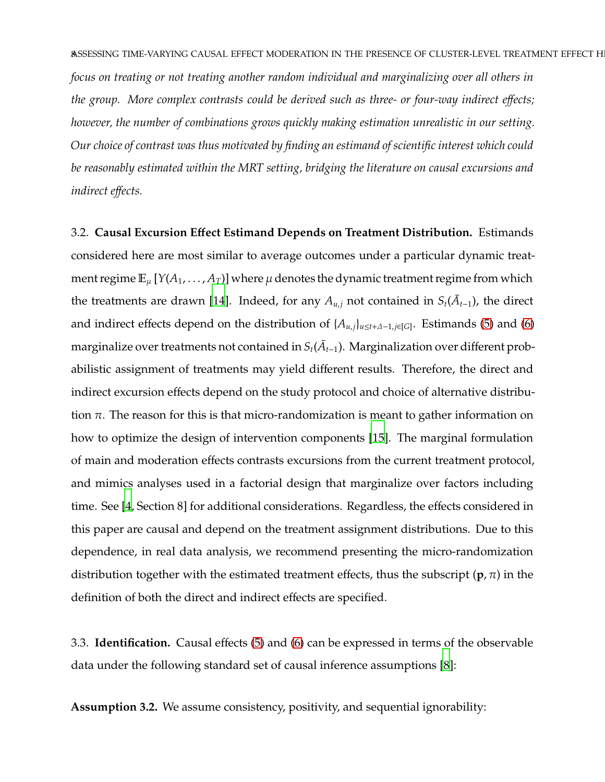*focus on treating or not treating another random individual and marginalizing over all others in the group. More complex contrasts could be derived such as three- or four-way indirect e*ff*ects; however, the number of combinations grows quickly making estimation unrealistic in our setting. Our choice of contrast was thus motivated by finding an estimand of scientific interest which could be reasonably estimated within the MRT setting, bridging the literature on causal excursions and indirect e*ff*ects.*

3.2. **Causal Excursion E**ff**ect Estimand Depends on Treatment Distribution.** Estimands considered here are most similar to average outcomes under a particular dynamic treatment regime  $\mathbb{E}_{\mu} [Y(A_1, \ldots, A_T)]$  where  $\mu$  denotes the dynamic treatment regime from which the treatments are drawn [\[14\]](#page-20-5). Indeed, for any  $A_{u,j}$  not contained in  $S_t(\bar{A}_{t-1})$ , the direct and indirect effects depend on the distribution of {*A<sup>u</sup>*,*<sup>j</sup>*}*<sup>u</sup>*≤*t*+∆−1,*j*∈[*G*] . Estimands [\(5\)](#page-5-1) and [\(6\)](#page-6-0) marginalize over treatments not contained in  $S_t(\bar{A}_{t-1})$ . Marginalization over different probabilistic assignment of treatments may yield different results. Therefore, the direct and indirect excursion effects depend on the study protocol and choice of alternative distribution  $\pi$ . The reason for this is that micro-randomization is meant to gather information on how to optimize the design of intervention components [\[15](#page-20-6)]. The marginal formulation of main and moderation effects contrasts excursions from the current treatment protocol, and mimics analyses used in a factorial design that marginalize over factors including time. See [\[4](#page-19-3), Section 8] for additional considerations. Regardless, the effects considered in this paper are causal and depend on the treatment assignment distributions. Due to this dependence, in real data analysis, we recommend presenting the micro-randomization distribution together with the estimated treatment effects, thus the subscript (**p**, π) in the definition of both the direct and indirect effects are specified.

3.3. **Identification.** Causal effects [\(5\)](#page-5-1) and [\(6\)](#page-6-0) can be expressed in terms of the observable data under the following standard set of causal inference assumptions [\[8](#page-19-7)]:

<span id="page-7-0"></span>**Assumption 3.2.** We assume consistency, positivity, and sequential ignorability: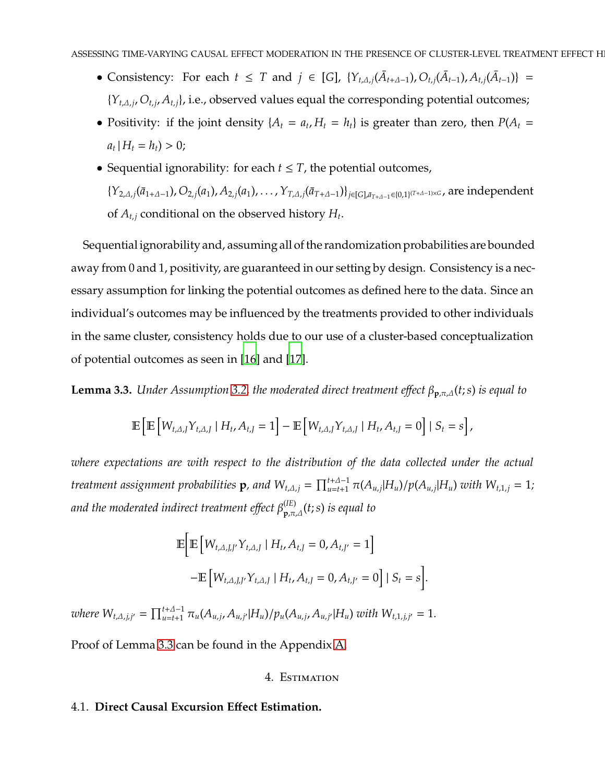- Consistency: For each  $t \leq T$  and  $j \in [G]$ ,  $\{Y_{t,\Delta,j}(\bar{A}_{t+\Delta-1}), O_{t,j}(\bar{A}_{t-1}), A_{t,j}(\bar{A}_{t-1})\}$  = {*Y<sup>t</sup>*,∆,*<sup>j</sup>* , *O<sup>t</sup>*,*<sup>j</sup>* , *A<sup>t</sup>*,*<sup>j</sup>*}, i.e., observed values equal the corresponding potential outcomes;
- Positivity: if the joint density  $\{A_t = a_t, H_t = h_t\}$  is greater than zero, then  $P(A_t = a_t)$  $a_t | H_t = h_t$ ) > 0;
- Sequential ignorability: for each  $t \leq T$ , the potential outcomes,  $\{Y_{2,A,j}(\bar{a}_{1+A-1}),O_{2,j}(a_1),A_{2,j}(a_1),\ldots,Y_{T,A,j}(\bar{a}_{T+A-1})\}_{j\in[G],\bar{a}_{T+A-1}\in[0,1]^{(T+A-1)\times G}}$ , are independent of *A<sup>t</sup>*,*<sup>j</sup>* conditional on the observed history *H<sup>t</sup>* .

Sequential ignorability and, assuming all of the randomization probabilities are bounded away from 0 and 1, positivity, are guaranteed in our setting by design. Consistency is a necessary assumption for linking the potential outcomes as defined here to the data. Since an individual's outcomes may be influenced by the treatments provided to other individuals in the same cluster, consistency holds due to our use of a cluster-based conceptualization of potential outcomes as seen in [\[16](#page-20-7)] and [\[17](#page-20-8)].

<span id="page-8-0"></span>**Lemma 3.3.** *Under Assumption* [3.2,](#page-7-0) *the moderated direct treatment effect*  $\beta_{p,\pi,\Delta}(t;s)$  *is equal to* 

$$
\mathbb{E}\left[\mathbb{E}\left[W_{t,\Delta,J}Y_{t,\Delta,J}\mid H_t,A_{t,J}=1\right]-\mathbb{E}\left[W_{t,\Delta,J}Y_{t,\Delta,J}\mid H_t,A_{t,J}=0\right]\mid S_t=s\right],
$$

*where expectations are with respect to the distribution of the data collected under the actual* treatment assignment probabilities  ${\bf p}$ , and  $W_{t,A,j}=\prod_{u=t+1}^{t+\Delta-1}\pi(A_{u,j}|H_u)/p(A_{u,j}|H_u)$  with  $W_{t,1,j}=1;$ *and the moderated indirect treatment e*ff*ect* β (*IE*) **<sup>p</sup>**,π,∆(*t*;*s*) *is equal to*

$$
\mathbb{E}\bigg[\mathbb{E}\big[W_{t,\Delta,J,J'}Y_{t,\Delta,J}\mid H_t, A_{t,J} = 0, A_{t,J'} = 1\bigg]
$$
  
-
$$
\mathbb{E}\big[W_{t,\Delta,J,J'}Y_{t,\Delta,J}\mid H_t, A_{t,J} = 0, A_{t,J'} = 0\bigg] \mid S_t = s\bigg].
$$

where  $W_{t,\Delta,j,j'} = \prod_{u=t+1}^{t+\Delta-1} \pi_u(A_{u,j}, A_{u,j'}|H_u)/p_u(A_{u,j}, A_{u,j'}|H_u)$  with  $W_{t,1,j,j'} = 1$ .

Proof of Lemma [3.3](#page-8-0) can be found in the Appendix [A.](#page-22-0)

#### 4. Estimation

## 4.1. **Direct Causal Excursion E**ff**ect Estimation.**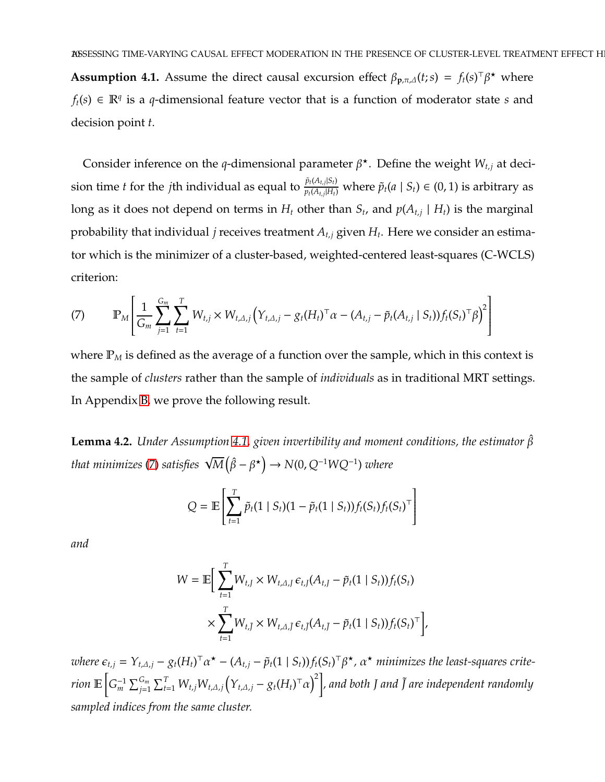<span id="page-9-0"></span>**Assumption 4.1.** Assume the direct causal excursion effect  $\beta_{p,\pi,\Delta}(t;s) = f_t(s)^\top \beta^*$  where *f*<sup>*t*</sup>(*s*) ∈  $\mathbb{R}^q$  is a *q*-dimensional feature vector that is a function of moderator state *s* and decision point *t*.

Consider inference on the *q*-dimensional parameter  $\beta^*$ . Define the weight  $W_{t,j}$  at decision time *t* for the *j*th individual as equal to  $\frac{\tilde{p}_t(A_{t,j}|S_t)}{p_t(A_{t,j}|H_t)}$  $p_t(A_{t,j} | H_t)$  where  $\tilde{p}_t(a \mid S_t) \in (0,1)$  is arbitrary as long as it does not depend on terms in  $H_t$  other than  $S_t$ , and  $p(A_{t,j} \mid H_t)$  is the marginal probability that individual *j* receives treatment *A<sup>t</sup>*,*<sup>j</sup>* given *H<sup>t</sup>* . Here we consider an estimator which is the minimizer of a cluster-based, weighted-centered least-squares (C-WCLS) criterion:

<span id="page-9-1"></span>(7) 
$$
\mathbb{P}_M \left[ \frac{1}{G_m} \sum_{j=1}^{G_m} \sum_{t=1}^T W_{t,j} \times W_{t,\Delta,j} \left( Y_{t,\Delta,j} - g_t (H_t)^{\top} \alpha - (A_{t,j} - \tilde{p}_t (A_{t,j} \mid S_t)) f_t (S_t)^{\top} \beta \right)^2 \right]
$$

where  $P_M$  is defined as the average of a function over the sample, which in this context is the sample of *clusters* rather than the sample of *individuals* as in traditional MRT settings. In Appendix [B,](#page-23-0) we prove the following result.

<span id="page-9-2"></span>**Lemma 4.2.** *Under Assumption [4.1,](#page-9-0) given invertibility and moment conditions, the estimator* βˆ that minimizes [\(7\)](#page-9-1) satisfies  $\sqrt{M}\left(\hat{\beta} - \beta^{\star}\right) \rightarrow N(0, Q^{-1}WQ^{-1})$  where

$$
Q = \mathbb{E}\left[\sum_{t=1}^{T} \tilde{p}_t (1 \mid S_t) (1 - \tilde{p}_t (1 \mid S_t)) f_t (S_t) f_t (S_t)^\top\right]
$$

*and*

$$
W = \mathbb{E}\Big[\sum_{t=1}^T W_{t,J} \times W_{t,\Delta,J} \,\epsilon_{t,J}(A_{t,J} - \tilde{p}_t(1 \mid S_t)) f_t(S_t) \times \sum_{t=1}^T W_{t,\tilde{J}} \times W_{t,\Delta,\tilde{J}} \,\epsilon_{t,\tilde{J}}(A_{t,\tilde{J}} - \tilde{p}_t(1 \mid S_t)) f_t(S_t)^\top\Big],
$$

where  $\epsilon_{t,j} = Y_{t,\Delta,j} - g_t (H_t)^\top \alpha^\star - (A_{t,j} - \tilde{p}_t (1 \mid S_t)) f_t (S_t)^\top \beta^\star$ ,  $\alpha^\star$  minimizes the least-squares criterion  $\mathbb{E}\Big[G_m^{-1}\sum_{j=1}^{G_m}\sum_{t=1}^T W_{t,j}W_{t,A,j}\big(Y_{t,A,j}-g_t(H_t)^\top\alpha\big)^2\Big]$ , and both J and  $\tilde{J}$  are independent randomly *sampled indices from the same cluster.*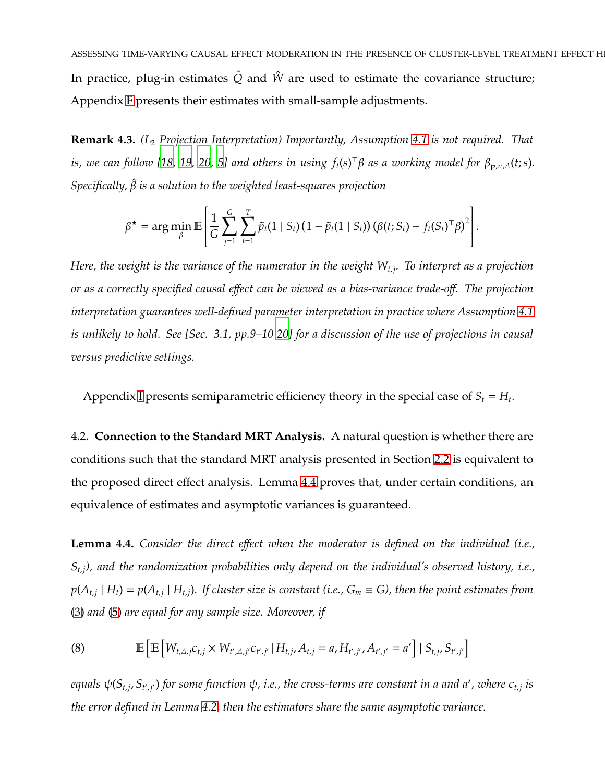In practice, plug-in estimates  $\hat{Q}$  and  $\hat{W}$  are used to estimate the covariance structure; Appendix [F](#page-36-0) presents their estimates with small-sample adjustments.

**Remark 4.3.** *(L*<sup>2</sup> *Projection Interpretation) Importantly, Assumption [4.1](#page-9-0) is not required. That is, we can follow [\[18](#page-20-9), [19](#page-20-10), [20](#page-21-0), [5](#page-19-4)] and others in using ft*(*s*) <sup>⊤</sup>β *as a working model for* β**<sup>p</sup>**,π,∆(*t*;*s*)*. Specifically,* βˆ *is a solution to the weighted least-squares projection*

$$
\beta^{\star} = \arg \min_{\beta} \mathbb{E} \left[ \frac{1}{G} \sum_{j=1}^{G} \sum_{t=1}^{T} \tilde{p}_t (1 \mid S_t) (1 - \tilde{p}_t (1 \mid S_t)) (\beta(t; S_t) - f_t (S_t)^{\top} \beta)^2 \right].
$$

*Here, the weight is the variance of the numerator in the weight W<sup>t</sup>*,*<sup>j</sup> . To interpret as a projection or as a correctly specified causal e*ff*ect can be viewed as a bias-variance trade-o*ff*. The projection interpretation guarantees well-defined parameter interpretation in practice where Assumption [4.1](#page-9-0) is unlikely to hold. See [Sec. 3.1, pp.9–10 [20](#page-21-0)] for a discussion of the use of projections in causal versus predictive settings.*

Appendix [I](#page-46-0) presents semiparametric efficiency theory in the special case of  $S_t = H_t$ .

4.2. **Connection to the Standard MRT Analysis.** A natural question is whether there are conditions such that the standard MRT analysis presented in Section [2.2](#page-1-0) is equivalent to the proposed direct effect analysis. Lemma [4.4](#page-10-0) proves that, under certain conditions, an equivalence of estimates and asymptotic variances is guaranteed.

<span id="page-10-0"></span>**Lemma 4.4.** *Consider the direct e*ff*ect when the moderator is defined on the individual (i.e., S<sup>t</sup>*,*<sup>j</sup>), and the randomization probabilities only depend on the individual's observed history, i.e.,*  $p(A_{t,j} | H_t) = p(A_{t,j} | H_{t,j})$ . If cluster size is constant (i.e.,  $G_m \equiv G$ ), then the point estimates from [\(3\)](#page-3-0) *and* [\(5\)](#page-5-1) *are equal for any sample size. Moreover, if*

<span id="page-10-1"></span>(8) 
$$
\mathbb{E}\left[\mathbb{E}\left[W_{t,A,j}\epsilon_{t,j} \times W_{t',A,j'}\epsilon_{t',j'} | H_{t,j}, A_{t,j} = a, H_{t',j'}, A_{t',j'} = a'\right] | S_{t,j}, S_{t',j'}\right]
$$

equals  $\psi(S_{t,j},S_{t',j'})$  for some function  $\psi$ , i.e., the cross-terms are constant in a and a', where  $\epsilon_{t,j}$  is *the error defined in Lemma [4.2,](#page-9-2) then the estimators share the same asymptotic variance.*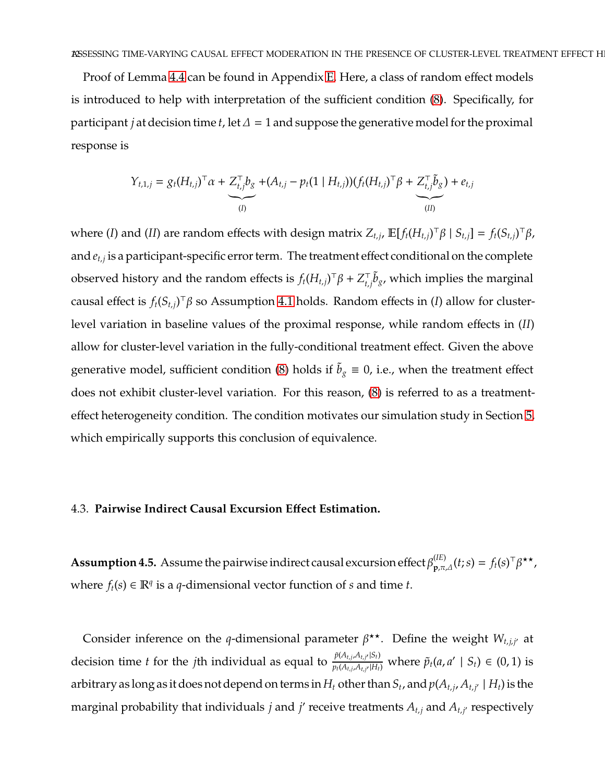Proof of Lemma [4.4](#page-10-0) can be found in Appendix [E.](#page-35-0) Here, a class of random effect models is introduced to help with interpretation of the sufficient condition [\(8\)](#page-10-1). Specifically, for participant *j* at decision time *t*, let  $\Delta = 1$  and suppose the generative model for the proximal response is

$$
Y_{t,1,j} = g_t(H_{t,j})^\top \alpha + \underbrace{Z_{t,j}^\top b_g}_{(I)} + (A_{t,j} - p_t(1 \mid H_{t,j})) (f_t(H_{t,j})^\top \beta + \underbrace{Z_{t,j}^\top \tilde{b}_g}_{(II)}) + e_{t,j}
$$

where (I) and (II) are random effects with design matrix  $Z_{t,j}$ ,  $\mathbb{E}[f_t(H_{t,j})^{\top} \beta \mid S_{t,j}] = f_t(S_{t,j})^{\top} \beta$ , and *e<sup>t</sup>*,*<sup>j</sup>* is a participant-specific error term. The treatment effect conditional on the complete observed history and the random effects is  $f_t(H_{t,j})^\top \beta + Z_{t,j}^\top \tilde{b}_g$ , which implies the marginal causal effect is *ft*(*S<sup>t</sup>*,*<sup>j</sup>*) <sup>⊤</sup>β so Assumption [4.1](#page-9-0) holds. Random effects in (*I*) allow for clusterlevel variation in baseline values of the proximal response, while random effects in (*II*) allow for cluster-level variation in the fully-conditional treatment effect. Given the above generative model, sufficient condition [\(8\)](#page-10-1) holds if  $\tilde{b}_g \equiv 0$ , i.e., when the treatment effect does not exhibit cluster-level variation. For this reason, [\(8\)](#page-10-1) is referred to as a treatmenteffect heterogeneity condition. The condition motivates our simulation study in Section [5,](#page-13-0) which empirically supports this conclusion of equivalence.

#### <span id="page-11-1"></span>4.3. **Pairwise Indirect Causal Excursion E**ff**ect Estimation.**

<span id="page-11-0"></span>**Assumption 4.5.** Assume the pairwise indirect causal excursion effect  $\beta_{\mathbf{p},\pi,\Delta}^{(IE)}(t;s) = f_t(s)^\top \beta^{\star\star}$ , where  $f_t(s) \in \mathbb{R}^q$  is a *q*-dimensional vector function of *s* and time *t*.

Consider inference on the *q*-dimensional parameter  $\beta^{\star\star}$ . Define the weight  $W_{t,j,j'}$  at decision time *t* for the *j*th individual as equal to  $\frac{\tilde{p}(A_{t,j}, A_{t,j'} | S_t)}{p_t(A_{t,j}, A_{t,j'} | H_t)}$  $p_t(A_{t,j}, A_{t,j'}|H_t)$  where  $\tilde{p}_t(a, a' | S_t) \in (0, 1)$  is arbitrary as long as it does not depend on terms in  $H_t$  other than  $S_t$  , and  $p(A_{t,j}, A_{t,j'} \mid H_t)$  is the marginal probability that individuals *j* and *j'* receive treatments  $A_{t,j}$  and  $A_{t,j'}$  respectively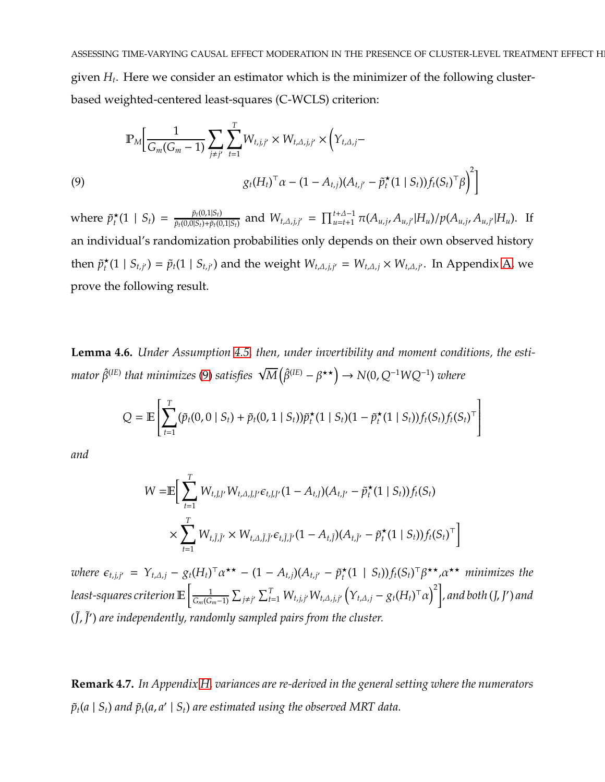ASSESSING TIME-VARYING CAUSAL EFFECT MODERATION IN THE PRESENCE OF CLUSTER-LEVEL TREATMENT EFFECT H given *H<sup>t</sup>* . Here we consider an estimator which is the minimizer of the following clusterbased weighted-centered least-squares (C-WCLS) criterion:

<span id="page-12-0"></span>(9)  
\n
$$
\mathbb{P}_M \Big[ \frac{1}{G_m(G_m - 1)} \sum_{j \neq j'} \sum_{t=1}^T W_{t,j,j'} \times W_{t,\Delta,j,j'} \times \Big( Y_{t,\Delta,j} - Y_{t,\Delta,j'} - \mathfrak{p}_t^*(1 \mid S_t) \Big) f_t(S_t)^\top \beta \Big)^2 \Big]
$$
\n
$$
(9)
$$

where  $\tilde{p}^{\star}_t$  $\frac{\dot{\tau}_t}{t}(1 \mid S_t) = \frac{\tilde{p}_t(0,1|S_t)}{\tilde{p}_t(0,0|S_t)+\tilde{p}_t(0)}$  $\frac{\tilde{p}_t(0,1|S_t)}{\tilde{p}_t(0,0|S_t)+\tilde{p}_t(0,1|S_t)}$  and  $W_{t,\Delta,j,j'} = \prod_{u=t+1}^{t+\Delta-1} \pi(A_{u,j},A_{u,j'}|H_u)/p(A_{u,j},A_{u,j'}|H_u)$ . If an individual's randomization probabilities only depends on their own observed history then  $\tilde{p}_t^{\star}(1 \mid S_{t,j'}) = \tilde{p}_t(1 \mid S_{t,j'})$  and the weight  $W_{t,\Delta,j,j'} = W_{t,\Delta,j} \times W_{t,\Delta,j'}$ . In Appendix [A,](#page-22-0) we prove the following result.

**Lemma 4.6.** *Under Assumption [4.5,](#page-11-0) then, under invertibility and moment conditions, the esti* $m$ ator  $\hat{\beta}^{(IE)}$  that minimizes [\(9\)](#page-12-0) satisfies  $\sqrt{M}\big(\hat{\beta}^{(IE)}-\beta^{\star\star}\big)\to N(0,Q^{-1}WQ^{-1})$  where

$$
Q = \mathbb{E}\left[\sum_{t=1}^T (\tilde{p}_t(0,0 \mid S_t) + \tilde{p}_t(0,1 \mid S_t))\tilde{p}_t^{\star}(1 \mid S_t)(1 - \tilde{p}_t^{\star}(1 \mid S_t))f_t(S_t)f_t(S_t)^{\top}\right]
$$

*and*

$$
W = \mathbb{E} \Big[ \sum_{t=1}^{T} W_{t,J,J'} W_{t,\Delta,J,J'} \epsilon_{t,J,J'} (1 - A_{t,J}) (A_{t,J'} - \tilde{p}_t^{\star} (1 \mid S_t)) f_t(S_t)
$$
  
 
$$
\times \sum_{t=1}^{T} W_{t,J,J'} \times W_{t,\Delta,J,J'} \epsilon_{t,J,J'} (1 - A_{t,J}) (A_{t,J'} - \tilde{p}_t^{\star} (1 \mid S_t)) f_t(S_t)^{\top} \Big]
$$

 $\chi$ *where*  $\epsilon_{t,j,j'} = Y_{t,\Delta,j} - g_t(H_t)^\top \alpha^{\star \star} - (1 - A_{t,j})(A_{t,j'} - \tilde{p}_t^{\star \star})$  $\mathcal{L}_t^{\star}(1 \mid S_t)) f_t(S_t)^\top \beta^{\star \star}, \alpha^{\star \star}$  *minimizes the least-squares criterion* E 1  $\frac{1}{G_m(G_m-1)}\sum_{j\neq j'}\sum_{t=1}^T W_{t,j,j'}W_{t,\Delta,j,j'}\left(Y_{t,\Delta,j}-g_t(H_t)^\top\alpha\right)^2\bigg]$  , and both (J, J') and ( ˜*J*, ˜*J* ′ ) *are independently, randomly sampled pairs from the cluster.*

**Remark 4.7.** *In Appendix [H,](#page-39-0) variances are re-derived in the general setting where the numerators*  $\tilde{p}_t(a \mid S_t)$  and  $\tilde{p}_t(a,a' \mid S_t)$  are estimated using the observed MRT data.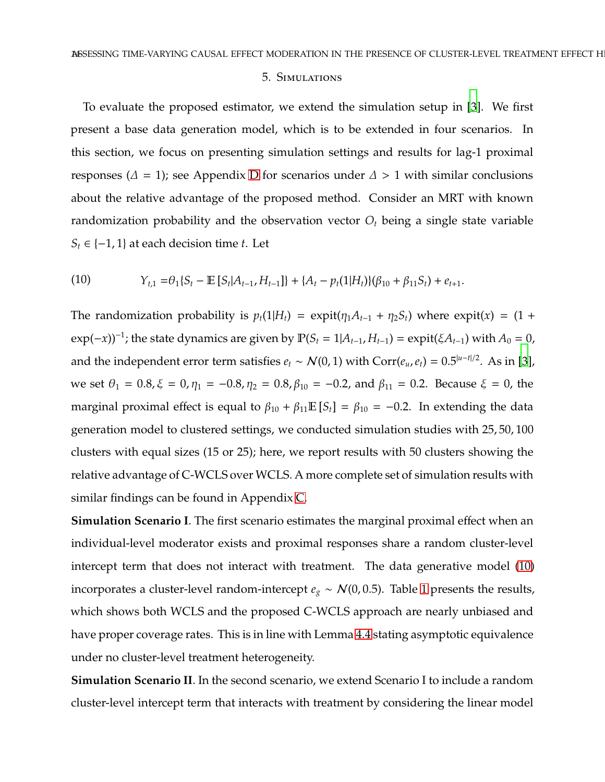#### 5. Simulations

<span id="page-13-0"></span>To evaluate the proposed estimator, we extend the simulation setup in [\[3\]](#page-19-2). We first present a base data generation model, which is to be extended in four scenarios. In this section, we focus on presenting simulation settings and results for lag-1 proximal responses ( $\Delta = 1$ ); see Appendix [D](#page-31-0) for scenarios under  $\Delta > 1$  with similar conclusions about the relative advantage of the proposed method. Consider an MRT with known randomization probability and the observation vector  $O_t$  being a single state variable  $S_t \in \{-1, 1\}$  at each decision time *t*. Let

<span id="page-13-1"></span>(10) 
$$
Y_{t,1} = \theta_1 \{ S_t - \mathbb{E} [S_t | A_{t-1}, H_{t-1}] \} + \{ A_t - p_t(1 | H_t) \} (\beta_{10} + \beta_{11} S_t) + e_{t+1}.
$$

The randomization probability is  $p_t(1|H_t) = \expit(\eta_1 A_{t-1} + \eta_2 S_t)$  where  $\expit(x) = (1 +$  $\exp(-x)$ <sup>-1</sup>; the state dynamics are given by  $\mathbb{P}(S_t = 1 | A_{t-1}, H_{t-1}) = \exp(\xi A_{t-1})$  with  $A_0 = 0$ , and the independent error term satisfies  $e_t \sim N(0, 1)$  with  $Corr(e_u, e_t) = 0.5^{|u-t|/2}$ . As in [\[3](#page-19-2)], we set  $\theta_1 = 0.8$ ,  $\xi = 0$ ,  $\eta_1 = -0.8$ ,  $\eta_2 = 0.8$ ,  $\beta_{10} = -0.2$ , and  $\beta_{11} = 0.2$ . Because  $\xi = 0$ , the marginal proximal effect is equal to  $\beta_{10} + \beta_{11} \mathbb{E}[S_t] = \beta_{10} = -0.2$ . In extending the data generation model to clustered settings, we conducted simulation studies with 25, 50, 100 clusters with equal sizes (15 or 25); here, we report results with 50 clusters showing the relative advantage of C-WCLS over WCLS. A more complete set of simulation results with similar findings can be found in Appendix [C.](#page-30-0)

**Simulation Scenario I**. The first scenario estimates the marginal proximal effect when an individual-level moderator exists and proximal responses share a random cluster-level intercept term that does not interact with treatment. The data generative model [\(10\)](#page-13-1) incorporates a cluster-level random-intercept  $e_g \sim \mathcal{N}(0, 0.5)$ . Table [1](#page-15-0) presents the results, which shows both WCLS and the proposed C-WCLS approach are nearly unbiased and have proper coverage rates. This is in line with Lemma [4.4](#page-10-0) stating asymptotic equivalence under no cluster-level treatment heterogeneity.

**Simulation Scenario II**. In the second scenario, we extend Scenario I to include a random cluster-level intercept term that interacts with treatment by considering the linear model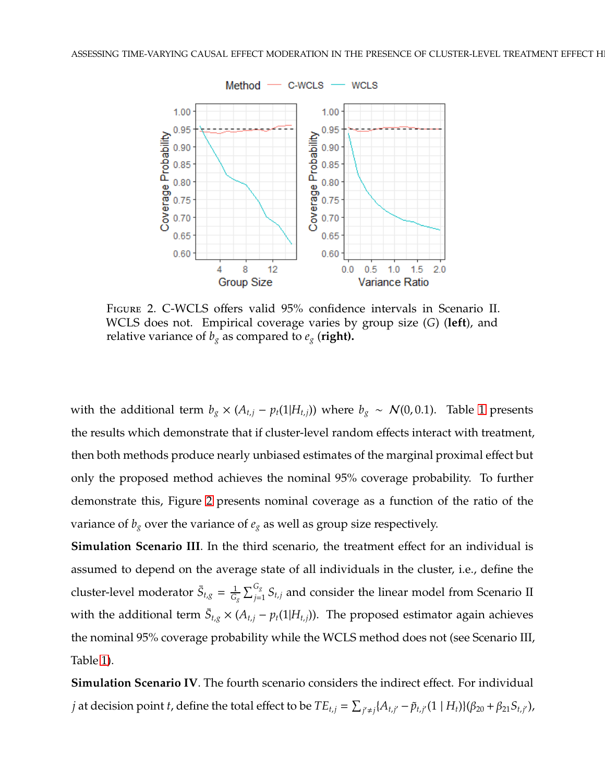<span id="page-14-0"></span>

Figure 2. C-WCLS offers valid 95% confidence intervals in Scenario II. WCLS does not. Empirical coverage varies by group size (*G*) (**left**), and relative variance of  $b_g$  as compared to  $e_g$  (right).

with the additional term  $b_g \times (A_{t,j} - p_t(1|H_{t,j}))$  where  $b_g \sim \mathcal{N}(0, 0.1)$ . Table [1](#page-15-0) presents the results which demonstrate that if cluster-level random effects interact with treatment, then both methods produce nearly unbiased estimates of the marginal proximal effect but only the proposed method achieves the nominal 95% coverage probability. To further demonstrate this, Figure [2](#page-14-0) presents nominal coverage as a function of the ratio of the variance of  $b_g$  over the variance of  $e_g$  as well as group size respectively.

**Simulation Scenario III**. In the third scenario, the treatment effect for an individual is assumed to depend on the average state of all individuals in the cluster, i.e., define the cluster-level moderator  $\bar{S}_{t,g} = \frac{1}{G}$  $\frac{1}{G_g}\sum_{j=1}^{G_g} S_{t,j}$  and consider the linear model from Scenario II with the additional term  $\bar{S}_{t,g} \times (A_{t,j} - p_t(1|H_{t,j}))$ . The proposed estimator again achieves the nominal 95% coverage probability while the WCLS method does not (see Scenario III, Table [1\)](#page-15-0).

**Simulation Scenario IV**. The fourth scenario considers the indirect effect. For individual *j* at decision point *t*, define the total effect to be  $TE_{t,j} = \sum_{j'\neq j} \{A_{t,j'} - \tilde{p}_{t,j'}(1\mid H_t)\} (\beta_{20} + \beta_{21}S_{t,j'}),$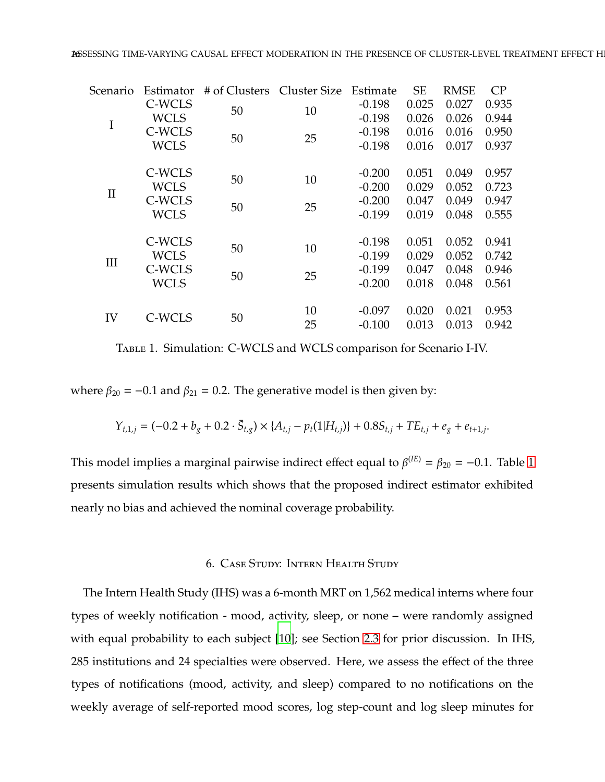<span id="page-15-0"></span>

| Scenario     | Estimator   | # of Clusters Cluster Size |    | Estimate | <b>SE</b> | <b>RMSE</b> | CP    |
|--------------|-------------|----------------------------|----|----------|-----------|-------------|-------|
|              | C-WCLS      | 50                         | 10 | $-0.198$ | 0.025     | 0.027       | 0.935 |
| $\mathbf I$  | <b>WCLS</b> |                            |    | $-0.198$ | 0.026     | 0.026       | 0.944 |
|              | C-WCLS      | 50                         | 25 | $-0.198$ | 0.016     | 0.016       | 0.950 |
|              | <b>WCLS</b> |                            |    | $-0.198$ | 0.016     | 0.017       | 0.937 |
|              | C-WCLS      |                            |    | $-0.200$ | 0.051     | 0.049       | 0.957 |
|              | <b>WCLS</b> | 50                         | 10 | $-0.200$ | 0.029     | 0.052       | 0.723 |
| $\mathbf{I}$ | C-WCLS      |                            |    | $-0.200$ | 0.047     | 0.049       | 0.947 |
|              | <b>WCLS</b> | 50                         | 25 | $-0.199$ | 0.019     | 0.048       | 0.555 |
|              | C-WCLS      |                            |    | $-0.198$ | 0.051     | 0.052       | 0.941 |
|              | <b>WCLS</b> | 50                         | 10 | $-0.199$ | 0.029     | 0.052       | 0.742 |
| Ш            | C-WCLS      |                            |    | $-0.199$ | 0.047     | 0.048       | 0.946 |
|              | <b>WCLS</b> | 50                         | 25 | $-0.200$ | 0.018     | 0.048       | 0.561 |
|              |             |                            | 10 | $-0.097$ | 0.020     | 0.021       | 0.953 |
| IV           | C-WCLS      | 50                         | 25 | $-0.100$ | 0.013     | 0.013       | 0.942 |
|              |             |                            |    |          |           |             |       |

Table 1. Simulation: C-WCLS and WCLS comparison for Scenario I-IV.

where  $\beta_{20} = -0.1$  and  $\beta_{21} = 0.2$ . The generative model is then given by:

$$
Y_{t,1,j} = (-0.2 + b_g + 0.2 \cdot \bar{S}_{t,g}) \times \{A_{t,j} - p_t(1|H_{t,j})\} + 0.8S_{t,j} + TE_{t,j} + e_g + e_{t+1,j}.
$$

This model implies a marginal pairwise indirect effect equal to  $\beta^{(IE)} = \beta_{20} = -0.1$ . Table [1](#page-15-0) presents simulation results which shows that the proposed indirect estimator exhibited nearly no bias and achieved the nominal coverage probability.

## 6. Case Study: Intern Health Study

The Intern Health Study (IHS) was a 6-month MRT on 1,562 medical interns where four types of weekly notification - mood, activity, sleep, or none – were randomly assigned with equal probability to each subject [\[10](#page-20-1)]; see Section [2.3](#page-3-1) for prior discussion. In IHS, 285 institutions and 24 specialties were observed. Here, we assess the effect of the three types of notifications (mood, activity, and sleep) compared to no notifications on the weekly average of self-reported mood scores, log step-count and log sleep minutes for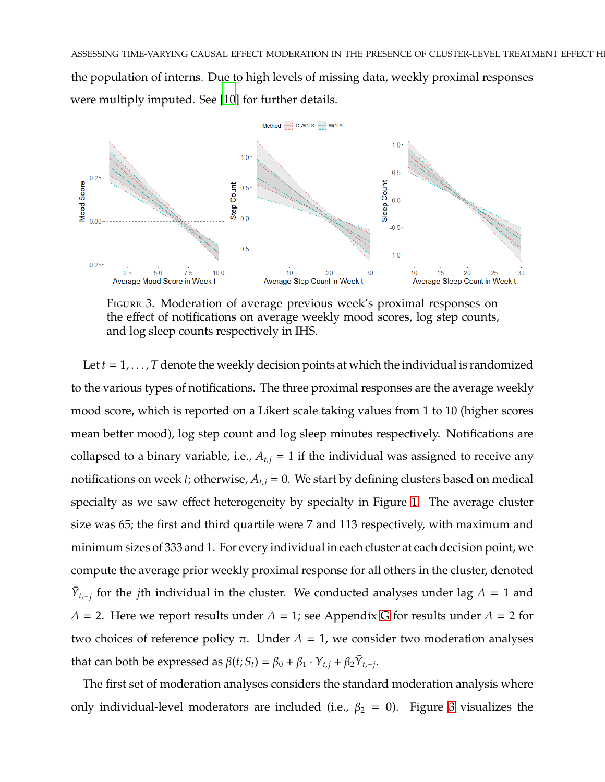ASSESSING TIME-VARYING CAUSAL EFFECT MODERATION IN THE PRESENCE OF CLUSTER-LEVEL TREATMENT EFFECT H the population of interns. Due to high levels of missing data, weekly proximal responses were multiply imputed. See [\[10\]](#page-20-1) for further details.

<span id="page-16-0"></span>

Figure 3. Moderation of average previous week's proximal responses on the effect of notifications on average weekly mood scores, log step counts, and log sleep counts respectively in IHS.

Let  $t = 1, \ldots, T$  denote the weekly decision points at which the individual is randomized to the various types of notifications. The three proximal responses are the average weekly mood score, which is reported on a Likert scale taking values from 1 to 10 (higher scores mean better mood), log step count and log sleep minutes respectively. Notifications are collapsed to a binary variable, i.e.,  $A_{t,j} = 1$  if the individual was assigned to receive any notifications on week *t*; otherwise,  $A_{t,j} = 0$ . We start by defining clusters based on medical specialty as we saw effect heterogeneity by specialty in Figure [1.](#page-4-0) The average cluster size was 65; the first and third quartile were 7 and 113 respectively, with maximum and minimum sizes of 333 and 1. For every individual in each cluster at each decision point, we compute the average prior weekly proximal response for all others in the cluster, denoted *Y*<sub>t,−j</sub> for the *j*th individual in the cluster. We conducted analyses under lag  $\Delta = 1$  and  $\Delta$  = 2. Here we report results under  $\Delta$  = 1; see Appendix [G](#page-37-0) for results under  $\Delta$  = 2 for two choices of reference policy π. Under  $Δ = 1$ , we consider two moderation analyses that can both be expressed as  $\beta(t; S_t) = \beta_0 + \beta_1 \cdot Y_{t,j} + \beta_2 \overline{Y}_{t,-j}$ .

The first set of moderation analyses considers the standard moderation analysis where only individual-level moderators are included (i.e.,  $\beta_2 = 0$ ). Figure [3](#page-16-0) visualizes the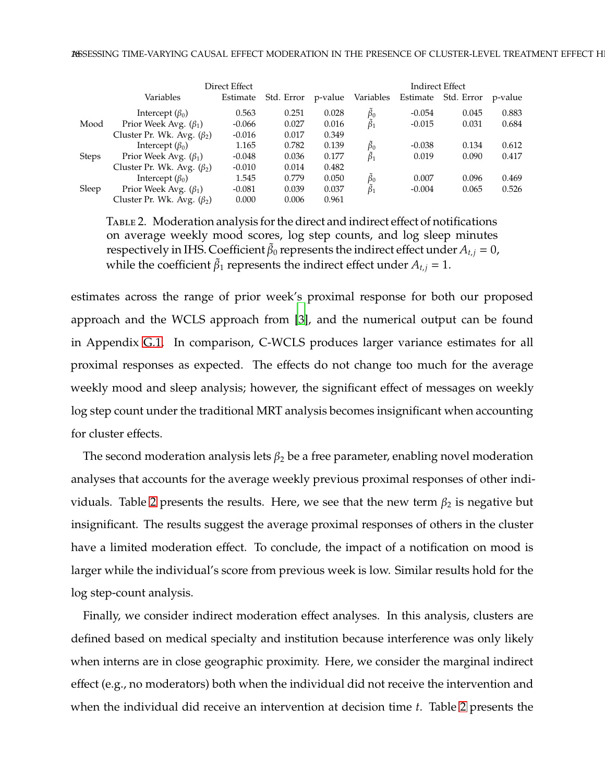<span id="page-17-0"></span>

|              |                                  | Direct Effect |            |         |                   |          | Indirect Effect |         |
|--------------|----------------------------------|---------------|------------|---------|-------------------|----------|-----------------|---------|
|              | Variables                        | Estimate      | Std. Error | p-value | Variables         | Estimate | Std. Error      | p-value |
|              | Intercept $(\beta_0)$            | 0.563         | 0.251      | 0.028   | $\beta_0$         | $-0.054$ | 0.045           | 0.883   |
| Mood         | Prior Week Avg. $(\beta_1)$      | $-0.066$      | 0.027      | 0.016   | $\tilde{\beta}_1$ | $-0.015$ | 0.031           | 0.684   |
|              | Cluster Pr. Wk. Avg. $(\beta_2)$ | $-0.016$      | 0.017      | 0.349   |                   |          |                 |         |
|              | Intercept $(\beta_0)$            | 1.165         | 0.782      | 0.139   | $\tilde{\beta}_0$ | $-0.038$ | 0.134           | 0.612   |
| <b>Steps</b> | Prior Week Avg. $(\beta_1)$      | $-0.048$      | 0.036      | 0.177   | $\tilde{\beta}_1$ | 0.019    | 0.090           | 0.417   |
|              | Cluster Pr. Wk. Avg. $(\beta_2)$ | $-0.010$      | 0.014      | 0.482   |                   |          |                 |         |
|              | Intercept $(\beta_0)$            | 1.545         | 0.779      | 0.050   | $\tilde{\beta}_0$ | 0.007    | 0.096           | 0.469   |
| Sleep        | Prior Week Avg. $(\beta_1)$      | $-0.081$      | 0.039      | 0.037   | $\tilde{\beta}_1$ | $-0.004$ | 0.065           | 0.526   |
|              | Cluster Pr. Wk. Avg. $(\beta_2)$ | 0.000         | 0.006      | 0.961   |                   |          |                 |         |

Table 2. Moderation analysis for the direct and indirect effect of notifications on average weekly mood scores, log step counts, and log sleep minutes respectively in IHS. Coefficient  $\tilde{\beta}_0$  represents the indirect effect under  $A_{t,j} = 0$ , while the coefficient  $\tilde{\beta}_1$  represents the indirect effect under  $A_{t,j} = 1$ .

estimates across the range of prior week's proximal response for both our proposed approach and the WCLS approach from [\[3](#page-19-2)], and the numerical output can be found in Appendix [G.1.](#page-37-1) In comparison, C-WCLS produces larger variance estimates for all proximal responses as expected. The effects do not change too much for the average weekly mood and sleep analysis; however, the significant effect of messages on weekly log step count under the traditional MRT analysis becomes insignificant when accounting for cluster effects.

The second moderation analysis lets  $\beta_2$  be a free parameter, enabling novel moderation analyses that accounts for the average weekly previous proximal responses of other indi-viduals. Table [2](#page-17-0) presents the results. Here, we see that the new term  $\beta_2$  is negative but insignificant. The results suggest the average proximal responses of others in the cluster have a limited moderation effect. To conclude, the impact of a notification on mood is larger while the individual's score from previous week is low. Similar results hold for the log step-count analysis.

Finally, we consider indirect moderation effect analyses. In this analysis, clusters are defined based on medical specialty and institution because interference was only likely when interns are in close geographic proximity. Here, we consider the marginal indirect effect (e.g., no moderators) both when the individual did not receive the intervention and when the individual did receive an intervention at decision time *t*. Table [2](#page-17-0) presents the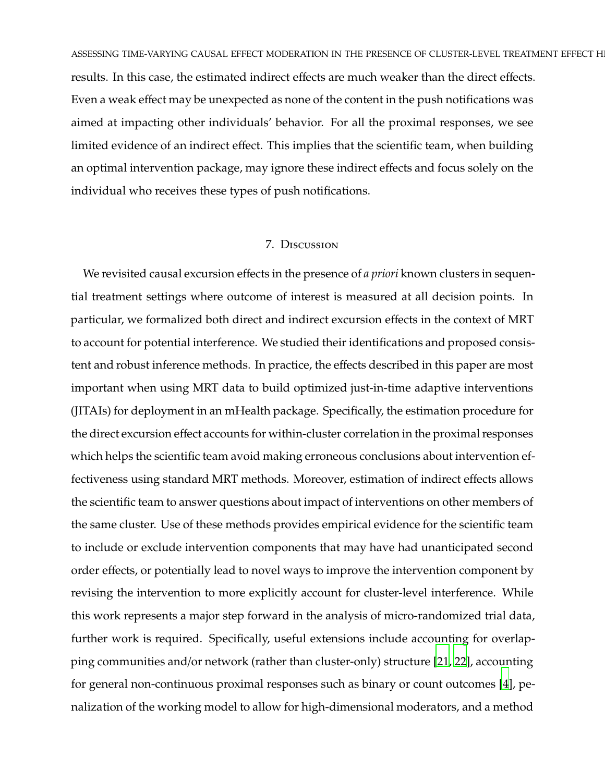ASSESSING TIME-VARYING CAUSAL EFFECT MODERATION IN THE PRESENCE OF CLUSTER-LEVEL TREATMENT EFFECT H results. In this case, the estimated indirect effects are much weaker than the direct effects. Even a weak effect may be unexpected as none of the content in the push notifications was aimed at impacting other individuals' behavior. For all the proximal responses, we see limited evidence of an indirect effect. This implies that the scientific team, when building

an optimal intervention package, may ignore these indirect effects and focus solely on the individual who receives these types of push notifications.

### 7. Discussion

We revisited causal excursion effects in the presence of *a priori* known clusters in sequential treatment settings where outcome of interest is measured at all decision points. In particular, we formalized both direct and indirect excursion effects in the context of MRT to account for potential interference. We studied their identifications and proposed consistent and robust inference methods. In practice, the effects described in this paper are most important when using MRT data to build optimized just-in-time adaptive interventions (JITAIs) for deployment in an mHealth package. Specifically, the estimation procedure for the direct excursion effect accounts for within-cluster correlation in the proximal responses which helps the scientific team avoid making erroneous conclusions about intervention effectiveness using standard MRT methods. Moreover, estimation of indirect effects allows the scientific team to answer questions about impact of interventions on other members of the same cluster. Use of these methods provides empirical evidence for the scientific team to include or exclude intervention components that may have had unanticipated second order effects, or potentially lead to novel ways to improve the intervention component by revising the intervention to more explicitly account for cluster-level interference. While this work represents a major step forward in the analysis of micro-randomized trial data, further work is required. Specifically, useful extensions include accounting for overlapping communities and/or network (rather than cluster-only) structure [\[21,](#page-21-1) [22](#page-21-2)], accounting for general non-continuous proximal responses such as binary or count outcomes [\[4](#page-19-3)], penalization of the working model to allow for high-dimensional moderators, and a method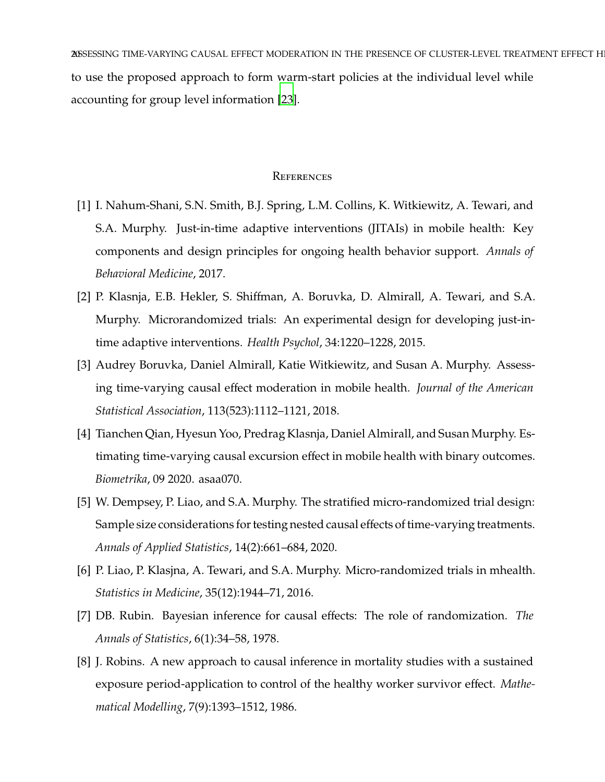20SSESSING TIME-VARYING CAUSAL EFFECT MODERATION IN THE PRESENCE OF CLUSTER-LEVEL TREATMENT EFFECT H to use the proposed approach to form warm-start policies at the individual level while accounting for group level information [\[23\]](#page-21-3).

## **REFERENCES**

- <span id="page-19-0"></span>[1] I. Nahum-Shani, S.N. Smith, B.J. Spring, L.M. Collins, K. Witkiewitz, A. Tewari, and S.A. Murphy. Just-in-time adaptive interventions (JITAIs) in mobile health: Key components and design principles for ongoing health behavior support. *Annals of Behavioral Medicine*, 2017.
- <span id="page-19-1"></span>[2] P. Klasnja, E.B. Hekler, S. Shiffman, A. Boruvka, D. Almirall, A. Tewari, and S.A. Murphy. Microrandomized trials: An experimental design for developing just-intime adaptive interventions. *Health Psychol*, 34:1220–1228, 2015.
- <span id="page-19-2"></span>[3] Audrey Boruvka, Daniel Almirall, Katie Witkiewitz, and Susan A. Murphy. Assessing time-varying causal effect moderation in mobile health. *Journal of the American Statistical Association*, 113(523):1112–1121, 2018.
- <span id="page-19-3"></span>[4] Tianchen Qian, Hyesun Yoo, Predrag Klasnja, Daniel Almirall, and Susan Murphy. Estimating time-varying causal excursion effect in mobile health with binary outcomes. *Biometrika*, 09 2020. asaa070.
- <span id="page-19-4"></span>[5] W. Dempsey, P. Liao, and S.A. Murphy. The stratified micro-randomized trial design: Sample size considerations for testing nested causal effects of time-varying treatments. *Annals of Applied Statistics*, 14(2):661–684, 2020.
- <span id="page-19-5"></span>[6] P. Liao, P. Klasjna, A. Tewari, and S.A. Murphy. Micro-randomized trials in mhealth. *Statistics in Medicine*, 35(12):1944–71, 2016.
- <span id="page-19-6"></span>[7] DB. Rubin. Bayesian inference for causal effects: The role of randomization. *The Annals of Statistics*, 6(1):34–58, 1978.
- <span id="page-19-7"></span>[8] J. Robins. A new approach to causal inference in mortality studies with a sustained exposure period-application to control of the healthy worker survivor effect. *Mathematical Modelling*, 7(9):1393–1512, 1986.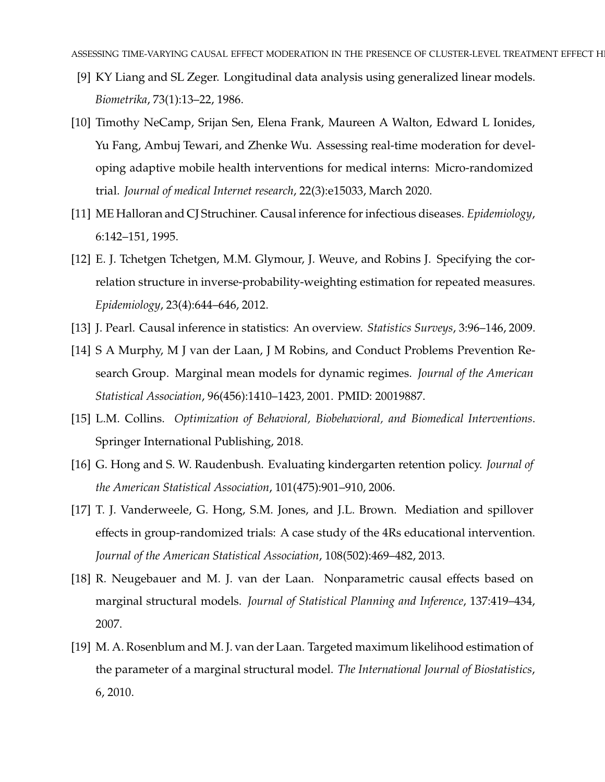- <span id="page-20-0"></span>[9] KY Liang and SL Zeger. Longitudinal data analysis using generalized linear models. *Biometrika*, 73(1):13–22, 1986.
- <span id="page-20-1"></span>[10] Timothy NeCamp, Srijan Sen, Elena Frank, Maureen A Walton, Edward L Ionides, Yu Fang, Ambuj Tewari, and Zhenke Wu. Assessing real-time moderation for developing adaptive mobile health interventions for medical interns: Micro-randomized trial. *Journal of medical Internet research*, 22(3):e15033, March 2020.
- <span id="page-20-2"></span>[11] ME Halloran and CJ Struchiner. Causal inference for infectious diseases. *Epidemiology*, 6:142–151, 1995.
- <span id="page-20-3"></span>[12] E. J. Tchetgen Tchetgen, M.M. Glymour, J. Weuve, and Robins J. Specifying the correlation structure in inverse-probability-weighting estimation for repeated measures. *Epidemiology*, 23(4):644–646, 2012.
- <span id="page-20-4"></span>[13] J. Pearl. Causal inference in statistics: An overview. *Statistics Surveys*, 3:96–146, 2009.
- <span id="page-20-5"></span>[14] S A Murphy, M J van der Laan, J M Robins, and Conduct Problems Prevention Research Group. Marginal mean models for dynamic regimes. *Journal of the American Statistical Association*, 96(456):1410–1423, 2001. PMID: 20019887.
- <span id="page-20-6"></span>[15] L.M. Collins. *Optimization of Behavioral, Biobehavioral, and Biomedical Interventions*. Springer International Publishing, 2018.
- <span id="page-20-7"></span>[16] G. Hong and S. W. Raudenbush. Evaluating kindergarten retention policy. *Journal of the American Statistical Association*, 101(475):901–910, 2006.
- <span id="page-20-8"></span>[17] T. J. Vanderweele, G. Hong, S.M. Jones, and J.L. Brown. Mediation and spillover effects in group-randomized trials: A case study of the 4Rs educational intervention. *Journal of the American Statistical Association*, 108(502):469–482, 2013.
- <span id="page-20-9"></span>[18] R. Neugebauer and M. J. van der Laan. Nonparametric causal effects based on marginal structural models. *Journal of Statistical Planning and Inference*, 137:419–434, 2007.
- <span id="page-20-10"></span>[19] M. A. Rosenblum and M. J. van der Laan. Targeted maximum likelihood estimation of the parameter of a marginal structural model. *The International Journal of Biostatistics*, 6, 2010.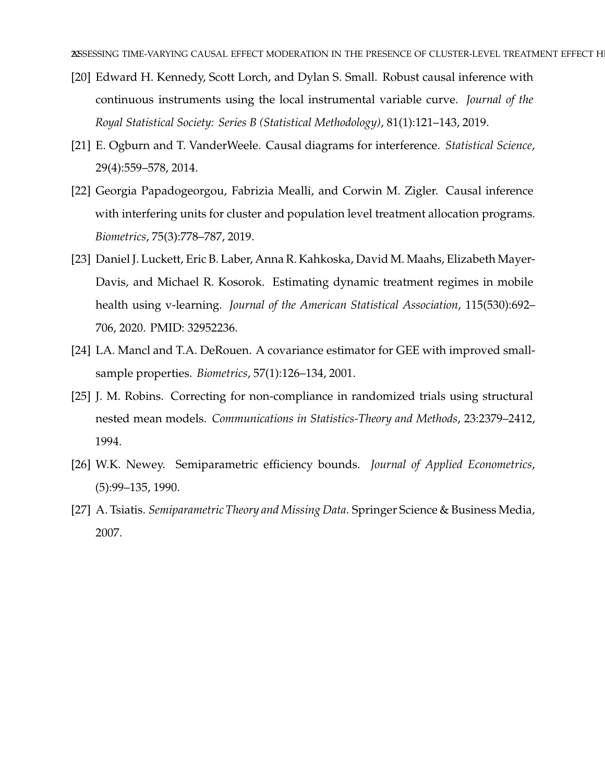- <span id="page-21-0"></span>[20] Edward H. Kennedy, Scott Lorch, and Dylan S. Small. Robust causal inference with continuous instruments using the local instrumental variable curve. *Journal of the Royal Statistical Society: Series B (Statistical Methodology)*, 81(1):121–143, 2019.
- <span id="page-21-1"></span>[21] E. Ogburn and T. VanderWeele. Causal diagrams for interference. *Statistical Science*, 29(4):559–578, 2014.
- <span id="page-21-2"></span>[22] Georgia Papadogeorgou, Fabrizia Mealli, and Corwin M. Zigler. Causal inference with interfering units for cluster and population level treatment allocation programs. *Biometrics*, 75(3):778–787, 2019.
- <span id="page-21-3"></span>[23] Daniel J. Luckett, Eric B. Laber, Anna R. Kahkoska, David M. Maahs, Elizabeth Mayer-Davis, and Michael R. Kosorok. Estimating dynamic treatment regimes in mobile health using v-learning. *Journal of the American Statistical Association*, 115(530):692– 706, 2020. PMID: 32952236.
- <span id="page-21-4"></span>[24] LA. Mancl and T.A. DeRouen. A covariance estimator for GEE with improved smallsample properties. *Biometrics*, 57(1):126–134, 2001.
- <span id="page-21-5"></span>[25] J. M. Robins. Correcting for non-compliance in randomized trials using structural nested mean models. *Communications in Statistics-Theory and Methods*, 23:2379–2412, 1994.
- <span id="page-21-6"></span>[26] W.K. Newey. Semiparametric efficiency bounds. *Journal of Applied Econometrics*, (5):99–135, 1990.
- <span id="page-21-7"></span>[27] A. Tsiatis. *Semiparametric Theory and Missing Data*. Springer Science & Business Media, 2007.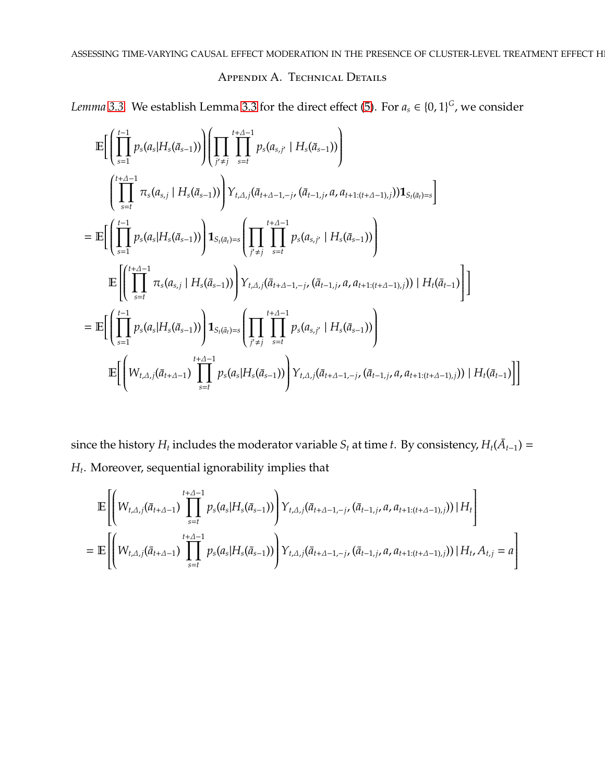## APPENDIX A. TECHNICAL DETAILS

<span id="page-22-0"></span>*Lemma* [3.3.](#page-8-0) We establish Lemma [3.3](#page-8-0) for the direct effect [\(5\)](#page-5-1). For  $a_s \in \{0, 1\}^G$ , we consider

$$
\mathbb{E}\Bigg[\Bigg(\prod_{s=1}^{t-1} p_s(a_s|H_s(\bar{a}_{s-1}))\Bigg)\Bigg(\prod_{j'\neq j}\prod_{s=t}^{t+\Delta-1} p_s(a_{s,j'}|H_s(\bar{a}_{s-1}))\Bigg)\\
= \mathbb{E}\Bigg[\Bigg(\prod_{s=1}^{t+\Delta-1} \pi_s(a_{s,j}|H_s(\bar{a}_{s-1}))\Bigg)Y_{t,\Delta,j}(\bar{a}_{t+\Delta-1,-j},(\bar{a}_{t-1,j},a,a_{t+1:(t+\Delta-1),j}))\mathbf{1}_{S_t(\bar{a}_t)=s}\Bigg]\\
= \mathbb{E}\Bigg[\Bigg(\prod_{s=1}^{t-1} p_s(a_s|H_s(\bar{a}_{s-1}))\Bigg)\mathbf{1}_{S_t(\bar{a}_t)=s}\Bigg(\prod_{j'\neq j}\prod_{s=t}^{t+\Delta-1} p_s(a_{s,j'}|H_s(\bar{a}_{s-1}))\Bigg)\\
\mathbb{E}\Bigg[\Bigg(\prod_{s=t}^{t+\Delta-1} \pi_s(a_{s,j}|H_s(\bar{a}_{s-1}))\Bigg)Y_{t,\Delta,j}(\bar{a}_{t+\Delta-1,-j},(\bar{a}_{t-1,j},a,a_{t+1:(t+\Delta-1),j}))|H_t(\bar{a}_{t-1})\Bigg]\Bigg]\\
= \mathbb{E}\Bigg[\Bigg(\prod_{s=1}^{t-1} p_s(a_s|H_s(\bar{a}_{s-1}))\Bigg)\mathbf{1}_{S_t(\bar{a}_t)=s}\Bigg(\prod_{j'\neq j}\prod_{s=t}^{t+\Delta-1} p_s(a_{s,j'}|H_s(\bar{a}_{s-1}))\Bigg)\\
\mathbb{E}\Bigg[\Bigg(W_{t,\Delta,j}(\bar{a}_{t+\Delta-1})\prod_{s=t}^{t+\Delta-1} p_s(a_s|H_s(\bar{a}_{s-1}))\Bigg)Y_{t,\Delta,j}(\bar{a}_{t+\Delta-1,-j},(\bar{a}_{t-1,j},a,a_{t+1:(t+\Delta-1),j}))|H_t(\bar{a}_{t-1})\Bigg]\Bigg]
$$

since the history  $H_t$  includes the moderator variable  $S_t$  at time  $t$ . By consistency,  $H_t(\bar{A}_{t-1}) =$ *Ht* . Moreover, sequential ignorability implies that

$$
\mathbb{E}\left[\left(W_{t,\Delta,j}(\bar{a}_{t+\Delta-1})\prod_{s=t}^{t+\Delta-1}p_s(a_s|H_s(\bar{a}_{s-1}))\right)Y_{t,\Delta,j}(\bar{a}_{t+\Delta-1,-j},(\bar{a}_{t-1,j},a,a_{t+1:(t+\Delta-1),j}))|H_t\right]
$$
\n
$$
=\mathbb{E}\left[\left(W_{t,\Delta,j}(\bar{a}_{t+\Delta-1})\prod_{s=t}^{t+\Delta-1}p_s(a_s|H_s(\bar{a}_{s-1}))\right)Y_{t,\Delta,j}(\bar{a}_{t+\Delta-1,-j},(\bar{a}_{t-1,j},a,a_{t+1:(t+\Delta-1),j}))|H_t,A_{t,j}=a\right]
$$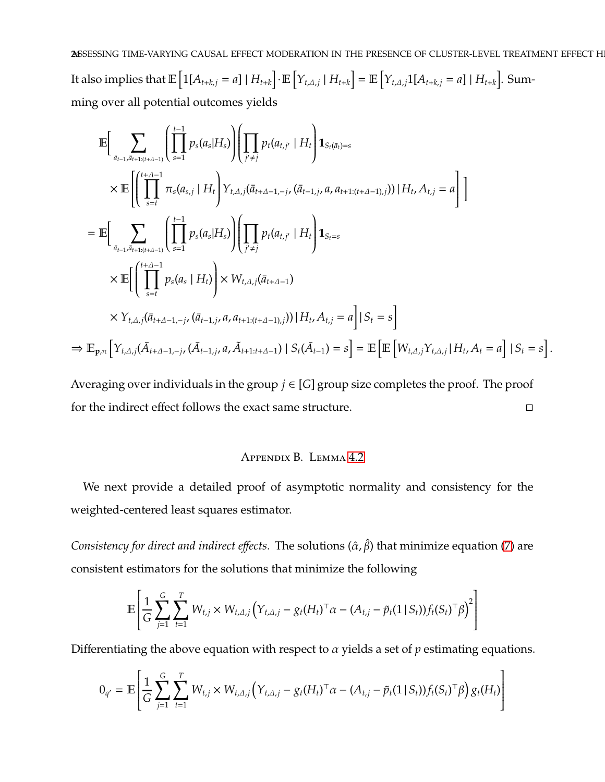24SSESSING TIME-VARYING CAUSAL EFFECT MODERATION IN THE PRESENCE OF CLUSTER-LEVEL TREATMENT EFFECT H It also implies that  $\mathbb{E}\left[1[A_{t+k,j}=a]\mid H_{t+k}\right]\cdot \mathbb{E}\left[Y_{t,\Delta,j}\mid H_{t+k}\right]=\mathbb{E}\left[Y_{t,\Delta,j}1[A_{t+k,j}=a]\mid H_{t+k}\right]$ . Summing over all potential outcomes yields

$$
\mathbb{E}\Big[\sum_{\bar{a}_{t-1},\bar{a}_{t+1:(t+\Delta-1)}}\left(\prod_{s=1}^{t-1} p_s(a_s|H_s)\right)\Big(\prod_{j'\neq j} p_t(a_{t,j'}\mid H_t\bigg)\mathbf{1}_{S_t(\bar{a}_t)=s} \times \mathbb{E}\Big[\Big(\prod_{s=t}^{t+\Delta-1} \pi_s(a_{s,j}\mid H_t\bigg) Y_{t,\Delta,j}(\bar{a}_{t+\Delta-1,-j},(\bar{a}_{t-1,j},a,a_{t+1:(t+\Delta-1),j}))\mid H_t, A_{t,j} = a\Big]\Big]
$$
\n
$$
= \mathbb{E}\Big[\sum_{\bar{a}_{t-1},\bar{a}_{t+1:(t+\Delta-1)}}\left(\prod_{s=1}^{t-1} p_s(a_s|H_s)\right)\Big(\prod_{j'\neq j} p_t(a_{t,j'}\mid H_t\bigg)\mathbf{1}_{S_t=s} \times \mathbb{E}\Big[\Big(\prod_{s=t}^{t+\Delta-1} p_s(a_s\mid H_t)\Big)\times W_{t,\Delta,j}(\bar{a}_{t+\Delta-1}) \times Y_{t,\Delta,j}(\bar{a}_{t+\Delta-1,-j},(\bar{a}_{t-1,j},a,a_{t+1:(t+\Delta-1),j}))\mid H_t, A_{t,j} = a\Big|\mid S_t = s\Big]
$$
\n
$$
\Rightarrow \mathbb{E}_{\mathbf{p},\pi}\Big[Y_{t,\Delta,j}(\bar{A}_{t+\Delta-1,-j},(\bar{A}_{t-1,j},a,\tilde{A}_{t+1:t+\Delta-1})\mid S_t(\bar{A}_{t-1}) = s\Big] = \mathbb{E}\Big[\mathbb{E}\Big[W_{t,\Delta,j}Y_{t,\Delta,j}\mid H_t, A_t = a\Big]\mid S_t = s\Big].
$$

<span id="page-23-0"></span>Averaging over individuals in the group  $j \in [G]$  group size completes the proof. The proof for the indirect effect follows the exact same structure.

# Appendix B. Lemma [4.2](#page-9-2)

We next provide a detailed proof of asymptotic normality and consistency for the weighted-centered least squares estimator.

*Consistency for direct and indirect effects*. The solutions ( $\hat{\alpha}$ , $\hat{\beta}$ ) that minimize equation [\(7\)](#page-9-1) are consistent estimators for the solutions that minimize the following

$$
\mathbb{E}\left[\frac{1}{G}\sum_{j=1}^{G}\sum_{t=1}^{T}W_{t,j}\times W_{t,\Delta,j}(Y_{t,\Delta,j}-g_{t}(H_{t})^{\top}\alpha-(A_{t,j}-\tilde{p}_{t}(1\,|\,S_{t}))f_{t}(S_{t})^{\top}\beta)^{2}\right]
$$

Differentiating the above equation with respect to α yields a set of *p* estimating equations.

$$
0_{q'} = \mathbb{E}\left[\frac{1}{G}\sum_{j=1}^{G}\sum_{t=1}^{T}W_{t,j} \times W_{t,\Delta,j} \left(Y_{t,\Delta,j} - g_t (H_t)^{\top} \alpha - (A_{t,j} - \tilde{p}_t (1 \,|\, S_t)) f_t (S_t)^{\top} \beta\right) g_t (H_t)\right]
$$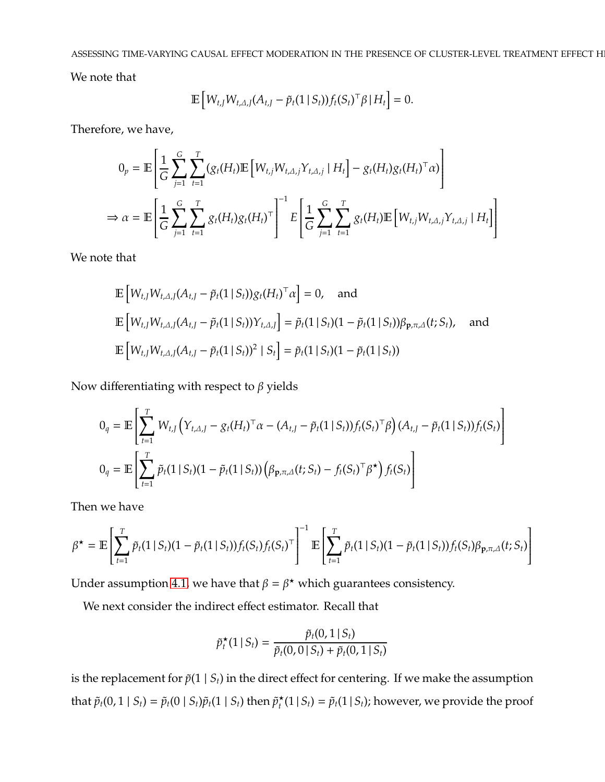ASSESSING TIME-VARYING CAUSAL EFFECT MODERATION IN THE PRESENCE OF CLUSTER-LEVEL TREATMENT EFFECT H

We note that

$$
\mathbb{E}\left[W_{t,J}W_{t,\Delta,J}(A_{t,J}-\tilde{p}_t(1\,|\,S_t))f_t(S_t)^{\top}\beta\,|\,H_t\right]=0.
$$

Therefore, we have,

$$
0_p = \mathbb{E}\left[\frac{1}{G}\sum_{j=1}^G\sum_{t=1}^T(g_t(H_t)\mathbb{E}\left[W_{t,j}W_{t,\Delta,j}Y_{t,\Delta,j} | H_t\right] - g_t(H_t)g_t(H_t)^{\top}\alpha)\right]
$$
  
\n
$$
\Rightarrow \alpha = \mathbb{E}\left[\frac{1}{G}\sum_{j=1}^G\sum_{t=1}^T g_t(H_t)g_t(H_t)^{\top}\right]^{-1} E\left[\frac{1}{G}\sum_{j=1}^G\sum_{t=1}^T g_t(H_t)\mathbb{E}\left[W_{t,j}W_{t,\Delta,j}Y_{t,\Delta,j} | H_t\right]\right]
$$

We note that

$$
\mathbb{E}\left[W_{t,J}W_{t,\Delta,J}(A_{t,J}-\tilde{p}_t(1\,|\,S_t))g_t(H_t)^{\top}\alpha\right]=0, \text{ and}
$$
\n
$$
\mathbb{E}\left[W_{t,J}W_{t,\Delta,J}(A_{t,J}-\tilde{p}_t(1\,|\,S_t))Y_{t,\Delta,J}\right]=\tilde{p}_t(1\,|\,S_t)(1-\tilde{p}_t(1\,|\,S_t))\beta_{\mathbf{p},\pi,\Delta}(t;S_t), \text{ and}
$$
\n
$$
\mathbb{E}\left[W_{t,J}W_{t,\Delta,J}(A_{t,J}-\tilde{p}_t(1\,|\,S_t))^2\mid S_t\right]=\tilde{p}_t(1\,|\,S_t)(1-\tilde{p}_t(1\,|\,S_t))
$$

Now differentiating with respect to  $\beta$  yields

$$
0_{q} = \mathbb{E}\left[\sum_{t=1}^{T} W_{t,J} \left(Y_{t,\Delta,J} - g_{t}(H_{t})^{\top}\alpha - (A_{t,J} - \tilde{p}_{t}(1 \mid S_{t}))f_{t}(S_{t})^{\top}\beta\right)(A_{t,J} - \tilde{p}_{t}(1 \mid S_{t}))f_{t}(S_{t})\right]
$$
  

$$
0_{q} = \mathbb{E}\left[\sum_{t=1}^{T} \tilde{p}_{t}(1 \mid S_{t})(1 - \tilde{p}_{t}(1 \mid S_{t}))\left(\beta_{\mathbf{p},\pi,\Delta}(t; S_{t}) - f_{t}(S_{t})^{\top}\beta^{\star}\right)f_{t}(S_{t})\right]
$$

Then we have

$$
\beta^{\star} = \mathbb{E}\left[\sum_{t=1}^{T} \tilde{p}_t(1 \mid S_t)(1 - \tilde{p}_t(1 \mid S_t))f_t(S_t)f_t(S_t)^{\top}\right]^{-1} \mathbb{E}\left[\sum_{t=1}^{T} \tilde{p}_t(1 \mid S_t)(1 - \tilde{p}_t(1 \mid S_t))f_t(S_t)\beta_{\mathbf{p},\pi,\Delta}(t;S_t)\right]
$$

Under assumption [4.1,](#page-9-0) we have that  $\beta = \beta^*$  which guarantees consistency.

We next consider the indirect effect estimator. Recall that

$$
\tilde{p}_t^{\star}(1 \,|\, S_t) = \frac{\tilde{p}_t(0, 1 \,|\, S_t)}{\tilde{p}_t(0, 0 \,|\, S_t) + \tilde{p}_t(0, 1 \,|\, S_t)}
$$

is the replacement for  $\tilde{p}(1 | S_t)$  in the direct effect for centering. If we make the assumption that  $\tilde{p}_t(0, 1 | S_t) = \tilde{p}_t(0 | S_t) \tilde{p}_t(1 | S_t)$  then  $\tilde{p}_t^{\star}$  $\tilde{p}_t(1 | S_t) = \tilde{p}_t(1 | S_t)$ ; however, we provide the proof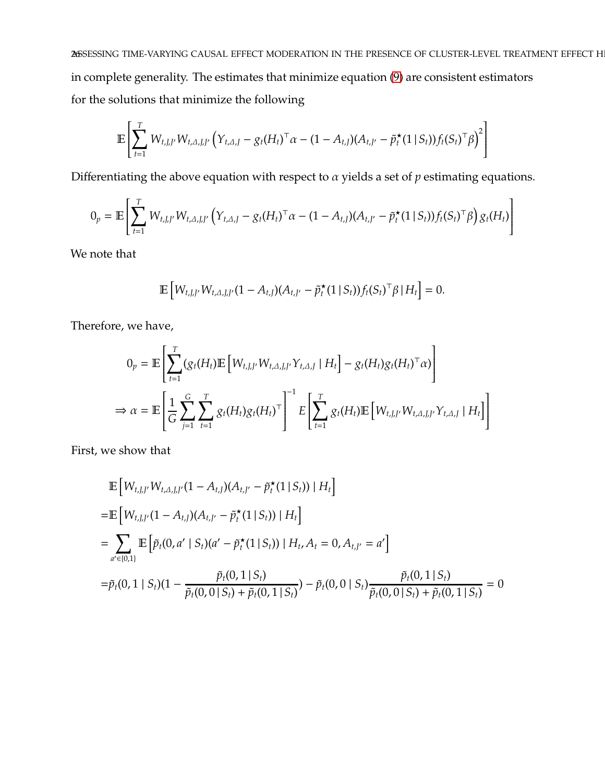26SESSING TIME-VARYING CAUSAL EFFECT MODERATION IN THE PRESENCE OF CLUSTER-LEVEL TREATMENT EFFECT H in complete generality. The estimates that minimize equation [\(9\)](#page-12-0) are consistent estimators for the solutions that minimize the following

$$
\mathbb{E}\left[\sum_{t=1}^T W_{t,J,J'} W_{t,\Delta,J,J'} \left(Y_{t,\Delta,J} - g_t (H_t)^{\top} \alpha - (1-A_{t,J})(A_{t,J'} - \tilde{p}_t^{\star}(1 \,|\, S_t)) f_t (S_t)^{\top} \beta\right)^2\right]
$$

Differentiating the above equation with respect to α yields a set of *p* estimating equations.

$$
0_p = \mathbb{E}\left[\sum_{t=1}^T W_{t,J,J'} W_{t,\Delta,J,J'} \left(Y_{t,\Delta,J} - g_t (H_t)^{\top} \alpha - (1 - A_{t,J}) (A_{t,J'} - \tilde{p}_t^{\star}(1 \,|\, S_t)) f_t (S_t)^{\top} \beta\right) g_t (H_t)\right]
$$

We note that

$$
\mathbb{E}\left[W_{t,J,J'}W_{t,\Delta,J,J'}(1-A_{t,J})(A_{t,J'}-\tilde{p}_t^{\star}(1\,|\,S_t))f_t(S_t)^{\top}\beta\,|\,H_t\right]=0.
$$

Therefore, we have,

$$
0_p = \mathbb{E}\left[\sum_{t=1}^T (g_t(H_t)\mathbb{E}\left[W_{t,J,J}, W_{t,\Delta,J,J}, Y_{t,\Delta,J} | H_t\right] - g_t(H_t)g_t(H_t)^{\top}\alpha)\right]
$$
  
\n
$$
\Rightarrow \alpha = \mathbb{E}\left[\frac{1}{G}\sum_{j=1}^G \sum_{t=1}^T g_t(H_t)g_t(H_t)^{\top}\right]^{-1} E\left[\sum_{t=1}^T g_t(H_t)\mathbb{E}\left[W_{t,J,J}, W_{t,\Delta,J,J}, Y_{t,\Delta,J} | H_t\right]\right]
$$

First, we show that

$$
\mathbb{E}\left[W_{t,J,J'}W_{t,\Delta,J,J'}(1-A_{t,J})(A_{t,J'}-\tilde{p}_t^*(1\,|\,S_t))\mid H_t\right]
$$
\n
$$
=\mathbb{E}\left[W_{t,J,J'}(1-A_{t,J})(A_{t,J'}-\tilde{p}_t^*(1\,|\,S_t))\mid H_t\right]
$$
\n
$$
=\sum_{a'\in\{0,1\}}\mathbb{E}\left[\tilde{p}_t(0,a'\mid S_t)(a'-\tilde{p}_t^*(1\,|\,S_t))\mid H_t,A_t=0,A_{t,J'}=a'\right]
$$
\n
$$
=\tilde{p}_t(0,1\mid S_t)(1-\frac{\tilde{p}_t(0,1\,|\,S_t)}{\tilde{p}_t(0,0\,|\,S_t)+\tilde{p}_t(0,1\,|\,S_t)})-\tilde{p}_t(0,0\mid S_t)\frac{\tilde{p}_t(0,1\,|\,S_t)}{\tilde{p}_t(0,0\,|\,S_t)+\tilde{p}_t(0,1\,|\,S_t)}=0
$$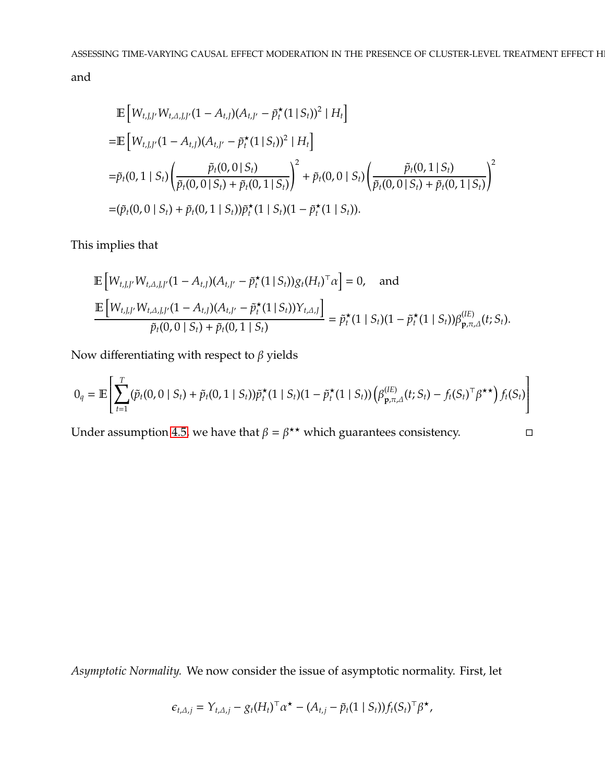and

$$
\begin{split}\n&\mathbb{E}\left[W_{t,J,J'}W_{t,\Delta,J,J'}(1-A_{t,J})(A_{t,J'}-\tilde{p}_t^{\star}(1\,|\,S_t))^2\mid H_t\right] \\
&=\mathbb{E}\left[W_{t,J,J'}(1-A_{t,J})(A_{t,J'}-\tilde{p}_t^{\star}(1\,|\,S_t))^2\mid H_t\right] \\
&=\tilde{p}_t(0,1\,|\,S_t)\left(\frac{\tilde{p}_t(0,0\,|\,S_t)}{\tilde{p}_t(0,0\,|\,S_t)+\tilde{p}_t(0,1\,|\,S_t)}\right)^2 + \tilde{p}_t(0,0\,|\,S_t)\left(\frac{\tilde{p}_t(0,1\,|\,S_t)}{\tilde{p}_t(0,0\,|\,S_t)+\tilde{p}_t(0,1\,|\,S_t)}\right)^2 \\
&=\left(\tilde{p}_t(0,0\,|\,S_t)+\tilde{p}_t(0,1\,|\,S_t)\right)\tilde{p}_t^{\star}(1\,|\,S_t)(1-\tilde{p}_t^{\star}(1\,|\,S_t)).\n\end{split}
$$

This implies that

$$
\mathbb{E}\left[W_{t,J,J'}W_{t,\Delta,J,J'}(1-A_{t,J})(A_{t,J'}-\tilde{p}_t^{\star}(1\,|\,S_t))g_t(H_t)^{\top}\alpha\right]=0, \text{ and}
$$
\n
$$
\frac{\mathbb{E}\left[W_{t,J,J'}W_{t,\Delta,J,J'}(1-A_{t,J})(A_{t,J'}-\tilde{p}_t^{\star}(1\,|\,S_t))Y_{t,\Delta,J}\right]}{\tilde{p}_t(0,0\,|\,S_t)+\tilde{p}_t(0,1\,|\,S_t)}=\tilde{p}_t^{\star}(1\,|\,S_t)(1-\tilde{p}_t^{\star}(1\,|\,S_t))\beta_{\mathbf{p},\pi,\Delta}^{(IE)}(t;S_t).
$$

Now differentiating with respect to  $\beta$  yields

$$
0_q = \mathbb{E}\left[\sum_{t=1}^T (\tilde{p}_t(0,0 \mid S_t) + \tilde{p}_t(0,1 \mid S_t))\tilde{p}_t^{\star}(1 \mid S_t)(1-\tilde{p}_t^{\star}(1 \mid S_t))\left(\beta_{\mathbf{p},\pi,\Delta}^{(IE)}(t;S_t) - f_t(S_t)^{\top}\beta^{\star\star}\right)f_t(S_t)\right]
$$

Under assumption [4.5,](#page-11-0) we have that  $β = β^{\star\star}$  which guarantees consistency.  $□$ 

*Asymptotic Normality.* We now consider the issue of asymptotic normality. First, let

$$
\epsilon_{t,\Delta,j} = Y_{t,\Delta,j} - g_t (H_t)^\top \alpha^\star - (A_{t,j} - \tilde{p}_t (1 \mid S_t)) f_t (S_t)^\top \beta^\star,
$$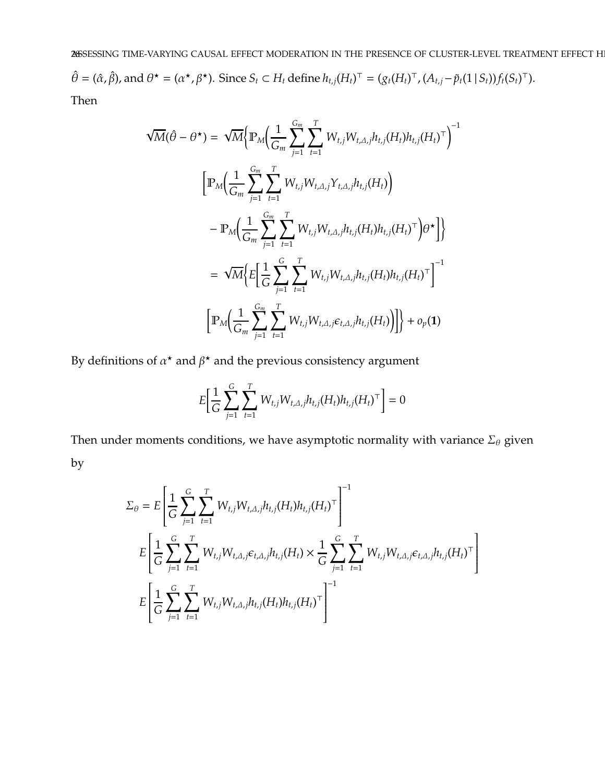$\hat{\theta} = (\hat{\alpha}, \hat{\beta})$ , and  $\theta^* = (\alpha^*, \beta^*)$ . Since  $S_t \subset H_t$  define  $h_{t,j}(H_t)^\top = (g_t(H_t)^\top, (A_{t,j} - \tilde{p}_t(1 \mid S_t)) f_t(S_t)^\top)$ . Then

$$
\sqrt{M}(\hat{\theta} - \theta^{\star}) = \sqrt{M} \Big\{ \mathbb{P}_{M} \Big( \frac{1}{G_{m}} \sum_{j=1}^{G_{m}} \sum_{t=1}^{T} W_{t,j} W_{t,\Delta,j} h_{t,j} (H_{t}) h_{t,j} (H_{t})^{\top} \Big)^{-1} \Big\}
$$

$$
\Big[ \mathbb{P}_{M} \Big( \frac{1}{G_{m}} \sum_{j=1}^{G_{m}} \sum_{t=1}^{T} W_{t,j} W_{t,\Delta,j} Y_{t,\Delta,j} h_{t,j} (H_{t}) \Big)
$$

$$
- \mathbb{P}_{M} \Big( \frac{1}{G_{m}} \sum_{j=1}^{G_{m}} \sum_{t=1}^{T} W_{t,j} W_{t,\Delta,j} h_{t,j} (H_{t}) h_{t,j} (H_{t})^{\top} \Big) \theta^{\star} \Big] \Big\}
$$

$$
= \sqrt{M} \Big\{ E \Big[ \frac{1}{G} \sum_{j=1}^{G} \sum_{t=1}^{T} W_{t,j} W_{t,\Delta,j} h_{t,j} (H_{t}) h_{t,j} (H_{t})^{\top} \Big]^{-1}
$$

$$
\Big[ \mathbb{P}_{M} \Big( \frac{1}{G_{m}} \sum_{j=1}^{G_{m}} \sum_{t=1}^{T} W_{t,j} W_{t,\Delta,j} \epsilon_{t,\Delta,j} h_{t,j} (H_{t}) \Big) \Big] \Big\} + o_{p}(\mathbf{1})
$$

By definitions of  $\alpha^*$  and  $\beta^*$  and the previous consistency argument

$$
E\bigg[\frac{1}{G}\sum_{j=1}^{G}\sum_{t=1}^{T}W_{t,j}W_{t,\Delta,j}h_{t,j}(H_{t})h_{t,j}(H_{t})^{\top}\bigg]=0
$$

Then under moments conditions, we have asymptotic normality with variance  $\Sigma_{\theta}$  given by

$$
\Sigma_{\theta} = E \left[ \frac{1}{G} \sum_{j=1}^{G} \sum_{t=1}^{T} W_{t,j} W_{t,\Delta,j} h_{t,j} (H_t) h_{t,j} (H_t)^{\top} \right]^{-1}
$$
\n
$$
E \left[ \frac{1}{G} \sum_{j=1}^{G} \sum_{t=1}^{T} W_{t,j} W_{t,\Delta,j} \epsilon_{t,\Delta,j} h_{t,j} (H_t) \times \frac{1}{G} \sum_{j=1}^{G} \sum_{t=1}^{T} W_{t,j} W_{t,\Delta,j} \epsilon_{t,\Delta,j} h_{t,j} (H_t)^{\top} \right]
$$
\n
$$
E \left[ \frac{1}{G} \sum_{j=1}^{G} \sum_{t=1}^{T} W_{t,j} W_{t,\Delta,j} h_{t,j} (H_t) h_{t,j} (H_t)^{\top} \right]^{-1}
$$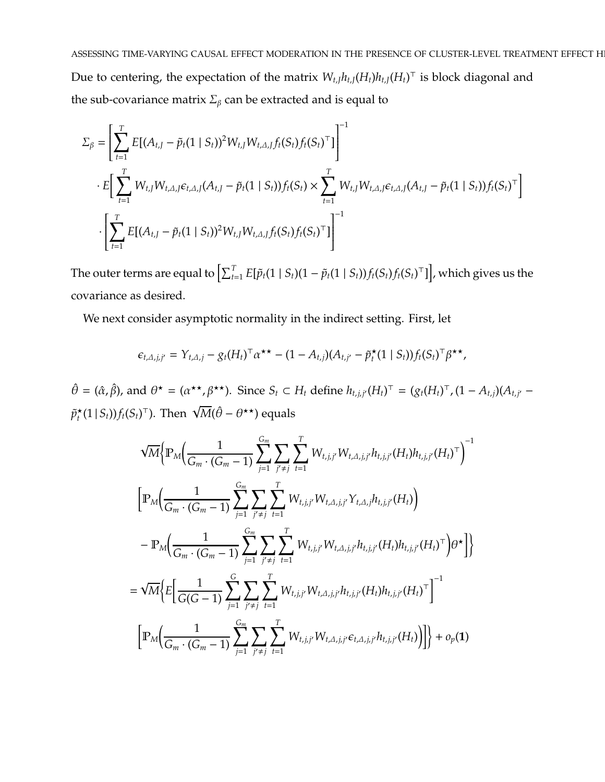Due to centering, the expectation of the matrix  $W_{t,J} h_{t,J} (H_t) h_{t,J} (H_t)^\top$  is block diagonal and the sub-covariance matrix  $\Sigma_{\beta}$  can be extracted and is equal to

$$
\Sigma_{\beta} = \left[ \sum_{t=1}^{T} E[(A_{t,J} - \tilde{p}_t(1 \mid S_t))^2 W_{t,J} W_{t,\Delta,J} f_t(S_t) f_t(S_t)^\top] \right]^{-1}
$$
\n
$$
\cdot E\left[ \sum_{t=1}^{T} W_{t,J} W_{t,\Delta,J} \epsilon_{t,\Delta,J} (A_{t,J} - \tilde{p}_t(1 \mid S_t)) f_t(S_t) \times \sum_{t=1}^{T} W_{t,J} W_{t,\Delta,J} \epsilon_{t,\Delta,J} (A_{t,J} - \tilde{p}_t(1 \mid S_t)) f_t(S_t)^\top \right]
$$
\n
$$
\cdot \left[ \sum_{t=1}^{T} E[(A_{t,J} - \tilde{p}_t(1 \mid S_t))^2 W_{t,J} W_{t,\Delta,J} f_t(S_t) f_t(S_t)^\top] \right]^{-1}
$$

The outer terms are equal to  $\left[\sum_{t=1}^T E[\tilde{p}_t(1\mid S_t)(1-\tilde{p}_t(1\mid S_t))f_t(S_t)f_t(S_t)^\top]\right]$ , which gives us the covariance as desired.

We next consider asymptotic normality in the indirect setting. First, let

$$
\epsilon_{t,\Delta,j,j'} = Y_{t,\Delta,j} - g_t (H_t)^\top \alpha^{\star \star} - (1 - A_{t,j})(A_{t,j'} - \tilde{p}_t^{\star}(1 \mid S_t))f_t (S_t)^\top \beta^{\star \star},
$$

 $\hat{\theta} = (\hat{\alpha}, \hat{\beta})$ , and  $\theta^* = (\alpha^{**}, \beta^{**})$ . Since  $S_t \subset H_t$  define  $h_{t,j,j'}(H_t)^{\top} = (g_t(H_t)^{\top}, (1 - A_{t,j})(A_{t,j'} - A_{t,j}))$  $\tilde{p}^\star_t$  $\overline{\mathcal{M}}(1 | S_t)$ ) $f_t(S_t)$ <sup>T</sup>). Then  $\sqrt{\mathcal{M}}(\hat{\theta} - \theta^{\star \star})$  equals

$$
\sqrt{M}\Big\{\mathbb{P}_{M}\Big(\frac{1}{G_{m}\cdot (G_{m}-1)}\sum_{j=1}^{G_{m}}\sum_{j'\neq j}\sum_{t=1}^{T}W_{t,j,j'}W_{t,\Delta,j,j'}h_{t,j,j'}(H_{t})h_{t,j,j'}(H_{t})^{\top}\Big)^{-1}\Big\}
$$

$$
\Big[\mathbb{P}_{M}\Big(\frac{1}{G_{m}\cdot (G_{m}-1)}\sum_{j=1}^{G_{m}}\sum_{j'\neq j}\sum_{t=1}^{T}W_{t,j,j'}W_{t,\Delta,j,j'}Y_{t,\Delta,j}h_{t,j,j'}(H_{t})\Big)
$$

$$
-\mathbb{P}_{M}\Big(\frac{1}{G_{m}\cdot (G_{m}-1)}\sum_{j=1}^{G_{m}}\sum_{j'\neq j}\sum_{t=1}^{T}W_{t,j,j'}W_{t,\Delta,j,j'}h_{t,j,j'}(H_{t})h_{t,j,j'}(H_{t})^{\top}\Big)\theta^{\star}\Big]\Big\}
$$

$$
=\sqrt{M}\Big\{E\Big[\frac{1}{G(G-1)}\sum_{j=1}^{G}\sum_{j'\neq j}\sum_{t=1}^{T}W_{t,j,j'}W_{t,\Delta,j,j'}h_{t,j,j'}(H_{t})h_{t,j,j'}(H_{t})^{\top}\Big]^{-1}
$$

$$
\Big[\mathbb{P}_{M}\Big(\frac{1}{G_{m}\cdot (G_{m}-1)}\sum_{j=1}^{G_{m}}\sum_{j'\neq j}\sum_{t=1}^{T}W_{t,j,j'}W_{t,\Delta,j,j'}\varepsilon_{t,\Delta,j,j'}h_{t,j,j'}(H_{t})\Big)\Big]\Big\}+o_{p}(1)
$$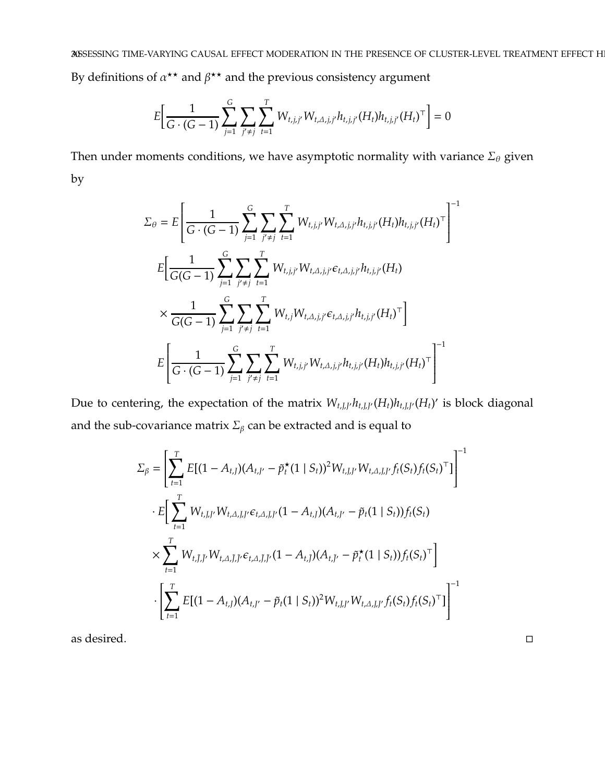By definitions of  $\alpha^{\star\star}$  and  $\beta^{\star\star}$  and the previous consistency argument

$$
E\bigg[\frac{1}{G\cdot (G-1)}\sum_{j=1}^G\sum_{j'\neq j}\sum_{t=1}^T W_{t,j,j'}W_{t,\Delta,j,j'}h_{t,j,j'}(H_t)h_{t,j,j'}(H_t)^{\top}\bigg]=0
$$

Then under moments conditions, we have asymptotic normality with variance  $\Sigma_\theta$  given by

$$
\Sigma_{\theta} = E \left[ \frac{1}{G \cdot (G-1)} \sum_{j=1}^{G} \sum_{j' \neq j} \sum_{t=1}^{T} W_{t,j,j'} W_{t,\Delta,j,j'} h_{t,j,j'} (H_t) h_{t,j,j'} (H_t)^{\top} \right]^{-1}
$$
\n
$$
E \left[ \frac{1}{G(G-1)} \sum_{j=1}^{G} \sum_{j' \neq j} \sum_{t=1}^{T} W_{t,j,j'} W_{t,\Delta,j,j'} \epsilon_{t,\Delta,j,j'} h_{t,j,j'} (H_t) \right]
$$
\n
$$
\times \frac{1}{G(G-1)} \sum_{j=1}^{G} \sum_{j' \neq j} \sum_{t=1}^{T} W_{t,j} W_{t,\Delta,j,j'} \epsilon_{t,\Delta,j,j'} h_{t,j,j'} (H_t)^{\top} \right]
$$
\n
$$
E \left[ \frac{1}{G \cdot (G-1)} \sum_{j=1}^{G} \sum_{j' \neq j} \sum_{t=1}^{T} W_{t,j,j'} W_{t,\Delta,j,j'} h_{t,j,j'} (H_t) h_{t,j,j'} (H_t)^{\top} \right]^{-1}
$$

Due to centering, the expectation of the matrix  $W_{t, J, J'} h_{t, J, J'} (H_t) h_{t, J, J'} (H_t)'$  is block diagonal and the sub-covariance matrix  $\Sigma_{\beta}$  can be extracted and is equal to

$$
\Sigma_{\beta} = \left[ \sum_{t=1}^{T} E[(1 - A_{t,J})(A_{t,J'} - \tilde{p}_t^{\star}(1 \mid S_t))^2 W_{t,J,J'} W_{t,\Delta,J,J'} f_t(S_t) f_t(S_t)^{\top}] \right]^{-1}
$$
  

$$
\cdot E\left[ \sum_{t=1}^{T} W_{t,J,J'} W_{t,\Delta,J,J'} \epsilon_{t,\Delta,J,J'} (1 - A_{t,J})(A_{t,J'} - \tilde{p}_t (1 \mid S_t)) f_t(S_t) \right]
$$
  

$$
\times \sum_{t=1}^{T} W_{t,\tilde{J},\tilde{J}'} W_{t,\Delta,\tilde{J},\tilde{J}'} \epsilon_{t,\Delta,\tilde{J},\tilde{J}'} (1 - A_{t,\tilde{J}}) (A_{t,\tilde{J}'} - \tilde{p}_t^{\star} (1 \mid S_t)) f_t(S_t)^{\top} \right]
$$
  

$$
\cdot \left[ \sum_{t=1}^{T} E[(1 - A_{t,J})(A_{t,J'} - \tilde{p}_t (1 \mid S_t))^2 W_{t,J,J'} W_{t,\Delta,J,J'} f_t(S_t) f_t(S_t)^{\top}] \right]^{-1}
$$

as desired.  $\hfill \Box$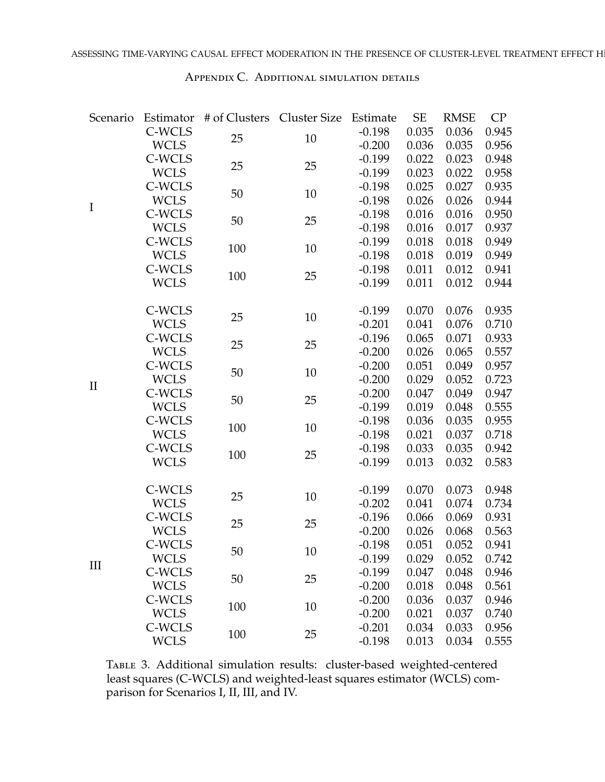<span id="page-30-0"></span>

| Scenario     |             | Estimator # of Clusters Cluster Size |    | Estimate | <b>SE</b> | <b>RMSE</b> | CP    |
|--------------|-------------|--------------------------------------|----|----------|-----------|-------------|-------|
|              | C-WCLS      | 25                                   | 10 | $-0.198$ | 0.035     | 0.036       | 0.945 |
|              | <b>WCLS</b> |                                      |    | $-0.200$ | 0.036     | 0.035       | 0.956 |
|              | C-WCLS      | 25                                   | 25 | $-0.199$ | 0.022     | 0.023       | 0.948 |
|              | <b>WCLS</b> |                                      |    | $-0.199$ | 0.023     | 0.022       | 0.958 |
|              | C-WCLS      | 50                                   | 10 | $-0.198$ | 0.025     | 0.027       | 0.935 |
| $\mathbf I$  | <b>WCLS</b> |                                      |    | $-0.198$ | 0.026     | 0.026       | 0.944 |
|              | C-WCLS      | 50                                   | 25 | $-0.198$ | 0.016     | 0.016       | 0.950 |
|              | <b>WCLS</b> |                                      |    | $-0.198$ | 0.016     | 0.017       | 0.937 |
|              | C-WCLS      | 100                                  | 10 | $-0.199$ | 0.018     | 0.018       | 0.949 |
|              | <b>WCLS</b> |                                      |    | $-0.198$ | 0.018     | 0.019       | 0.949 |
|              | C-WCLS      | 100                                  | 25 | $-0.198$ | 0.011     | 0.012       | 0.941 |
|              | <b>WCLS</b> |                                      |    | $-0.199$ | 0.011     | 0.012       | 0.944 |
|              | C-WCLS      |                                      |    | $-0.199$ | 0.070     | 0.076       | 0.935 |
|              | <b>WCLS</b> | 25                                   | 10 | $-0.201$ | 0.041     | 0.076       | 0.710 |
|              | C-WCLS      |                                      |    | $-0.196$ | 0.065     | 0.071       | 0.933 |
|              | <b>WCLS</b> | 25                                   | 25 | $-0.200$ | 0.026     | 0.065       | 0.557 |
|              | C-WCLS      |                                      |    | $-0.200$ | 0.051     | 0.049       | 0.957 |
|              | <b>WCLS</b> | 50                                   | 10 | $-0.200$ | 0.029     | 0.052       | 0.723 |
| $\mathbf{I}$ | C-WCLS      |                                      |    | $-0.200$ | 0.047     | 0.049       | 0.947 |
|              | <b>WCLS</b> | 50                                   | 25 | $-0.199$ | 0.019     | 0.048       | 0.555 |
|              | C-WCLS      |                                      |    | $-0.198$ | 0.036     | 0.035       | 0.955 |
|              | <b>WCLS</b> | 100                                  | 10 | $-0.198$ | 0.021     | 0.037       | 0.718 |
|              | C-WCLS      |                                      |    | $-0.198$ | 0.033     | 0.035       | 0.942 |
|              | <b>WCLS</b> | 100                                  | 25 | $-0.199$ | 0.013     | 0.032       | 0.583 |
|              | C-WCLS      |                                      |    | $-0.199$ | 0.070     | 0.073       | 0.948 |
|              | <b>WCLS</b> | 25                                   | 10 | $-0.202$ | 0.041     | 0.074       | 0.734 |
|              | C-WCLS      |                                      |    | $-0.196$ | 0.066     | 0.069       | 0.931 |
|              | <b>WCLS</b> | 25                                   | 25 | $-0.200$ | 0.026     | 0.068       | 0.563 |
|              | C-WCLS      |                                      |    | $-0.198$ | 0.051     | 0.052       | 0.941 |
|              | <b>WCLS</b> | 50                                   | 10 | $-0.199$ | 0.029     | 0.052       | 0.742 |
| Ш            | C-WCLS      |                                      |    | $-0.199$ | 0.047     | 0.048       | 0.946 |
|              | <b>WCLS</b> | 50                                   | 25 | $-0.200$ | 0.018     | 0.048       | 0.561 |
|              | C-WCLS      |                                      |    | $-0.200$ | 0.036     | 0.037       | 0.946 |
|              | <b>WCLS</b> | 100                                  | 10 | $-0.200$ | 0.021     | 0.037       | 0.740 |
|              | C-WCLS      |                                      |    | $-0.201$ | 0.034     | 0.033       | 0.956 |
|              | <b>WCLS</b> | 100                                  | 25 | $-0.198$ | 0.013     | 0.034       | 0.555 |

Table 3. Additional simulation results: cluster-based weighted-centered least squares (C-WCLS) and weighted-least squares estimator (WCLS) comparison for Scenarios I, II, III, and IV.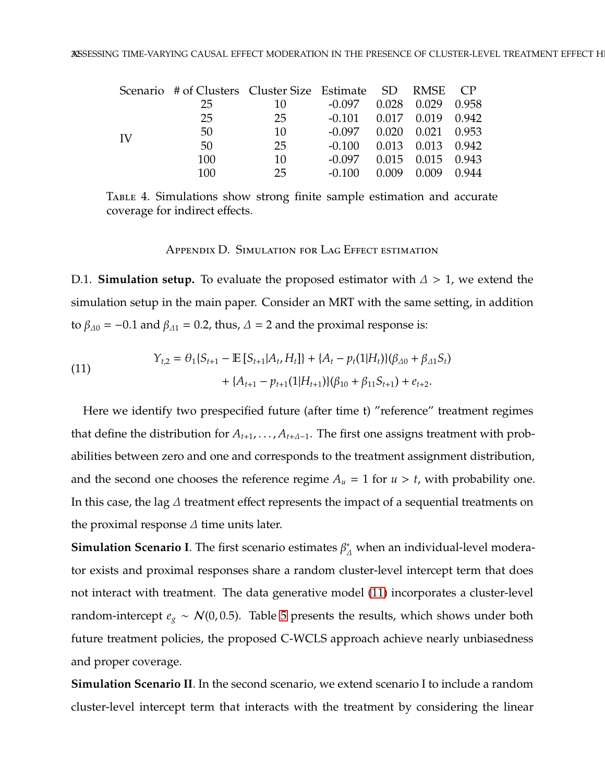|    | Scenario # of Clusters Cluster Size Estimate SD RMSE CP |     |                                  |       |             |  |
|----|---------------------------------------------------------|-----|----------------------------------|-------|-------------|--|
|    | 25                                                      | 10  | $-0.097$ $0.028$ $0.029$ $0.958$ |       |             |  |
|    | 25                                                      | 25  | $-0.101$ $0.017$ $0.019$ $0.942$ |       |             |  |
| IV | 50                                                      | 10  | $-0.097$ $0.020$ $0.021$ $0.953$ |       |             |  |
|    | 50                                                      | 25  | $-0.100$ $0.013$ $0.013$ $0.942$ |       |             |  |
|    | 100                                                     | 10  | $-0.097$ $0.015$ $0.015$ $0.943$ |       |             |  |
|    | 100                                                     | 25. | $-0.100$                         | 0.009 | 0.009 0.944 |  |

<span id="page-31-0"></span>TABLE 4. Simulations show strong finite sample estimation and accurate coverage for indirect effects.

Appendix D. Simulation for Lag Effect estimation

D.1. **Simulation setup.** To evaluate the proposed estimator with  $\Delta > 1$ , we extend the simulation setup in the main paper. Consider an MRT with the same setting, in addition to  $\beta_{\Delta 0} = -0.1$  and  $\beta_{\Delta 1} = 0.2$ , thus,  $\Delta = 2$  and the proximal response is:

<span id="page-31-1"></span>(11) 
$$
Y_{t,2} = \theta_1 \{ S_{t+1} - \mathbb{E} [S_{t+1} | A_t, H_t] \} + \{ A_t - p_t (1 | H_t) \} (\beta_{\Delta 0} + \beta_{\Delta 1} S_t) + \{ A_{t+1} - p_{t+1} (1 | H_{t+1}) \} (\beta_{10} + \beta_{11} S_{t+1}) + e_{t+2}.
$$

Here we identify two prespecified future (after time t) "reference" treatment regimes that define the distribution for *At*+1, . . . , *At*+∆−<sup>1</sup>. The first one assigns treatment with probabilities between zero and one and corresponds to the treatment assignment distribution, and the second one chooses the reference regime  $A_u = 1$  for  $u > t$ , with probability one. In this case, the lag  $\varDelta$  treatment effect represents the impact of a sequential treatments on the proximal response  $\Delta$  time units later.

**Simulation Scenario I**. The first scenario estimates  $\beta_{\varDelta}^{*}$  when an individual-level moderator exists and proximal responses share a random cluster-level intercept term that does not interact with treatment. The data generative model [\(11\)](#page-31-1) incorporates a cluster-level random-intercept  $e_g \sim \mathcal{N}(0, 0.5)$ . Table [5](#page-35-1) presents the results, which shows under both future treatment policies, the proposed C-WCLS approach achieve nearly unbiasedness and proper coverage.

**Simulation Scenario II**. In the second scenario, we extend scenario I to include a random cluster-level intercept term that interacts with the treatment by considering the linear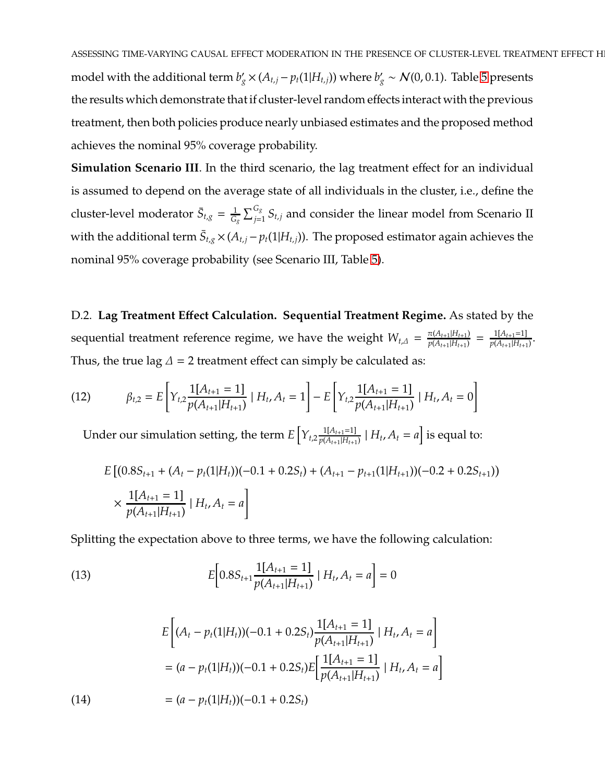**Simulation Scenario III**. In the third scenario, the lag treatment effect for an individual is assumed to depend on the average state of all individuals in the cluster, i.e., define the cluster-level moderator  $\bar{S}_{t,g} = \frac{1}{G}$  $\frac{1}{G_g}\sum_{j=1}^{G_g} S_{t,j}$  and consider the linear model from Scenario II with the additional term  $\bar{S}_{t,g} \times (A_{t,j} - p_t(1|H_{t,j}))$ . The proposed estimator again achieves the nominal 95% coverage probability (see Scenario III, Table [5\)](#page-35-1).

D.2. **Lag Treatment E**ff**ect Calculation. Sequential Treatment Regime.** As stated by the sequential treatment reference regime, we have the weight  $W_{t,\Delta} = \frac{\pi (A_{t+1}|H_{t+1})}{p(A_{t+1}|H_{t+1})}$  $\frac{\pi(A_{t+1}|H_{t+1})}{p(A_{t+1}|H_{t+1})} = \frac{1[A_{t+1}=1]}{p(A_{t+1}|H_{t+1})}$  $\frac{p(A_{t+1} | H_{t+1})}{p(A_{t+1} | H_{t+1})}$ . Thus, the true lag  $\Delta$  = 2 treatment effect can simply be calculated as:

(12) 
$$
\beta_{t,2} = E \left[ Y_{t,2} \frac{1[A_{t+1} = 1]}{p(A_{t+1}|H_{t+1})} | H_t, A_t = 1 \right] - E \left[ Y_{t,2} \frac{1[A_{t+1} = 1]}{p(A_{t+1}|H_{t+1})} | H_t, A_t = 0 \right]
$$

Under our simulation setting, the term  $E\left[ Y_{t,2} \frac{1[A_{t+1}=1]}{p(A_{t+1}|H_{t+1})} \right]$  $p(A_{t+1}|H_{t+1}) | H_t, A_t = a]$  is equal to:

$$
E [(0.8S_{t+1} + (A_t - p_t(1|H_t))(-0.1 + 0.2S_t) + (A_{t+1} - p_{t+1}(1|H_{t+1}))(-0.2 + 0.2S_{t+1}))
$$
  
 
$$
\times \frac{1[A_{t+1} = 1]}{p(A_{t+1}|H_{t+1})} |H_t, A_t = a]
$$

Splitting the expectation above to three terms, we have the following calculation:

<span id="page-32-0"></span>(13) 
$$
E\left[0.8S_{t+1}\frac{1[A_{t+1}=1]}{p(A_{t+1}|H_{t+1})}\mid H_t, A_t = a\right] = 0
$$

<span id="page-32-1"></span>
$$
E\left[ (A_t - p_t(1|H_t))(-0.1 + 0.2S_t) \frac{1[A_{t+1} = 1]}{p(A_{t+1}|H_{t+1})} | H_t, A_t = a \right]
$$
  
=  $(a - p_t(1|H_t))(-0.1 + 0.2S_t)E\left[ \frac{1[A_{t+1} = 1]}{p(A_{t+1}|H_{t+1})} | H_t, A_t = a \right]$   
(14) 
$$
= (a - p_t(1|H_t))(-0.1 + 0.2S_t)
$$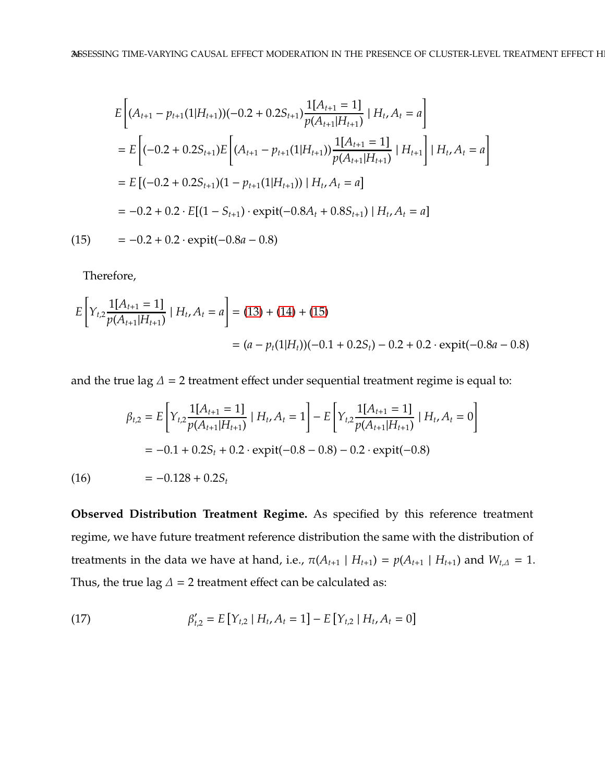$$
E\left[ (A_{t+1} - p_{t+1}(1|H_{t+1}))(-0.2 + 0.2S_{t+1}) \frac{1[A_{t+1} = 1]}{p(A_{t+1}|H_{t+1})} | H_t, A_t = a \right]
$$
  
\n
$$
= E\left[ (-0.2 + 0.2S_{t+1}) E\left[ (A_{t+1} - p_{t+1}(1|H_{t+1})) \frac{1[A_{t+1} = 1]}{p(A_{t+1}|H_{t+1})} | H_{t+1} \right] | H_t, A_t = a \right]
$$
  
\n
$$
= E\left[ (-0.2 + 0.2S_{t+1})(1 - p_{t+1}(1|H_{t+1})) | H_t, A_t = a \right]
$$
  
\n
$$
= -0.2 + 0.2 \cdot E[(1 - S_{t+1}) \cdot \text{expit}(-0.8A_t + 0.8S_{t+1}) | H_t, A_t = a]
$$
  
\n(15) 
$$
= -0.2 + 0.2 \cdot \text{expit}(-0.8a - 0.8)
$$

<span id="page-33-0"></span>Therefore,

$$
E\left[Y_{t,2}\frac{1[A_{t+1}=1]}{p(A_{t+1}|H_{t+1})}\mid H_t, A_t = a\right] = (13) + (14) + (15)
$$
  
=  $(a - p_t(1|H_t))(-0.1 + 0.2S_t) - 0.2 + 0.2 \cdot \text{expit}(-0.8a - 0.8)$ 

and the true lag  $\Delta = 2$  treatment effect under sequential treatment regime is equal to:

$$
\beta_{t,2} = E\left[Y_{t,2}\frac{1[A_{t+1} = 1]}{p(A_{t+1}|H_{t+1})} | H_t, A_t = 1\right] - E\left[Y_{t,2}\frac{1[A_{t+1} = 1]}{p(A_{t+1}|H_{t+1})} | H_t, A_t = 0\right]
$$

$$
= -0.1 + 0.2S_t + 0.2 \cdot \text{expit}(-0.8 - 0.8) - 0.2 \cdot \text{expit}(-0.8)
$$

$$
= -0.128 + 0.2S_t
$$

**Observed Distribution Treatment Regime.** As specified by this reference treatment regime, we have future treatment reference distribution the same with the distribution of treatments in the data we have at hand, i.e.,  $\pi(A_{t+1} | H_{t+1}) = p(A_{t+1} | H_{t+1})$  and  $W_{t,\Delta} = 1$ . Thus, the true lag  $\Delta$  = 2 treatment effect can be calculated as:

(17) 
$$
\beta'_{t,2} = E[Y_{t,2} | H_t, A_t = 1] - E[Y_{t,2} | H_t, A_t = 0]
$$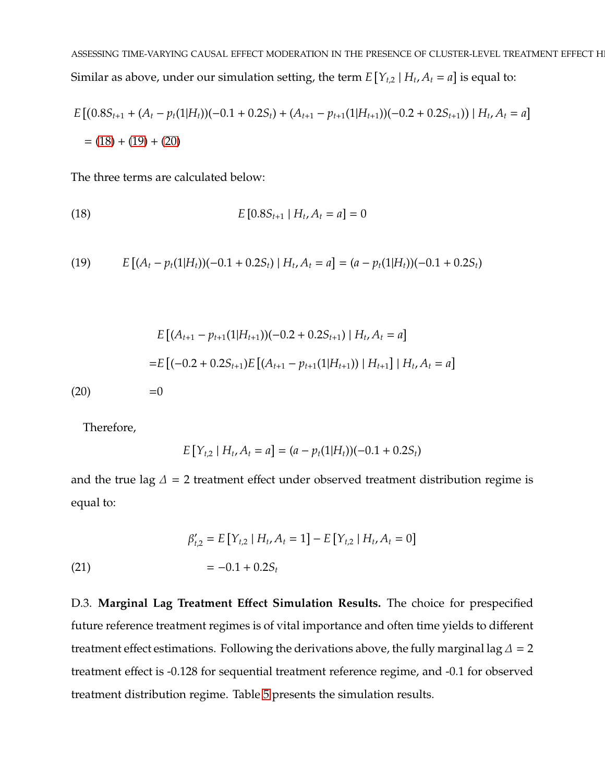$$
E [(0.8S_{t+1} + (A_t - p_t(1|H_t))(-0.1 + 0.2S_t) + (A_{t+1} - p_{t+1}(1|H_{t+1}))(-0.2 + 0.2S_{t+1})) | H_t, A_t = a]
$$
  
= (18) + (19) + (20)

The three terms are calculated below:

<span id="page-34-0"></span>(18) 
$$
E[0.8S_{t+1} | H_t, A_t = a] = 0
$$

<span id="page-34-1"></span>(19) 
$$
E\left[ (A_t - p_t(1|H_t))(-0.1 + 0.2S_t) \mid H_t, A_t = a \right] = (a - p_t(1|H_t))(-0.1 + 0.2S_t)
$$

<span id="page-34-2"></span>
$$
E\left[\left(A_{t+1} - p_{t+1}(1|H_{t+1})\right)(-0.2 + 0.2S_{t+1}) | H_t, A_t = a\right]
$$
  
= 
$$
E\left[(-0.2 + 0.2S_{t+1})E\left[\left(A_{t+1} - p_{t+1}(1|H_{t+1})\right) | H_{t+1}\right] | H_t, A_t = a\right]
$$
  
(20) =0

Therefore,

$$
E[Y_{t,2} | H_t, A_t = a] = (a - p_t(1|H_t))(-0.1 + 0.2S_t)
$$

and the true lag  $\Delta$  = 2 treatment effect under observed treatment distribution regime is equal to:

(21) 
$$
\beta'_{t,2} = E[Y_{t,2} | H_t, A_t = 1] - E[Y_{t,2} | H_t, A_t = 0]
$$

$$
= -0.1 + 0.2S_t
$$

D.3. **Marginal Lag Treatment E**ff**ect Simulation Results.** The choice for prespecified future reference treatment regimes is of vital importance and often time yields to different treatment effect estimations. Following the derivations above, the fully marginal lag  $\Delta = 2$ treatment effect is -0.128 for sequential treatment reference regime, and -0.1 for observed treatment distribution regime. Table [5](#page-35-1) presents the simulation results.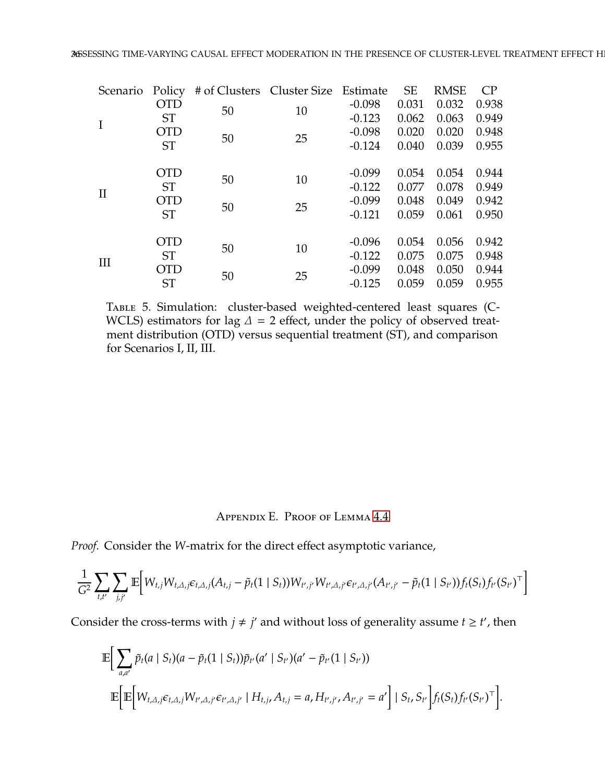<span id="page-35-1"></span>

| Scenario | Policy     | # of Clusters Cluster Size Estimate |    |          | <b>SE</b> | <b>RMSE</b> | CP    |
|----------|------------|-------------------------------------|----|----------|-----------|-------------|-------|
|          | <b>OTD</b> | 50                                  | 10 | $-0.098$ | 0.031     | 0.032       | 0.938 |
|          | <b>ST</b>  |                                     |    | $-0.123$ | 0.062     | 0.063       | 0.949 |
|          | <b>OTD</b> | 50                                  | 25 | $-0.098$ | 0.020     | 0.020       | 0.948 |
|          | <b>ST</b>  |                                     |    | $-0.124$ | 0.040     | 0.039       | 0.955 |
|          |            |                                     |    |          |           |             |       |
|          | <b>OTD</b> | 50                                  | 10 | $-0.099$ | 0.054     | 0.054       | 0.944 |
| П        | <b>ST</b>  |                                     |    | $-0.122$ | 0.077     | 0.078       | 0.949 |
|          | <b>OTD</b> | 50                                  | 25 | $-0.099$ | 0.048     | 0.049       | 0.942 |
|          | <b>ST</b>  |                                     |    | $-0.121$ | 0.059     | 0.061       | 0.950 |
|          |            |                                     |    |          |           |             |       |
|          | <b>OTD</b> | 50                                  | 10 | $-0.096$ | 0.054     | 0.056       | 0.942 |
| III      | <b>ST</b>  |                                     |    | $-0.122$ | 0.075     | 0.075       | 0.948 |
|          | <b>OTD</b> |                                     | 25 | $-0.099$ | 0.048     | 0.050       | 0.944 |
|          | <b>ST</b>  | 50                                  |    | $-0.125$ | 0.059     | 0.059       | 0.955 |

TABLE 5. Simulation: cluster-based weighted-centered least squares (C-WCLS) estimators for lag  $\Delta$  = 2 effect, under the policy of observed treatment distribution (OTD) versus sequential treatment (ST), and comparison for Scenarios I, II, III.

# Appendix E. Proof of Lemma [4.4](#page-10-0)

<span id="page-35-0"></span>*Proof.* Consider the *W*-matrix for the direct effect asymptotic variance,

$$
\frac{1}{G^2} \sum_{t,t'} \sum_{j,j'} \mathbb{E} \Big[ W_{t,j} W_{t,\Delta,j} \epsilon_{t,\Delta,j} (A_{t,j} - \tilde{p}_t (1 \mid S_t)) W_{t',j'} W_{t',\Delta,j'} \epsilon_{t',\Delta,j'} (A_{t',j'} - \tilde{p}_t (1 \mid S_{t'})) f_t (S_t) f_{t'} (S_{t'})^\top \Big]
$$

Consider the cross-terms with  $j \neq j'$  and without loss of generality assume  $t \geq t'$ , then

$$
\mathbb{E}\bigg[\sum_{a,a'}\tilde{p}_t(a\mid S_t)(a-\tilde{p}_t(1\mid S_t))\tilde{p}_{t'}(a'\mid S_{t'})(a'-\tilde{p}_{t'}(1\mid S_{t'}))\n\n\mathbb{E}\bigg[\mathbb{E}\bigg[W_{t,\Delta,j}\epsilon_{t,\Delta,j}W_{t',\Delta,j'}\epsilon_{t',\Delta,j'}\mid H_{t,j},A_{t,j}=a,H_{t',j'},A_{t',j'}=a'\bigg]\mid S_t,S_{t'}\bigg]f_t(S_t)f_{t'}(S_{t'})^\top\bigg].
$$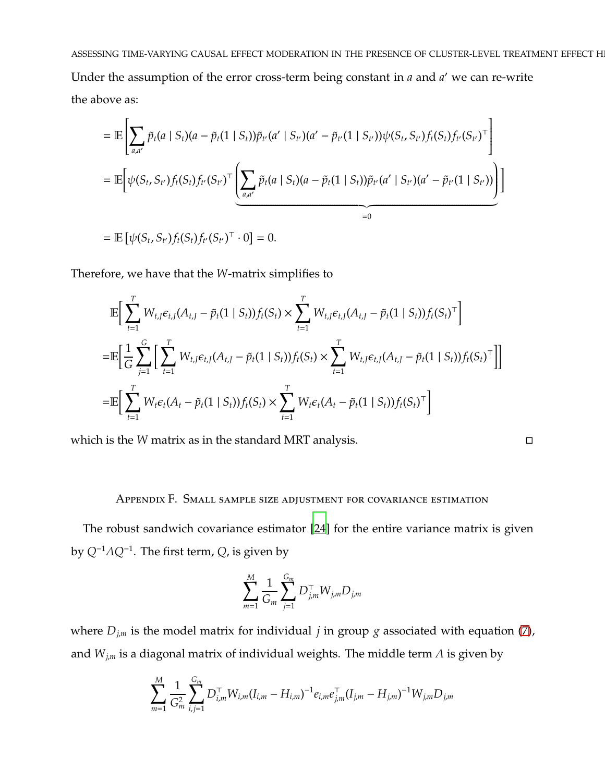Under the assumption of the error cross-term being constant in *a* and *a* ′ we can re-write the above as:

$$
= \mathbb{E}\left[\sum_{a,a'} \tilde{p}_t(a \mid S_t)(a - \tilde{p}_t(1 \mid S_t))\tilde{p}_{t'}(a' \mid S_{t'}) (a' - \tilde{p}_{t'}(1 \mid S_{t'}))\psi(S_t, S_{t'})f_t(S_t)f_{t'}(S_{t'})^{\top}\right]
$$
  
\n
$$
= \mathbb{E}\left[\psi(S_t, S_{t'})f_t(S_t)f_{t'}(S_{t'})^{\top}\left(\sum_{a,a'} \tilde{p}_t(a \mid S_t)(a - \tilde{p}_t(1 \mid S_t))\tilde{p}_{t'}(a' \mid S_{t'})(a' - \tilde{p}_{t'}(1 \mid S_{t'}))\right)\right]
$$
  
\n
$$
= \mathbb{E}\left[\psi(S_t, S_{t'})f_t(S_t)f_{t'}(S_{t'})^{\top} \cdot 0\right] = 0.
$$

Therefore, we have that the *W*-matrix simplifies to

$$
\mathbb{E}\Big[\sum_{t=1}^{T} W_{t,J}\epsilon_{t,J}(A_{t,J} - \tilde{p}_t(1 \mid S_t))f_t(S_t) \times \sum_{t=1}^{T} W_{t,J}\epsilon_{t,J}(A_{t,J} - \tilde{p}_t(1 \mid S_t))f_t(S_t)^{\top}\Big]
$$
\n
$$
= \mathbb{E}\Big[\frac{1}{G}\sum_{j=1}^{G} \Big[\sum_{t=1}^{T} W_{t,J}\epsilon_{t,J}(A_{t,J} - \tilde{p}_t(1 \mid S_t))f_t(S_t) \times \sum_{t=1}^{T} W_{t,J}\epsilon_{t,J}(A_{t,J} - \tilde{p}_t(1 \mid S_t))f_t(S_t)^{\top}\Big]\Big]
$$
\n
$$
= \mathbb{E}\Big[\sum_{t=1}^{T} W_t\epsilon_t(A_t - \tilde{p}_t(1 \mid S_t))f_t(S_t) \times \sum_{t=1}^{T} W_t\epsilon_t(A_t - \tilde{p}_t(1 \mid S_t))f_t(S_t)^{\top}\Big]
$$

<span id="page-36-0"></span>which is the *W* matrix as in the standard MRT analysis.

## Appendix F. Small sample size adjustment for covariance estimation

The robust sandwich covariance estimator [\[24](#page-21-4)] for the entire variance matrix is given by *Q*−<sup>1</sup>Λ*Q*−<sup>1</sup> . The first term, *Q*, is given by

$$
\sum_{m=1}^{M} \frac{1}{G_m} \sum_{j=1}^{G_m} D_{j,m}^{\top} W_{j,m} D_{j,m}
$$

where  $D_{j,m}$  is the model matrix for individual *j* in group *g* associated with equation [\(7\)](#page-9-1), and  $W_{j,m}$  is a diagonal matrix of individual weights. The middle term  $\Lambda$  is given by

$$
\sum_{m=1}^{M} \frac{1}{G_m^2} \sum_{i,j=1}^{G_m} D_{i,m}^{\top} W_{i,m} (I_{i,m} - H_{i,m})^{-1} e_{i,m} e_{j,m}^{\top} (I_{j,m} - H_{j,m})^{-1} W_{j,m} D_{j,m}
$$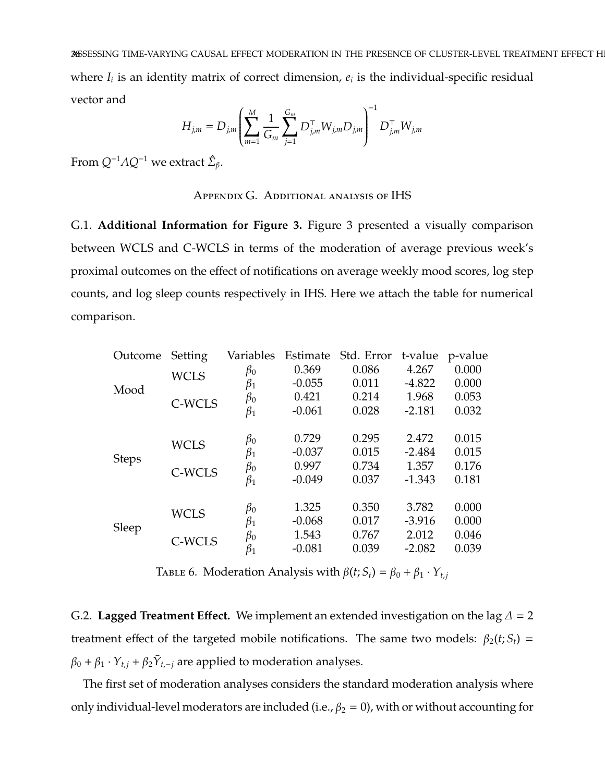$$
H_{j,m} = D_{j,m} \left( \sum_{m=1}^{M} \frac{1}{G_m} \sum_{j=1}^{G_m} D_{j,m}^{\top} W_{j,m} D_{j,m} \right)^{-1} D_{j,m}^{\top} W_{j,m}
$$

<span id="page-37-1"></span><span id="page-37-0"></span>From  $Q^{-1}AQ^{-1}$  we extract  $\hat{\Sigma}_{\beta}$ .

# Appendix G. Additional analysis of IHS

G.1. **Additional Information for Figure 3.** Figure 3 presented a visually comparison between WCLS and C-WCLS in terms of the moderation of average previous week's proximal outcomes on the effect of notifications on average weekly mood scores, log step counts, and log sleep counts respectively in IHS. Here we attach the table for numerical comparison.

| Outcome      | Setting     | Variables | Estimate | Std. Error | t-value  | p-value |
|--------------|-------------|-----------|----------|------------|----------|---------|
|              | <b>WCLS</b> | $\beta_0$ | 0.369    | 0.086      | 4.267    | 0.000   |
| Mood         |             | $\beta_1$ | $-0.055$ | 0.011      | $-4.822$ | 0.000   |
|              | C-WCLS      | $\beta_0$ | 0.421    | 0.214      | 1.968    | 0.053   |
|              |             | $\beta_1$ | $-0.061$ | 0.028      | $-2.181$ | 0.032   |
|              |             | $\beta_0$ | 0.729    | 0.295      | 2.472    | 0.015   |
|              | <b>WCLS</b> | $\beta_1$ | $-0.037$ | 0.015      | $-2.484$ | 0.015   |
| <b>Steps</b> | C-WCLS      | $\beta_0$ | 0.997    | 0.734      | 1.357    | 0.176   |
|              |             | $\beta_1$ | $-0.049$ | 0.037      | $-1.343$ | 0.181   |
|              |             | $\beta_0$ | 1.325    | 0.350      | 3.782    | 0.000   |
|              | <b>WCLS</b> | $\beta_1$ | $-0.068$ | 0.017      | $-3.916$ | 0.000   |
| Sleep        |             | $\beta_0$ | 1.543    | 0.767      | 2.012    | 0.046   |
|              | C-WCLS      | $\beta_1$ | $-0.081$ | 0.039      | $-2.082$ | 0.039   |
|              |             |           |          |            |          |         |

TABLE 6. Moderation Analysis with  $\beta(t; S_t) = \beta_0 + \beta_1 \cdot Y_{t,j}$ 

G.2. **Lagged Treatment Effect.** We implement an extended investigation on the lag  $\Delta = 2$ treatment effect of the targeted mobile notifications. The same two models:  $\beta_2(t; S_t)$  =  $\beta_0 + \beta_1 \cdot Y_{t,j} + \beta_2 \overline{Y}_{t,-j}$  are applied to moderation analyses.

The first set of moderation analyses considers the standard moderation analysis where only individual-level moderators are included (i.e.,  $\beta_2 = 0$ ), with or without accounting for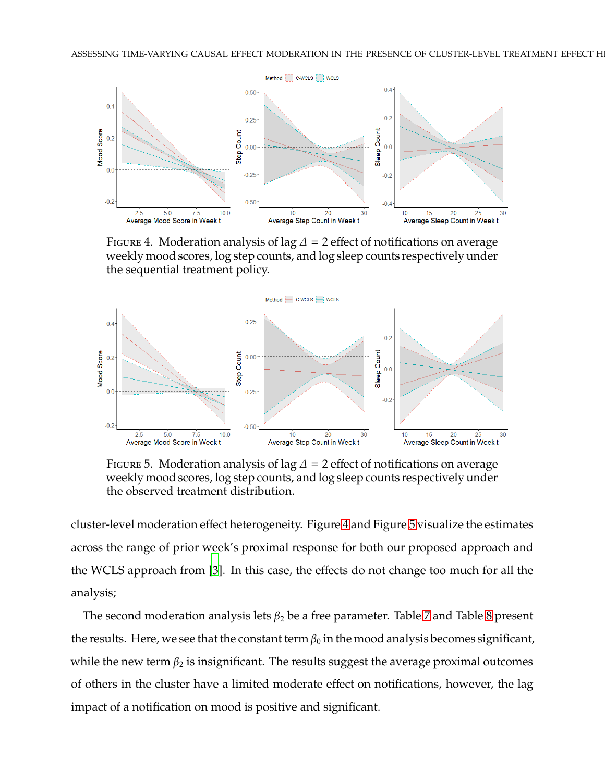<span id="page-38-0"></span>

FIGURE 4. Moderation analysis of lag  $\Delta$  = 2 effect of notifications on average weekly mood scores, log step counts, and log sleep counts respectively under the sequential treatment policy.

<span id="page-38-1"></span>

FIGURE 5. Moderation analysis of lag  $\Delta$  = 2 effect of notifications on average weekly mood scores, log step counts, and log sleep counts respectively under the observed treatment distribution.

cluster-level moderation effect heterogeneity. Figure [4](#page-38-0) and Figure [5](#page-38-1) visualize the estimates across the range of prior week's proximal response for both our proposed approach and the WCLS approach from [\[3](#page-19-2)]. In this case, the effects do not change too much for all the analysis;

The second moderation analysis lets  $\beta_2$  be a free parameter. Table [7](#page-39-1) and Table [8](#page-39-2) present the results. Here, we see that the constant term  $\beta_0$  in the mood analysis becomes significant, while the new term  $\beta_2$  is insignificant. The results suggest the average proximal outcomes of others in the cluster have a limited moderate effect on notifications, however, the lag impact of a notification on mood is positive and significant.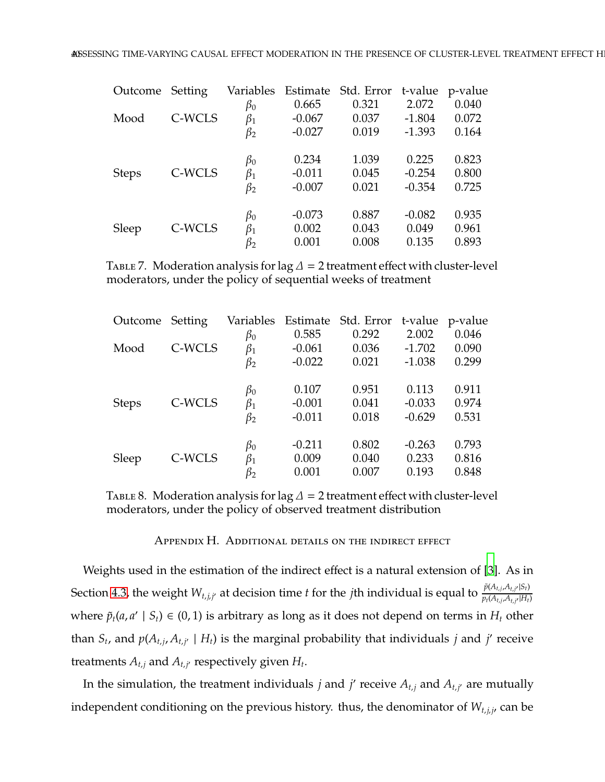<span id="page-39-1"></span>

| Outcome Setting |        | Variables |          | Estimate Std. Error t-value p-value |          |       |
|-----------------|--------|-----------|----------|-------------------------------------|----------|-------|
|                 |        | $\beta_0$ | 0.665    | 0.321                               | 2.072    | 0.040 |
| Mood            | C-WCLS | $\beta_1$ | $-0.067$ | 0.037                               | $-1.804$ | 0.072 |
|                 |        | $\beta_2$ | $-0.027$ | 0.019                               | $-1.393$ | 0.164 |
|                 |        | $\beta_0$ | 0.234    | 1.039                               | 0.225    | 0.823 |
| <b>Steps</b>    | C-WCLS | $\beta_1$ | $-0.011$ | 0.045                               | $-0.254$ | 0.800 |
|                 |        | $\beta_2$ | $-0.007$ | 0.021                               | $-0.354$ | 0.725 |
|                 |        | $\beta_0$ | $-0.073$ | 0.887                               | $-0.082$ | 0.935 |
| Sleep           | C-WCLS | $\beta_1$ | 0.002    | 0.043                               | 0.049    | 0.961 |
|                 |        | $\beta_2$ | 0.001    | 0.008                               | 0.135    | 0.893 |

<span id="page-39-2"></span>TABLE 7. Moderation analysis for lag  $\Delta = 2$  treatment effect with cluster-level moderators, under the policy of sequential weeks of treatment

| Outcome Setting |        | Variables | Estimate | Std. Error |          | t-value p-value |
|-----------------|--------|-----------|----------|------------|----------|-----------------|
|                 |        | $\beta_0$ | 0.585    | 0.292      | 2.002    | 0.046           |
| Mood            | C-WCLS | $\beta_1$ | $-0.061$ | 0.036      | $-1.702$ | 0.090           |
|                 |        | $\beta_2$ | $-0.022$ | 0.021      | $-1.038$ | 0.299           |
|                 |        | $\beta_0$ | 0.107    | 0.951      | 0.113    | 0.911           |
| <b>Steps</b>    | C-WCLS | $\beta_1$ | $-0.001$ | 0.041      | $-0.033$ | 0.974           |
|                 |        | $\beta_2$ | $-0.011$ | 0.018      | $-0.629$ | 0.531           |
|                 |        | $\beta_0$ | $-0.211$ | 0.802      | $-0.263$ | 0.793           |
| Sleep           | C-WCLS | $\beta_1$ | 0.009    | 0.040      | 0.233    | 0.816           |
|                 |        | $\beta_2$ | 0.001    | 0.007      | 0.193    | 0.848           |

<span id="page-39-0"></span>TABLE 8. Moderation analysis for lag  $\Delta$  = 2 treatment effect with cluster-level moderators, under the policy of observed treatment distribution

Appendix H. Additional details on the indirect effect

Weights used in the estimation of the indirect effect is a natural extension of [\[3\]](#page-19-2). As in Section [4.3,](#page-11-1) the weight  $W_{t,j,j'}$  at decision time *t* for the *j*th individual is equal to  $\frac{\tilde{p}(A_{t,j},A_{t,j'}|S_t)}{p_t(A_{t,j},A_{t,j'}|H_t)}$  $p_t(A_{t,j}, A_{t,j'} | H_t)$ where  $\tilde{p}_t(a, a' | S_t) \in (0, 1)$  is arbitrary as long as it does not depend on terms in  $H_t$  other than  $S_t$ , and  $p(A_{t,j}, A_{t,j'} \mid H_t)$  is the marginal probability that individuals  $j$  and  $j'$  receive treatments  $A_{t,j}$  and  $A_{t,j'}$  respectively given  $H_t$ .

In the simulation, the treatment individuals *j* and *j'* receive  $A_{t,j}$  and  $A_{t,j'}$  are mutually independent conditioning on the previous history. thus, the denominator of  $W_{t,i,j}$  can be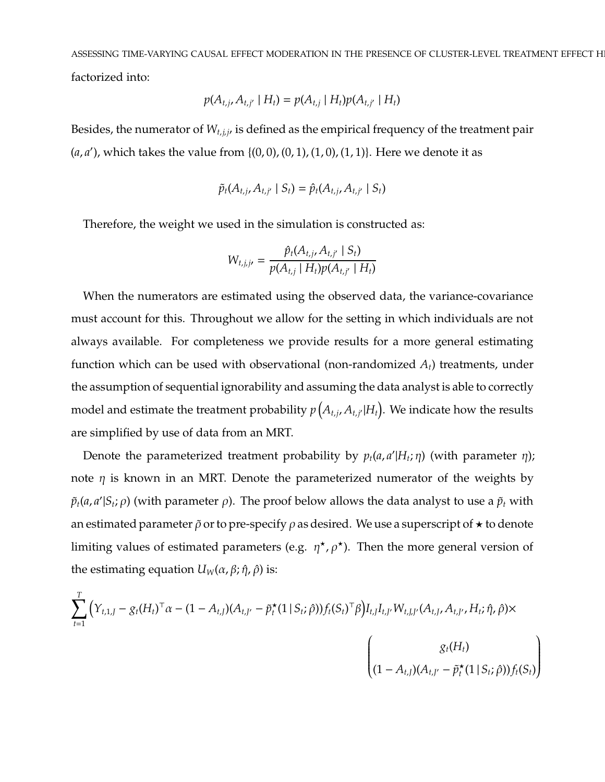ASSESSING TIME-VARYING CAUSAL EFFECT MODERATION IN THE PRESENCE OF CLUSTER-LEVEL TREATMENT EFFECT H factorized into:

$$
p(A_{t,j}, A_{t,j'} | H_t) = p(A_{t,j} | H_t) p(A_{t,j'} | H_t)
$$

Besides, the numerator of *W<sup>t</sup>*,*j*,*j*′ is defined as the empirical frequency of the treatment pair  $(a, a')$ , which takes the value from  $\{(0, 0), (0, 1), (1, 0), (1, 1)\}$ . Here we denote it as

$$
\tilde{p}_t(A_{t,j}, A_{t,j'} | S_t) = \hat{p}_t(A_{t,j}, A_{t,j'} | S_t)
$$

Therefore, the weight we used in the simulation is constructed as:

$$
W_{t,j,j'} = \frac{\hat{p}_t(A_{t,j}, A_{t,j'} \mid S_t)}{p(A_{t,j} \mid H_t)p(A_{t,j'} \mid H_t)}
$$

When the numerators are estimated using the observed data, the variance-covariance must account for this. Throughout we allow for the setting in which individuals are not always available. For completeness we provide results for a more general estimating function which can be used with observational (non-randomized *At*) treatments, under the assumption of sequential ignorability and assuming the data analyst is able to correctly model and estimate the treatment probability  $p\left(A_{t,j},A_{t,j'}|H_t\right)$ . We indicate how the results are simplified by use of data from an MRT.

Denote the parameterized treatment probability by  $p_t(a, a'|H_t; \eta)$  (with parameter  $\eta$ ); note  $\eta$  is known in an MRT. Denote the parameterized numerator of the weights by  $\tilde{p}_t(a,a'|S_t;\rho)$  (with parameter  $\rho$ ). The proof below allows the data analyst to use a  $\tilde{p}_t$  with an estimated parameter  $\tilde{\rho}$  or to pre-specify  $\rho$  as desired. We use a superscript of  $\star$  to denote limiting values of estimated parameters (e.g.  $\eta^{\star}, \rho^{\star}$ ). Then the more general version of the estimating equation  $U<sub>W</sub>(α, β; η, ρ)$  is:

$$
\sum_{t=1}^{T} \left( Y_{t,1,J} - g_t (H_t)^{\top} \alpha - (1 - A_{t,J}) (A_{t,J'} - \tilde{p}_t^{\star} (1 \mid S_t; \hat{\rho})) f_t (S_t)^{\top} \beta \right) I_{t,J} I_{t,J'} W_{t,J,J'} (A_{t,J}, A_{t,J'}, H_t; \hat{\eta}, \hat{\rho}) \times \left( \begin{matrix} g_t (H_t) \\ (1 - A_{t,J}) (A_{t,J'} - \tilde{p}_t^{\star} (1 \mid S_t; \hat{\rho})) f_t (S_t) \end{matrix} \right)
$$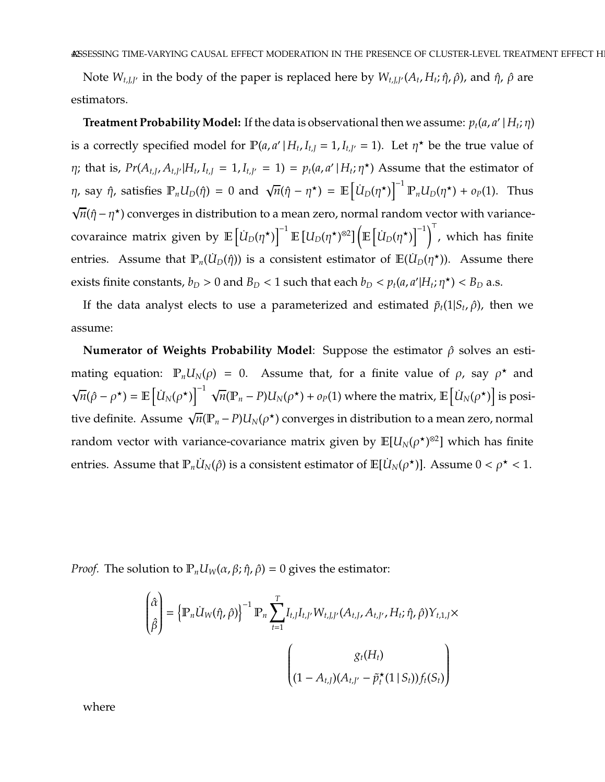Note  $W_{t,J,J'}$  in the body of the paper is replaced here by  $W_{t,J,J'}(A_t,H_t;\hat{\eta},\hat{\rho})$ , and  $\hat{\eta}$ ,  $\hat{\rho}$  are estimators.

 $\bf{Tredment Probability Model:}$  If the data is observational then we assume:  $p_t(a,a'\,|\,H_t;\eta)$ is a correctly specified model for  $\mathbb{P}(a, a' | H_t, I_{t,j} = 1, I_{t,j'} = 1)$ . Let  $\eta^*$  be the true value of  $\eta$ ; that is,  $Pr(A_{t,J}, A_{t,J'}|H_t, I_{t,J} = 1, I_{t,J'} = 1) = p_t(a, a'|H_t; \eta^{\star})$  Assume that the estimator of *η*, say *ῆ*, satisfies  $\mathbb{P}_n U_D(\hat{\eta}) = 0$  and  $\sqrt{n}(\hat{\eta} - \eta^*) = \mathbb{E} \left[ \dot{U}_D(\eta^*) \right]^{-1} \mathbb{P}_n U_D(\eta^*) + o_P(1)$ . Thus  $\sqrt{n}(\hat{\eta} - \eta^*)$  converges in distribution to a mean zero, normal random vector with variancecovaraince matrix given by  $\mathbb{E}\left[\dot{U}_D(\eta^\star)\right]^{-1}\mathbb{E}\left[U_D(\eta^\star)^{\otimes2}\right]\left(\mathbb{E}\left[\dot{U}_D(\eta^\star)\right]^{-1}\right)^{\perp}$ , which has finite entries. Assume that  $\mathbb{P}_n(\dot{U}_D(\hat{\eta}))$  is a consistent estimator of  $\mathbb{E}(\dot{U}_D(\eta^\star))$ . Assume there exists finite constants,  $b_D > 0$  and  $B_D < 1$  such that each  $b_D < p_t(a, a'|H_t; \eta^{\star}) < B_D$  a.s.

If the data analyst elects to use a parameterized and estimated  $\tilde{p}_t(1|S_t,\hat{\rho})$ , then we assume:

**Numerator of Weights Probability Model:** Suppose the estimator  $\hat{\rho}$  solves an estimating equation:  $\mathbb{P}_n U_N(\rho) = 0$ . Assume that, for a finite value of  $\rho$ , say  $\rho^*$  and  $\sqrt{n}(\hat{\rho} - \rho^{\star}) = \mathbb{E}\left[\dot{U}_N(\rho^{\star})\right]^{-1} \sqrt{n}(\mathbb{P}_n - P)U_N(\rho^{\star}) + o_P(1)$  where the matrix,  $\mathbb{E}\left[\dot{U}_N(\rho^{\star})\right]$  is positive definite. Assume  $\sqrt{n}(\mathbb{P}_n-P)U_N(\rho^\star)$  converges in distribution to a mean zero, normal random vector with variance-covariance matrix given by  $\mathbb{E}[U_N(\rho^\star)^{\otimes 2}]$  which has finite entries. Assume that  $\mathbb{P}_n U_N(\hat{\rho})$  is a consistent estimator of  $\mathbb{E}[\dot{U}_N(\rho^\star)].$  Assume  $0 < \rho^\star < 1.$ 

*Proof.* The solution to  $\mathbb{P}_n U_w(\alpha, \beta; \hat{\eta}, \hat{\rho}) = 0$  gives the estimator:

$$
\begin{pmatrix}\n\hat{\alpha} \\
\hat{\beta}\n\end{pmatrix} = \left\{\n\mathbb{P}_n U_W(\hat{\eta}, \hat{\rho})\n\right\}^{-1} \mathbb{P}_n \sum_{t=1}^T I_{t, J} I_{t, J'} W_{t, J, J'} (A_{t, J}, A_{t, J'}, H_t; \hat{\eta}, \hat{\rho}) Y_{t, 1, J} \times
$$
\n
$$
\begin{pmatrix}\ng_t(H_t) \\
(1 - A_{t, J})(A_{t, J'} - \tilde{p}_t^{\star}(1 \mid S_t)) f_t(S_t)\n\end{pmatrix}
$$

where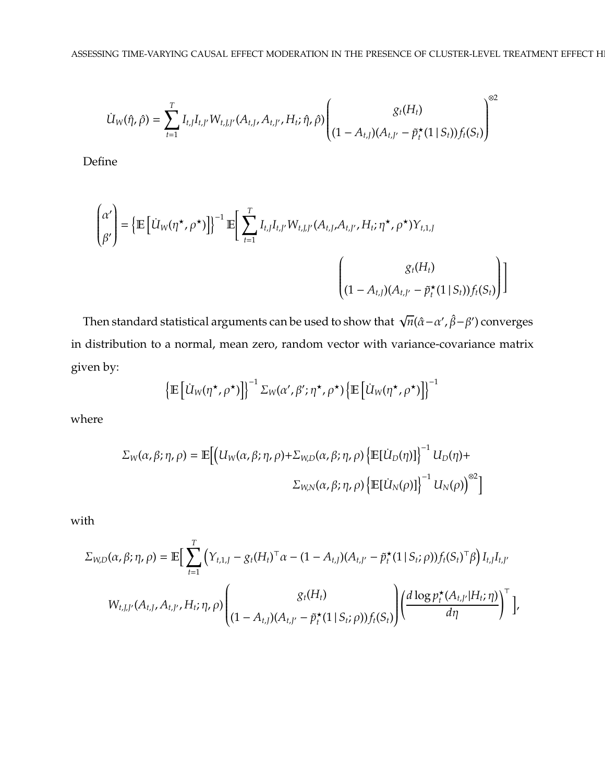$$
\dot{U}_{W}(\hat{\eta},\hat{\rho})=\sum_{t=1}^{T}I_{t,J}I_{t,J'}W_{t,J,J'}(A_{t,J},A_{t,J'},H_t;\hat{\eta},\hat{\rho})\left(\begin{matrix}g_t(H_t)\\(1-A_{t,J})(A_{t,J'}-\tilde{p}^\star_t(1\,|\,S_t))f_t(S_t)\end{matrix}\right)^{\otimes 2}
$$

Define

$$
\begin{pmatrix} \alpha' \\ \beta' \end{pmatrix} = \left\{ \mathbb{E} \left[ \dot{U}_W(\eta^\star, \rho^\star) \right] \right\}^{-1} \mathbb{E} \left[ \sum_{t=1}^T I_{t, J} I_{t, J'} W_{t, J, J'} (A_{t, J}, A_{t, J'}, H_t; \eta^\star, \rho^\star) Y_{t, 1, J} \right]
$$
\n
$$
\begin{pmatrix} g_t(H_t) \\ (1 - A_{t, J}) (A_{t, J'} - \tilde{p}_t^\star (1 \mid S_t)) f_t(S_t) \end{pmatrix} \right]
$$

Then standard statistical arguments can be used to show that  $\sqrt{n}(\hat{\alpha}-\alpha',\hat{\beta}-\beta')$  converges in distribution to a normal, mean zero, random vector with variance-covariance matrix given by:

$$
\left\{\mathbb{E}\left[\dot{U}_W(\eta^\star,\rho^\star)\right]\right\}^{-1} \Sigma_W(\alpha',\beta';\eta^\star,\rho^\star) \left\{\mathbb{E}\left[\dot{U}_W(\eta^\star,\rho^\star)\right]\right\}^{-1}
$$

where

$$
\Sigma_{W}(\alpha,\beta;\eta,\rho) = \mathbb{E}\Big[\Big(U_{W}(\alpha,\beta;\eta,\rho)+\Sigma_{W,D}(\alpha,\beta;\eta,\rho)\Big\{\mathbb{E}[\dot{U}_{D}(\eta)]\Big\}^{-1}U_{D}(\eta)+\Sigma_{W,N}(\alpha,\beta;\eta,\rho)\Big\{\mathbb{E}[\dot{U}_{N}(\rho)]\Big\}^{-1}U_{N}(\rho)\Big)^{\otimes2}\Big]
$$

with

$$
\Sigma_{W,D}(\alpha,\beta;\eta,\rho) = \mathbb{E}\Big[\sum_{t=1}^T \Big(Y_{t,1,J} - g_t(H_t)^{\top}\alpha - (1 - A_{t,J})(A_{t,J'} - \tilde{p}_t^{\star}(1 \,|\, S_t; \rho))f_t(S_t)^{\top}\beta\Big)I_{t,J}I_{t,J'}\Big]
$$

$$
W_{t,J,J'}(A_{t,J}, A_{t,J'}, H_t; \eta, \rho)\Bigg( \frac{g_t(H_t)}{(1 - A_{t,J})(A_{t,J'} - \tilde{p}_t^{\star}(1 \,|\, S_t; \rho))f_t(S_t)}\Bigg) \Bigg( \frac{d \log p_t^{\star}(A_{t,J'}|H_t; \eta)}{d \eta} \Bigg)^{\top} \Bigg),
$$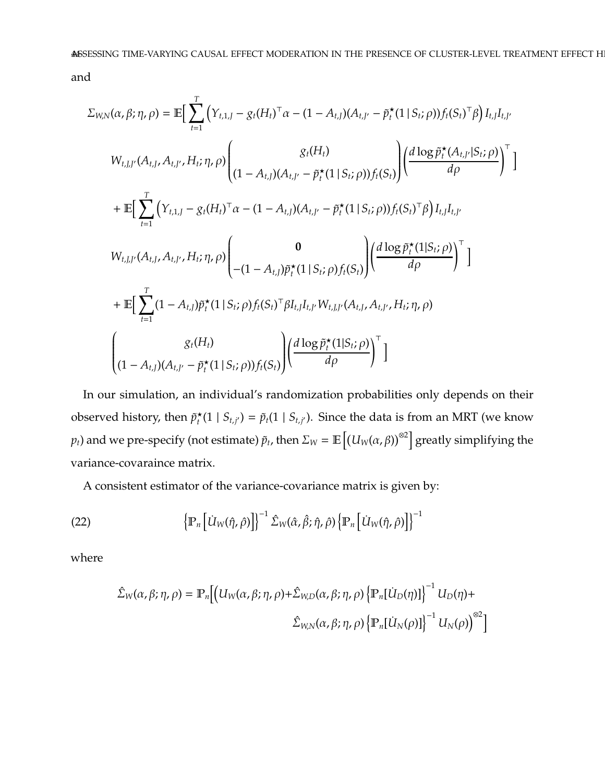and

$$
\Sigma_{W,N}(\alpha, \beta; \eta, \rho) = \mathbb{E} \Big[ \sum_{t=1}^{T} \Big( Y_{t,1,J} - g_t(H_t)^{\top} \alpha - (1 - A_{t,J})(A_{t,J'} - \tilde{p}_t^{\star}(1 \mid S_t; \rho)) f_t(S_t)^{\top} \beta \Big) I_{t,J} I_{t,J'} \Big]
$$
\n
$$
W_{t,J,J'}(A_{t,J}, A_{t,J'}, H_t; \eta, \rho) \Bigg|_{(1 - A_{t,J})(A_{t,J'} - \tilde{p}_t^{\star}(1 \mid S_t; \rho)) f_t(S_t)} \Bigg| \Big( \frac{d \log \tilde{p}_t^{\star}(A_{t,J'} | S_t; \rho)}{d \rho} \Big)^{\top} \Big]
$$
\n
$$
+ \mathbb{E} \Big[ \sum_{t=1}^{T} \Big( Y_{t,1,J} - g_t(H_t)^{\top} \alpha - (1 - A_{t,J})(A_{t,J'} - \tilde{p}_t^{\star}(1 \mid S_t; \rho)) f_t(S_t)^{\top} \beta \Big) I_{t,J} I_{t,J'} \Big]
$$
\n
$$
W_{t,J,J'}(A_{t,J}, A_{t,J'}, H_t; \eta, \rho) \Bigg|_{-(1 - A_{t,J}) \tilde{p}_t^{\star}(1 \mid S_t; \rho) f_t(S_t)} \Bigg| \Big( \frac{d \log \tilde{p}_t^{\star}(1 \mid S_t; \rho)}{d \rho} \Big)^{\top} \Big]
$$
\n
$$
+ \mathbb{E} \Big[ \sum_{t=1}^{T} (1 - A_{t,J}) \tilde{p}_t^{\star}(1 \mid S_t; \rho) f_t(S_t)^{\top} \beta I_{t,J} I_{t,J'}(A_{t,J}, A_{t,J'}, H_t; \eta, \rho)
$$
\n
$$
\Bigg|_{(1 - A_{t,J})(A_{t,J'} - \tilde{p}_t^{\star}(1 \mid S_t; \rho)) f_t(S_t)} \Bigg| \Big( \frac{d \log \tilde{p}_t^{\star}(1 \mid S_t; \rho)}{d \rho} \Big)^{\top} \Big]
$$

In our simulation, an individual's randomization probabilities only depends on their observed history, then  $\tilde{p}_t^{\star}$  $\hat{p}_t^{\star}(1 \mid S_{t,j'}) = \tilde{p}_t(1 \mid S_{t,j'})$ . Since the data is from an MRT (we know  $p_t$ ) and we pre-specify (not estimate)  $\tilde{p}_t$ , then  $\Sigma_W = \mathbb{E}\left[\left(U_W(\alpha,\beta)\right)^{\otimes 2}\right]$  greatly simplifying the variance-covaraince matrix.

A consistent estimator of the variance-covariance matrix is given by:

(22) 
$$
\left\{\mathbb{P}_n\left[\dot{U}_W(\hat{\eta},\hat{\rho})\right]\right\}^{-1}\hat{\Sigma}_W(\hat{\alpha},\hat{\beta};\hat{\eta},\hat{\rho})\left\{\mathbb{P}_n\left[\dot{U}_W(\hat{\eta},\hat{\rho})\right]\right\}^{-1}
$$

where

$$
\hat{\Sigma}_{W}(\alpha,\beta;\eta,\rho) = \mathbb{P}_{n} \Big[ \Big( U_{W}(\alpha,\beta;\eta,\rho) + \hat{\Sigma}_{W,D}(\alpha,\beta;\eta,\rho) \left\{ \mathbb{P}_{n} [U_{D}(\eta)] \right\}^{-1} U_{D}(\eta) +
$$
  

$$
\hat{\Sigma}_{W,N}(\alpha,\beta;\eta,\rho) \left\{ \mathbb{P}_{n} [U_{N}(\rho)] \right\}^{-1} U_{N}(\rho) \Big\}^{\otimes 2} \Big]
$$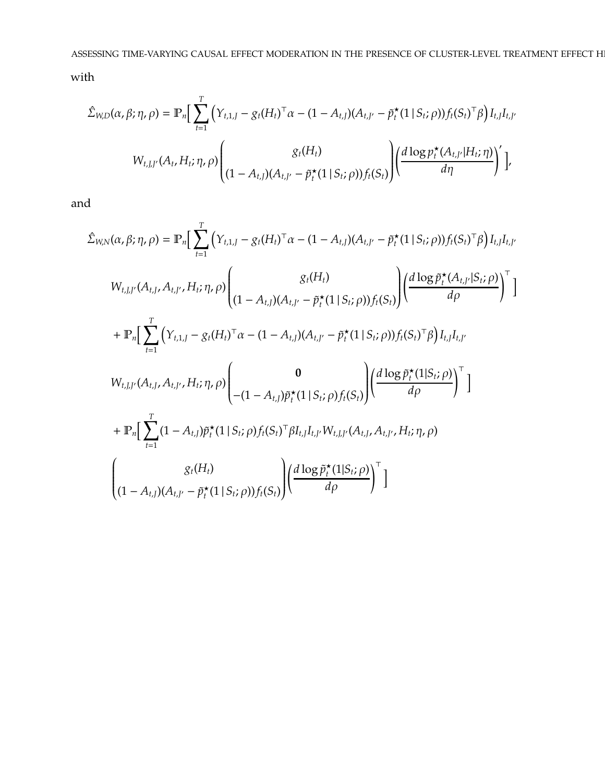with

$$
\hat{\Sigma}_{W,D}(\alpha,\beta;\eta,\rho) = \mathbb{P}_n \Big[ \sum_{t=1}^T \Big( Y_{t,1,J} - g_t (H_t)^{\top} \alpha - (1 - A_{t,J}) (A_{t,J'} - \tilde{p}_t^{\star} (1 \, | \, S_t; \rho)) f_t (S_t)^{\top} \beta \Big) I_{t,J} I_{t,J'} \nW_{t,J,J'}(A_t, H_t; \eta, \rho) \Bigg( \frac{g_t (H_t)}{(1 - A_{t,J}) (A_{t,J'} - \tilde{p}_t^{\star} (1 \, | \, S_t; \rho)) f_t (S_t)} \Bigg) \Big( \frac{d \log p_t^{\star} (A_{t,J'} | H_t; \eta)}{d \eta} \Big)^{'} \Big],
$$

and

$$
\hat{\Sigma}_{W,N}(\alpha,\beta;\eta,\rho) = \mathbb{P}_n \Big[ \sum_{t=1}^T \Big( Y_{t,1,J} - g_t(H_t)^\top \alpha - (1 - A_{t,J})(A_{t,J'} - \tilde{p}_t^{\star}(1 \mid S_t; \rho)) f_t(S_t)^\top \beta \Big) I_{t,J} I_{t,J'} \nW_{t,J,J'}(A_{t,J}, A_{t,J'}, H_t; \eta, \rho) \Bigg( \frac{g_t(H_t)}{(1 - A_{t,J})(A_{t,J'} - \tilde{p}_t^{\star}(1 \mid S_t; \rho)) f_t(S_t)} \Big) \Bigg( \frac{d \log \tilde{p}_t^{\star}(A_{t,J'} | S_t; \rho)}{d \rho} \Big)^{\top} \Big] \n+ \mathbb{P}_n \Big[ \sum_{t=1}^T \Big( Y_{t,1,J} - g_t(H_t)^\top \alpha - (1 - A_{t,J})(A_{t,J'} - \tilde{p}_t^{\star}(1 \mid S_t; \rho)) f_t(S_t)^\top \beta \Big) I_{t,J} I_{t,J'} \nW_{t,J,J'}(A_{t,J}, A_{t,J'}, H_t; \eta, \rho) \Bigg( \frac{0}{-(1 - A_{t,J}) \tilde{p}_t^{\star}(1 \mid S_t; \rho) f_t(S_t)} \Bigg) \Bigg( \frac{d \log \tilde{p}_t^{\star}(1 \mid S_t; \rho)}{d \rho} \Bigg)^{\top} \Bigg] \n+ \mathbb{P}_n \Big[ \sum_{t=1}^T (1 - A_{t,J}) \tilde{p}_t^{\star}(1 \mid S_t; \rho) f_t(S_t)^\top \beta I_{t,J} I_{t,J'} W_{t,J,J'}(A_{t,J}, A_{t,J'}, H_t; \eta, \rho) \n+ g_t(H_t) \Bigg( \frac{d \log \tilde{p}_t^{\star}(1 \mid S_t; \rho)}{d \rho} \Big)^{\top} \Bigg]
$$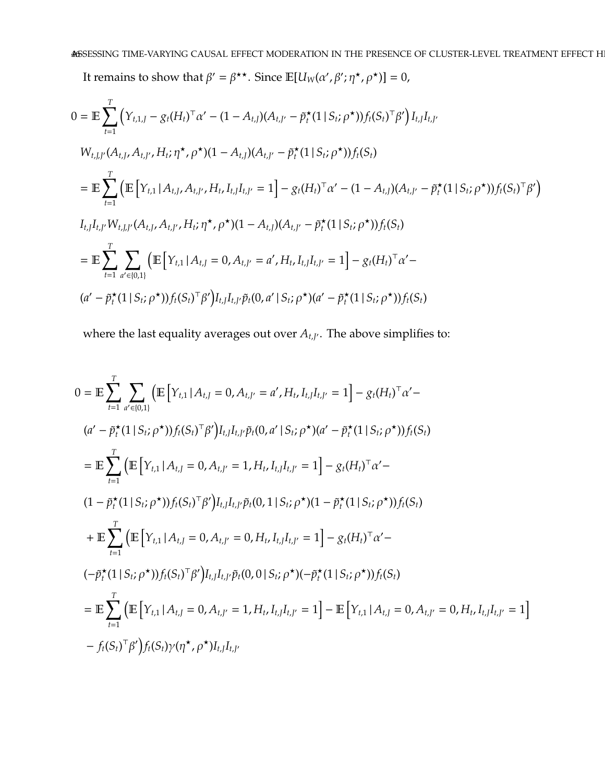It remains to show that  $\beta' = \beta^{\star\star}$ . Since  $\mathbb{E}[U_W(\alpha', \beta'; \eta^{\star}, \rho^{\star})] = 0$ ,

$$
0 = \mathbb{E} \sum_{t=1}^{T} \left( Y_{t,1,J} - g_t(H_t)^{\top} \alpha' - (1 - A_{t,J})(A_{t,J'} - \tilde{p}_t^{\star}(1 \mid S_t; \rho^{\star})) f_t(S_t)^{\top} \beta' \right) I_{t,J} I_{t,J'}
$$
\n
$$
W_{t,J,J'}(A_{t,J}, A_{t,J'}, H_t; \eta^{\star}, \rho^{\star})(1 - A_{t,J})(A_{t,J'} - \tilde{p}_t^{\star}(1 \mid S_t; \rho^{\star})) f_t(S_t)
$$
\n
$$
= \mathbb{E} \sum_{t=1}^{T} \left( \mathbb{E} \left[ Y_{t,1} \mid A_{t,J}, A_{t,J'}, H_t, I_{t,J} I_{t,J'} = 1 \right] - g_t(H_t)^{\top} \alpha' - (1 - A_{t,J})(A_{t,J'} - \tilde{p}_t^{\star}(1 \mid S_t; \rho^{\star})) f_t(S_t)^{\top} \beta' \right)
$$
\n
$$
I_{t,J} I_{t,J'} W_{t,J,J'}(A_{t,J}, A_{t,J'}, H_t; \eta^{\star}, \rho^{\star})(1 - A_{t,J})(A_{t,J'} - \tilde{p}_t^{\star}(1 \mid S_t; \rho^{\star})) f_t(S_t)
$$
\n
$$
= \mathbb{E} \sum_{t=1}^{T} \sum_{a' \in [0,1]} \left( \mathbb{E} \left[ Y_{t,1} \mid A_{t,J} = 0, A_{t,J'} = a', H_t, I_{t,J} I_{t,J'} = 1 \right] - g_t(H_t)^{\top} \alpha' - (a' - \tilde{p}_t^{\star}(1 \mid S_t; \rho^{\star})) f_t(S_t)^{\top} \beta' \right) I_{t,J} I_{t,J'} \tilde{p}_t(0, a' \mid S_t; \rho^{\star})(a' - \tilde{p}_t^{\star}(1 \mid S_t; \rho^{\star})) f_t(S_t)
$$

where the last equality averages out over  $A_{t,J'}$ . The above simplifies to:

$$
0 = \mathbb{E} \sum_{t=1}^{T} \sum_{a' \in [0,1]} \left( \mathbb{E} \left[ Y_{t,1} | A_{t,J} = 0, A_{t,J'} = a', H_t, I_{t,J} I_{t,J'} = 1 \right] - g_t (H_t)^\top \alpha' -
$$
  
\n
$$
(a' - \tilde{p}_t^{\star} (1 | S_t; \rho^{\star})) f_t (S_t)^\top \beta' \right) I_{t,J} I_{t,J} \tilde{p}_t (0, a' | S_t; \rho^{\star}) (a' - \tilde{p}_t^{\star} (1 | S_t; \rho^{\star})) f_t (S_t)
$$
  
\n
$$
= \mathbb{E} \sum_{t=1}^{T} \left( \mathbb{E} \left[ Y_{t,1} | A_{t,J} = 0, A_{t,J'} = 1, H_t, I_{t,J} I_{t,J'} = 1 \right] - g_t (H_t)^\top \alpha' -
$$
  
\n
$$
(1 - \tilde{p}_t^{\star} (1 | S_t; \rho^{\star})) f_t (S_t)^\top \beta' \right) I_{t,J} I_{t,J} \tilde{p}_t (0, 1 | S_t; \rho^{\star}) (1 - \tilde{p}_t^{\star} (1 | S_t; \rho^{\star})) f_t (S_t)
$$
  
\n
$$
+ \mathbb{E} \sum_{t=1}^{T} \left( \mathbb{E} \left[ Y_{t,1} | A_{t,J} = 0, A_{t,J'} = 0, H_t, I_{t,J} I_{t,J'} = 1 \right] - g_t (H_t)^\top \alpha' -
$$
  
\n
$$
(-\tilde{p}_t^{\star} (1 | S_t; \rho^{\star})) f_t (S_t)^\top \beta' \right) I_{t,J} I_{t,J'} \tilde{p}_t (0, 0 | S_t; \rho^{\star}) (-\tilde{p}_t^{\star} (1 | S_t; \rho^{\star})) f_t (S_t)
$$
  
\n
$$
= \mathbb{E} \sum_{t=1}^{T} \left( \mathbb{E} \left[ Y_{t,1} | A_{t,J} = 0, A_{t,J'} = 1, H_t, I_{t,J} I_{t,J'} = 1 \right] - \mathbb{E} \left[ Y_{t,1} | A_{t,J} = 0, A_{t,J'} = 0, H_t, I
$$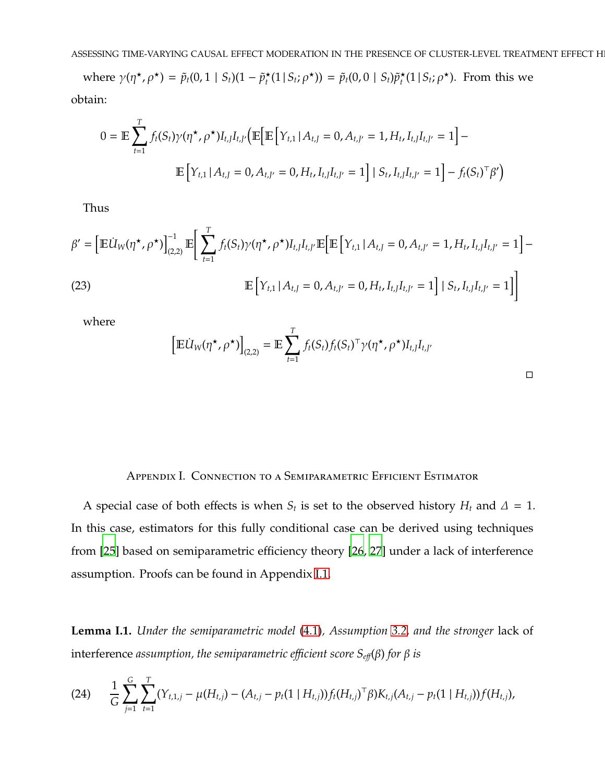where  $\gamma(\eta^*, \rho^*) = \tilde{p}_t(0, 1 | S_t)(1 - \tilde{p}_t^*(1 | S_t; \rho^*)) = \tilde{p}_t(0, 0 | S_t)\tilde{p}_t^*(1 | S_t; \rho^*)$ . From this we obtain:

$$
0 = \mathbb{E} \sum_{t=1}^{T} f_t(S_t) \gamma(\eta^*, \rho^*) I_{t,J} I_{t,J'} \Big( \mathbb{E} \Big[ \mathbb{E} \Big[ Y_{t,1} \, | \, A_{t,J} = 0, A_{t,J'} = 1, H_t, I_{t,J} I_{t,J'} = 1 \Big] - \mathbb{E} \Big[ Y_{t,1} \, | \, A_{t,J} = 0, A_{t,J'} = 0, H_t, I_{t,J} I_{t,J'} = 1 \Big] \, | \, S_t, I_{t,J} I_{t,J'} = 1 \Big] - f_t(S_t)^\top \beta' \Big)
$$

Thus

$$
\beta' = \left[ \mathbb{E} \dot{U}_W(\eta^\star, \rho^\star) \right]_{(2,2)}^{-1} \mathbb{E} \bigg[ \sum_{t=1}^T f_t(S_t) \gamma(\eta^\star, \rho^\star) I_{t,J} I_{t,J'} \mathbb{E} \bigg[ \mathbb{E} \big[ Y_{t,1} \, | \, A_{t,J} = 0, A_{t,J'} = 1, H_t, I_{t,J} I_{t,J'} = 1 \bigg] - \mathbb{E} \big[ Y_{t,1} \, | \, A_{t,J} = 0, A_{t,J'} = 0, H_t, I_{t,J} I_{t,J'} = 1 \bigg] \, | \, S_t, I_{t,J} I_{t,J'} = 1 \bigg]
$$
\n(23)

where

$$
\left[\mathbb{E} \dot{U}_W(\eta^\star, \rho^\star)\right]_{(2,2)} = \mathbb{E} \sum_{t=1}^T f_t(S_t) f_t(S_t)^\top \gamma(\eta^\star, \rho^\star) I_{t,J} I_{t,J'}
$$

| Appendix I.  Connection to a Semiparametric Efficient Estimator |
|-----------------------------------------------------------------|
|-----------------------------------------------------------------|

<span id="page-46-0"></span>A special case of both effects is when  $S_t$  is set to the observed history  $H_t$  and  $\Delta = 1$ . In this case, estimators for this fully conditional case can be derived using techniques from [\[25\]](#page-21-5) based on semiparametric efficiency theory [\[26](#page-21-6), [27\]](#page-21-7) under a lack of interference assumption. Proofs can be found in Appendix [I.1.](#page-47-0)

**Lemma I.1.** *Under the semiparametric model* [\(4.1\)](#page-9-0)*, Assumption [3.2,](#page-7-0) and the stronger* lack of interference *assumption, the semiparametric efficient score*  $S_{\text{eff}}(β)$  *for*  $β$  *is* 

<span id="page-46-1"></span>(24) 
$$
\frac{1}{G}\sum_{j=1}^{G}\sum_{t=1}^{T}(Y_{t,1,j}-\mu(H_{t,j})-(A_{t,j}-p_t(1\mid H_{t,j}))f_t(H_{t,j})^{\top}\beta)K_{t,j}(A_{t,j}-p_t(1\mid H_{t,j}))f(H_{t,j}),
$$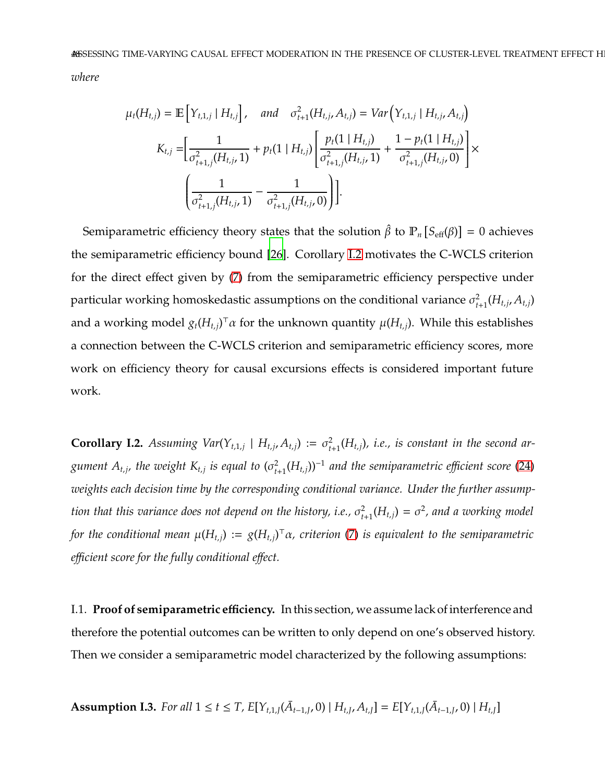*where*

$$
\mu_t(H_{t,j}) = \mathbb{E}\left[Y_{t,1,j} | H_{t,j}\right], \text{ and } \sigma_{t+1}^2(H_{t,j}, A_{t,j}) = Var\left(Y_{t,1,j} | H_{t,j}, A_{t,j}\right)
$$

$$
K_{t,j} = \left[\frac{1}{\sigma_{t+1,j}^2(H_{t,j}, 1)} + p_t(1 | H_{t,j}) \left[\frac{p_t(1 | H_{t,j})}{\sigma_{t+1,j}^2(H_{t,j}, 1)} + \frac{1 - p_t(1 | H_{t,j})}{\sigma_{t+1,j}^2(H_{t,j}, 0)}\right] \times \left(\frac{1}{\sigma_{t+1,j}^2(H_{t,j}, 1)} - \frac{1}{\sigma_{t+1,j}^2(H_{t,j}, 0)}\right)\right].
$$

Semiparametric efficiency theory states that the solution  $\hat{\beta}$  to  $\mathbb{P}_n\left[S_{\text{eff}}(\beta)\right]=0$  achieves the semiparametric efficiency bound [\[26\]](#page-21-6). Corollary [I.2](#page-47-1) motivates the C-WCLS criterion for the direct effect given by [\(7\)](#page-9-1) from the semiparametric efficiency perspective under particular working homoskedastic assumptions on the conditional variance  $\sigma_{t+1}^2(H_{t,j}, A_{t,j})$ and a working model *gt*(*H<sup>t</sup>*,*<sup>j</sup>*) <sup>⊤</sup>α for the unknown quantity µ(*H<sup>t</sup>*,*<sup>j</sup>*). While this establishes a connection between the C-WCLS criterion and semiparametric efficiency scores, more work on efficiency theory for causal excursions effects is considered important future work.

<span id="page-47-1"></span>**Corollary I.2.** Assuming Var $(Y_{t,1,j} | H_{t,j}, A_{t,j}) := \sigma_{t+1}^2(H_{t,j})$ , i.e., is constant in the second ar $g$ ument  $A_{t,j}$ , the weight  $K_{t,j}$  is equal to  $(\sigma_{t+1}^2(H_{t,j}))^{-1}$  and the semiparametric efficient score [\(24\)](#page-46-1) *weights each decision time by the corresponding conditional variance. Under the further assumption that this variance does not depend on the history, i.e.,*  $\sigma_{t+1}^2(H_{t,j}) = \sigma^2$ *, and a working model for the conditional mean* µ(*H<sup>t</sup>*,*<sup>j</sup>*) := *g*(*H<sup>t</sup>*,*<sup>j</sup>*) <sup>⊤</sup>α*, criterion* [\(7\)](#page-9-1) *is equivalent to the semiparametric e*ffi*cient score for the fully conditional e*ff*ect.*

<span id="page-47-0"></span>I.1. **Proof of semiparametric e**ffi**ciency.** In this section, we assume lack of interference and therefore the potential outcomes can be written to only depend on one's observed history. Then we consider a semiparametric model characterized by the following assumptions:

**Assumption I.3.** For all 
$$
1 \le t \le T
$$
,  $E[Y_{t,1,J}(\bar{A}_{t-1,J}, 0) | H_{t,J}, A_{t,J}] = E[Y_{t,1,J}(\bar{A}_{t-1,J}, 0) | H_{t,J}]$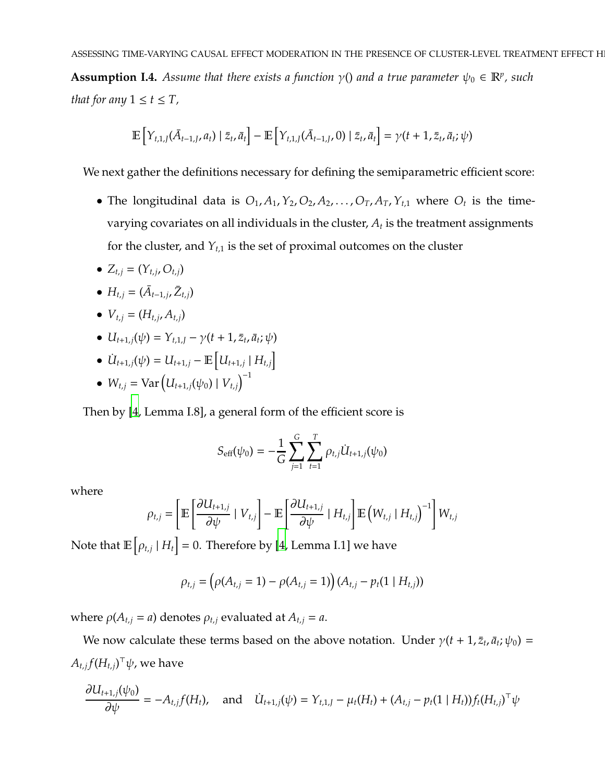**Assumption I.4.** *Assume that there exists a function*  $\gamma$ () *and a true parameter*  $\psi_0 \in \mathbb{R}^p$ , *such that for any*  $1 \le t \le T$ ,

$$
\mathbb{E}\left[Y_{t,1,J}(\bar{A}_{t-1,J},a_t)\mid \bar{z}_t,\bar{a}_t\right] - \mathbb{E}\left[Y_{t,1,J}(\bar{A}_{t-1,J},0)\mid \bar{z}_t,\bar{a}_t\right] = \gamma(t+1,\bar{z}_t,\bar{a}_t;\psi)
$$

We next gather the definitions necessary for defining the semiparametric efficient score:

- The longitudinal data is  $O_1$ ,  $A_1$ ,  $Y_2$ ,  $O_2$ ,  $A_2$ , ...,  $O_T$ ,  $A_T$ ,  $Y_{t,1}$  where  $O_t$  is the timevarying covariates on all individuals in the cluster,  $A_t$  is the treatment assignments for the cluster, and  $Y_{t,1}$  is the set of proximal outcomes on the cluster
- $Z_{t,j} = (Y_{t,j}, O_{t,j})$
- $H_{t,j} = (\bar{A}_{t-1,j}, \bar{Z}_{t,j})$
- $V_{t,j} = (H_{t,j}, A_{t,j})$
- $U_{t+1,j}(\psi) = Y_{t,1,j} \gamma(t+1,\bar{z}_t,\bar{a}_t;\psi)$
- $\dot{U}_{t+1,j}(\psi) = U_{t+1,j} \mathbb{E}\left[U_{t+1,j} | H_{t,j}\right]$
- $W_{t,j} = \text{Var} (U_{t+1,j}(\psi_0) | V_{t,j})^{-1}$

Then by [\[4](#page-19-3), Lemma I.8], a general form of the efficient score is

$$
S_{\text{eff}}(\psi_0) = -\frac{1}{G} \sum_{j=1}^{G} \sum_{t=1}^{T} \rho_{t,j} U_{t+1,j}(\psi_0)
$$

where

$$
\rho_{t,j} = \left[ \mathbb{E} \left[ \frac{\partial U_{t+1,j}}{\partial \psi} \mid V_{t,j} \right] - \mathbb{E} \left[ \frac{\partial U_{t+1,j}}{\partial \psi} \mid H_{t,j} \right] \mathbb{E} \left( W_{t,j} \mid H_{t,j} \right)^{-1} \right] W_{t,j}
$$

Note that  $\mathbb{E}\left[\rho_{t,j} \mid H_t\right] = 0.$  Therefore by [\[4,](#page-19-3) Lemma I.1] we have

$$
\rho_{t,j} = (\rho(A_{t,j} = 1) - \rho(A_{t,j} = 1)) (A_{t,j} - p_t(1 \mid H_{t,j}))
$$

where  $\rho(A_{t,j} = a)$  denotes  $\rho_{t,j}$  evaluated at  $A_{t,j} = a$ .

We now calculate these terms based on the above notation. Under  $\gamma(t + 1, \bar{z}_t, \bar{a}_t; \psi_0) =$  $A_{t,j} f(H_{t,j})^\top \psi$ , we have

$$
\frac{\partial U_{t+1,j}(\psi_0)}{\partial \psi} = -A_{t,j}f(H_t), \text{ and } \dot{U}_{t+1,j}(\psi) = Y_{t,1,j} - \mu_t(H_t) + (A_{t,j} - p_t(1 \mid H_t))f_t(H_{t,j})^\top \psi
$$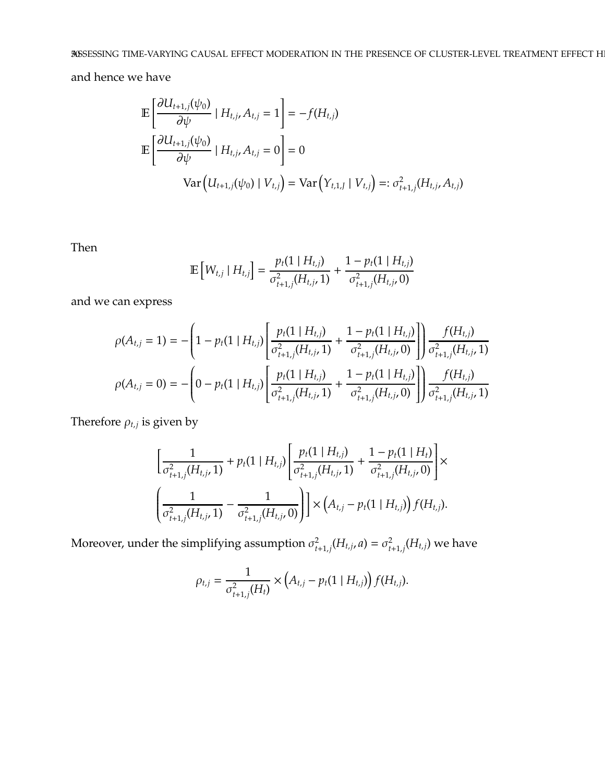and hence we have

$$
\mathbb{E}\left[\frac{\partial U_{t+1,j}(\psi_0)}{\partial \psi} | H_{t,j}, A_{t,j} = 1\right] = -f(H_{t,j})
$$
\n
$$
\mathbb{E}\left[\frac{\partial U_{t+1,j}(\psi_0)}{\partial \psi} | H_{t,j}, A_{t,j} = 0\right] = 0
$$
\n
$$
\text{Var}\left(U_{t+1,j}(\psi_0) | V_{t,j}\right) = \text{Var}\left(Y_{t,1,j} | V_{t,j}\right) =: \sigma_{t+1,j}^2(H_{t,j}, A_{t,j})
$$

Then

$$
\mathbb{E}\left[W_{t,j} \mid H_{t,j}\right] = \frac{p_t(1 \mid H_{t,j})}{\sigma_{t+1,j}^2(H_{t,j}, 1)} + \frac{1 - p_t(1 \mid H_{t,j})}{\sigma_{t+1,j}^2(H_{t,j}, 0)}
$$

and we can express

$$
\rho(A_{t,j} = 1) = -\left(1 - p_t(1 \mid H_{t,j}) \left[ \frac{p_t(1 \mid H_{t,j})}{\sigma_{t+1,j}^2(H_{t,j}, 1)} + \frac{1 - p_t(1 \mid H_{t,j})}{\sigma_{t+1,j}^2(H_{t,j}, 0)} \right] \right) \frac{f(H_{t,j})}{\sigma_{t+1,j}^2(H_{t,j}, 1)}
$$

$$
\rho(A_{t,j} = 0) = -\left(0 - p_t(1 \mid H_{t,j}) \left[ \frac{p_t(1 \mid H_{t,j})}{\sigma_{t+1,j}^2(H_{t,j}, 1)} + \frac{1 - p_t(1 \mid H_{t,j})}{\sigma_{t+1,j}^2(H_{t,j}, 0)} \right] \right) \frac{f(H_{t,j})}{\sigma_{t+1,j}^2(H_{t,j}, 1)}
$$

Therefore  $\rho_{t,j}$  is given by

$$
\left[\frac{1}{\sigma_{t+1,j}^{2}(H_{t,j},1)} + p_{t}(1 \mid H_{t,j}) \left[\frac{p_{t}(1 \mid H_{t,j})}{\sigma_{t+1,j}^{2}(H_{t,j},1)} + \frac{1-p_{t}(1 \mid H_{t})}{\sigma_{t+1,j}^{2}(H_{t,j},0)}\right] \times \left(\frac{1}{\sigma_{t+1,j}^{2}(H_{t,j},1)} - \frac{1}{\sigma_{t+1,j}^{2}(H_{t,j},0)}\right)\right] \times \left(A_{t,j} - p_{t}(1 \mid H_{t,j})\right) f(H_{t,j}).
$$

Moreover, under the simplifying assumption  $\sigma_{t+1,j}^2(H_{t,j}, a) = \sigma_{t+1,j}^2(H_{t,j})$  we have

$$
\rho_{t,j} = \frac{1}{\sigma_{t+1,j}^2(H_t)} \times (A_{t,j} - p_t(1 \mid H_{t,j})) f(H_{t,j}).
$$